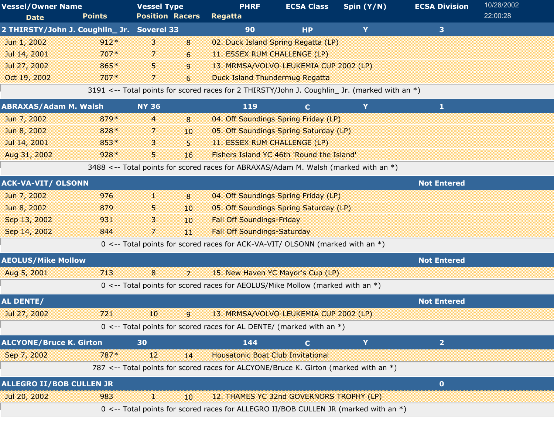| <b>Vessel/Owner Name</b>                   |               | <b>Vessel Type</b>     |                | <b>PHRF</b>                                                                                   | <b>ECSA Class</b> | Spin $(Y/N)$ | <b>ECSA Division</b> | 10/28/2002 |
|--------------------------------------------|---------------|------------------------|----------------|-----------------------------------------------------------------------------------------------|-------------------|--------------|----------------------|------------|
| <b>Date</b>                                | <b>Points</b> | <b>Position Racers</b> |                | <b>Regatta</b>                                                                                |                   |              |                      | 22:00:28   |
| 2 THIRSTY/John J. Coughlin_ Jr. Soverel 33 |               |                        |                | 90                                                                                            | <b>HP</b>         | Y            | 3 <sup>1</sup>       |            |
| Jun 1, 2002                                | $912*$        | 3                      | 8              | 02. Duck Island Spring Regatta (LP)                                                           |                   |              |                      |            |
| Jul 14, 2001                               | $707*$        | 7                      | 6              | 11. ESSEX RUM CHALLENGE (LP)                                                                  |                   |              |                      |            |
| Jul 27, 2002                               | 865*          | 5.                     | 9              | 13. MRMSA/VOLVO-LEUKEMIA CUP 2002 (LP)                                                        |                   |              |                      |            |
| Oct 19, 2002                               | $707*$        | 7                      | 6              | <b>Duck Island Thundermug Regatta</b>                                                         |                   |              |                      |            |
|                                            |               |                        |                | 3191 <-- Total points for scored races for 2 THIRSTY/John J. Coughlin_ Jr. (marked with an *) |                   |              |                      |            |
| <b>ABRAXAS/Adam M. Walsh</b>               |               | <b>NY 36</b>           |                | 119                                                                                           | $\mathbf{C}$      | Y            | $\mathbf{1}$         |            |
| Jun 7, 2002                                | 879*          | $\overline{4}$         | 8              | 04. Off Soundings Spring Friday (LP)                                                          |                   |              |                      |            |
| Jun 8, 2002                                | 828 *         | 7                      | 10             | 05. Off Soundings Spring Saturday (LP)                                                        |                   |              |                      |            |
| Jul 14, 2001                               | 853*          | 3                      | 5              | 11. ESSEX RUM CHALLENGE (LP)                                                                  |                   |              |                      |            |
| Aug 31, 2002                               | $928*$        | 5.                     | 16             | Fishers Island YC 46th 'Round the Island'                                                     |                   |              |                      |            |
|                                            |               |                        |                | 3488 <-- Total points for scored races for ABRAXAS/Adam M. Walsh (marked with an *)           |                   |              |                      |            |
| <b>ACK-VA-VIT/ OLSONN</b>                  |               |                        |                |                                                                                               |                   |              | <b>Not Entered</b>   |            |
| Jun 7, 2002                                | 976           | 31                     | 8              | 04. Off Soundings Spring Friday (LP)                                                          |                   |              |                      |            |
| Jun 8, 2002                                | 879           | 5                      | 10             | 05. Off Soundings Spring Saturday (LP)                                                        |                   |              |                      |            |
| Sep 13, 2002                               | 931           | 3                      | 10             | <b>Fall Off Soundings-Friday</b>                                                              |                   |              |                      |            |
| Sep 14, 2002                               | 844           | 7                      | 11             | <b>Fall Off Soundings-Saturday</b>                                                            |                   |              |                      |            |
|                                            |               |                        |                | 0 <-- Total points for scored races for ACK-VA-VIT/ OLSONN (marked with an *)                 |                   |              |                      |            |
| <b>AEOLUS/Mike Mollow</b>                  |               |                        |                |                                                                                               |                   |              | <b>Not Entered</b>   |            |
| Aug 5, 2001                                | 713           | 8                      | $\overline{7}$ | 15. New Haven YC Mayor's Cup (LP)                                                             |                   |              |                      |            |
|                                            |               |                        |                | 0 <-- Total points for scored races for AEOLUS/Mike Mollow (marked with an *)                 |                   |              |                      |            |
| AL DENTE/                                  |               |                        |                |                                                                                               |                   |              | <b>Not Entered</b>   |            |
| Jul 27, 2002                               | 721           | -10                    | ິດ             | 13. MRMSA/VOLVO-LEUKEMIA CUP 2002 (LP)                                                        |                   |              |                      |            |
|                                            |               |                        |                | 0 <-- Total points for scored races for AL DENTE/ (marked with an $*)$                        |                   |              |                      |            |
| <b>ALCYONE/Bruce K. Girton</b>             |               | 30                     |                | 144                                                                                           | $\mathbf C$       | Y            | $\overline{2}$       |            |
| Sep 7, 2002                                | 787*          | 12                     | 14             | <b>Housatonic Boat Club Invitational</b>                                                      |                   |              |                      |            |
|                                            |               |                        |                | 787 <-- Total points for scored races for ALCYONE/Bruce K. Girton (marked with an *)          |                   |              |                      |            |
| <b>ALLEGRO II/BOB CULLEN JR</b>            |               |                        |                |                                                                                               |                   |              | $\mathbf{0}$         |            |
| Jul 20, 2002                               | 983           | H.                     | $10\,$         | 12. THAMES YC 32nd GOVERNORS TROPHY (LP)                                                      |                   |              |                      |            |
|                                            |               |                        |                | 0 <-- Total points for scored races for ALLEGRO II/BOB CULLEN JR (marked with an *)           |                   |              |                      |            |
|                                            |               |                        |                |                                                                                               |                   |              |                      |            |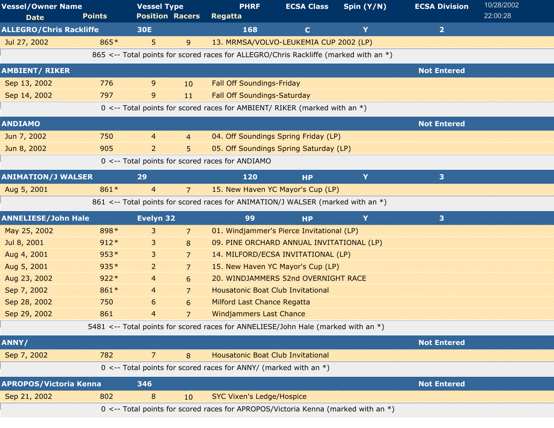| <b>Vessel/Owner Name</b>       |               | <b>Vessel Type</b>     |                | <b>PHRF</b>                                                                          | <b>ECSA Class</b> | Spin $(Y/N)$ | <b>ECSA Division</b>    | 10/28/2002 |
|--------------------------------|---------------|------------------------|----------------|--------------------------------------------------------------------------------------|-------------------|--------------|-------------------------|------------|
| <b>Date</b>                    | <b>Points</b> | <b>Position Racers</b> |                | <b>Regatta</b>                                                                       |                   |              |                         | 22:00:28   |
| <b>ALLEGRO/Chris Rackliffe</b> |               | <b>30E</b>             |                | 168                                                                                  | $\mathbf{C}$      | Y            | $\overline{2}$          |            |
| Jul 27, 2002                   | 865*          | 5.                     | 9              | 13. MRMSA/VOLVO-LEUKEMIA CUP 2002 (LP)                                               |                   |              |                         |            |
|                                |               |                        |                | 865 <-- Total points for scored races for ALLEGRO/Chris Rackliffe (marked with an *) |                   |              |                         |            |
| <b>AMBIENT/ RIKER</b>          |               |                        |                |                                                                                      |                   |              | <b>Not Entered</b>      |            |
| Sep 13, 2002                   | 776           | 9                      | 10             | <b>Fall Off Soundings-Friday</b>                                                     |                   |              |                         |            |
| Sep 14, 2002                   | 797           | 9                      | 11             | <b>Fall Off Soundings-Saturday</b>                                                   |                   |              |                         |            |
|                                |               |                        |                | 0 <-- Total points for scored races for AMBIENT/ RIKER (marked with an *)            |                   |              |                         |            |
| <b>ANDIAMO</b>                 |               |                        |                |                                                                                      |                   |              | <b>Not Entered</b>      |            |
| Jun 7, 2002                    | 750           | $\overline{4}$         | $\overline{4}$ | 04. Off Soundings Spring Friday (LP)                                                 |                   |              |                         |            |
| Jun 8, 2002                    | 905           | $\overline{2}$         | 5              | 05. Off Soundings Spring Saturday (LP)                                               |                   |              |                         |            |
|                                |               |                        |                | 0 <-- Total points for scored races for ANDIAMO                                      |                   |              |                         |            |
| <b>ANIMATION/J WALSER</b>      |               | 29                     |                | 120                                                                                  | <b>HP</b>         | Y            | 3                       |            |
| Aug 5, 2001                    | 861*          | 4                      | 7              | 15. New Haven YC Mayor's Cup (LP)                                                    |                   |              |                         |            |
|                                |               |                        |                | 861 <-- Total points for scored races for ANIMATION/J WALSER (marked with an *)      |                   |              |                         |            |
| <b>ANNELIESE/John Hale</b>     |               | Evelyn 32              |                | 99                                                                                   | <b>HP</b>         | Y            | $\overline{\mathbf{3}}$ |            |
| May 25, 2002                   | 898 *         | 3                      | 7              | 01. Windjammer's Pierce Invitational (LP)                                            |                   |              |                         |            |
| Jul 8, 2001                    | $912*$        | 3                      | 8              | 09. PINE ORCHARD ANNUAL INVITATIONAL (LP)                                            |                   |              |                         |            |
| Aug 4, 2001                    | $953*$        | 3                      | $\overline{7}$ | 14. MILFORD/ECSA INVITATIONAL (LP)                                                   |                   |              |                         |            |
| Aug 5, 2001                    | 935*          | $\overline{a}$         | $\overline{7}$ | 15. New Haven YC Mayor's Cup (LP)                                                    |                   |              |                         |            |
| Aug 23, 2002                   | $922*$        | 4                      | 6              | 20. WINDJAMMERS 52nd OVERNIGHT RACE                                                  |                   |              |                         |            |
| Sep 7, 2002                    | 861*          | 4                      | 7              | <b>Housatonic Boat Club Invitational</b>                                             |                   |              |                         |            |
| Sep 28, 2002                   | 750           | 6                      | 6              | <b>Milford Last Chance Regatta</b>                                                   |                   |              |                         |            |
| Sep 29, 2002                   | 861           | 4                      |                | <b>Windjammers Last Chance</b>                                                       |                   |              |                         |            |
|                                |               |                        |                | 5481 <-- Total points for scored races for ANNELIESE/John Hale (marked with an *)    |                   |              |                         |            |
| ANNY/                          |               |                        |                |                                                                                      |                   |              | <b>Not Entered</b>      |            |
| Sep 7, 2002                    | 782           | 7                      | 8              | <b>Housatonic Boat Club Invitational</b>                                             |                   |              |                         |            |
|                                |               |                        |                | $0 \le -$ Total points for scored races for ANNY/ (marked with an $*)$               |                   |              |                         |            |
| <b>APROPOS/Victoria Kenna</b>  |               | 346                    |                |                                                                                      |                   |              | <b>Not Entered</b>      |            |
| Sep 21, 2002                   | 802           | 8                      | 10             | <b>SYC Vixen's Ledge/Hospice</b>                                                     |                   |              |                         |            |
|                                |               |                        |                | 0 <-- Total points for scored races for APROPOS/Victoria Kenna (marked with an *)    |                   |              |                         |            |
|                                |               |                        |                |                                                                                      |                   |              |                         |            |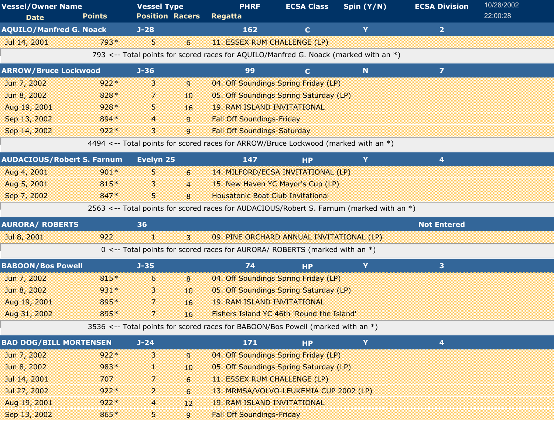| <b>Vessel/Owner Name</b>          |               | <b>Vessel Type</b>     |                | <b>PHRF</b>                                                                              | <b>ECSA Class</b> | Spin (Y/N) | <b>ECSA Division</b>    | 10/28/2002 |
|-----------------------------------|---------------|------------------------|----------------|------------------------------------------------------------------------------------------|-------------------|------------|-------------------------|------------|
| <b>Date</b>                       | <b>Points</b> | <b>Position Racers</b> |                | <b>Regatta</b>                                                                           |                   |            |                         | 22:00:28   |
| <b>AQUILO/Manfred G. Noack</b>    |               | $J-28$                 |                | 162                                                                                      | $\mathbf{C}$      | Y          | $\overline{2}$          |            |
| Jul 14, 2001                      | 793*          | 5                      | 6              | 11. ESSEX RUM CHALLENGE (LP)                                                             |                   |            |                         |            |
|                                   |               |                        |                | 793 <-- Total points for scored races for AQUILO/Manfred G. Noack (marked with an *)     |                   |            |                         |            |
| <b>ARROW/Bruce Lockwood</b>       |               | $J - 36$               |                | 99                                                                                       | $\mathbf{C}$      | N          | $\overline{z}$          |            |
| Jun 7, 2002                       | $922*$        | 3                      | $\overline{9}$ | 04. Off Soundings Spring Friday (LP)                                                     |                   |            |                         |            |
| Jun 8, 2002                       | 828 *         | 7                      | 10             | 05. Off Soundings Spring Saturday (LP)                                                   |                   |            |                         |            |
| Aug 19, 2001                      | $928*$        | 5                      | 16             | <b>19. RAM ISLAND INVITATIONAL</b>                                                       |                   |            |                         |            |
| Sep 13, 2002                      | 894 *         | 4                      | 9              | <b>Fall Off Soundings-Friday</b>                                                         |                   |            |                         |            |
| Sep 14, 2002                      | $922*$        | 3                      | 9              | <b>Fall Off Soundings-Saturday</b>                                                       |                   |            |                         |            |
|                                   |               |                        |                | 4494 <-- Total points for scored races for ARROW/Bruce Lockwood (marked with an *)       |                   |            |                         |            |
| <b>AUDACIOUS/Robert S. Farnum</b> |               | Evelyn 25              |                | 147                                                                                      | <b>HP</b>         | Y          | 4                       |            |
| Aug 4, 2001                       | $901*$        | 5.                     | 6              | 14. MILFORD/ECSA INVITATIONAL (LP)                                                       |                   |            |                         |            |
| Aug 5, 2001                       | 815*          | 3                      | $\overline{4}$ | 15. New Haven YC Mayor's Cup (LP)                                                        |                   |            |                         |            |
| Sep 7, 2002                       | 847*          | 5.                     | 8              | <b>Housatonic Boat Club Invitational</b>                                                 |                   |            |                         |            |
|                                   |               |                        |                | 2563 <-- Total points for scored races for AUDACIOUS/Robert S. Farnum (marked with an *) |                   |            |                         |            |
| <b>AURORA/ ROBERTS</b>            |               | 36                     |                |                                                                                          |                   |            | <b>Not Entered</b>      |            |
| Jul 8, 2001                       | 922           | T                      | $\overline{3}$ | 09. PINE ORCHARD ANNUAL INVITATIONAL (LP)                                                |                   |            |                         |            |
|                                   |               |                        |                | 0 <-- Total points for scored races for AURORA/ ROBERTS (marked with an *)               |                   |            |                         |            |
| <b>BABOON/Bos Powell</b>          |               | $J - 35$               |                | 74                                                                                       | <b>HP</b>         | Y          | 3 <sup>1</sup>          |            |
| Jun 7, 2002                       | 815*          | 6                      | 8              | 04. Off Soundings Spring Friday (LP)                                                     |                   |            |                         |            |
| Jun 8, 2002                       | $931*$        | 3                      | 10             | 05. Off Soundings Spring Saturday (LP)                                                   |                   |            |                         |            |
| Aug 19, 2001                      | 895*          | 7                      | 16             | <b>19. RAM ISLAND INVITATIONAL</b>                                                       |                   |            |                         |            |
| Aug 31, 2002                      | 895*          |                        | 16             | Fishers Island YC 46th 'Round the Island'                                                |                   |            |                         |            |
|                                   |               |                        |                | 3536 <-- Total points for scored races for BABOON/Bos Powell (marked with an *)          |                   |            |                         |            |
| <b>BAD DOG/BILL MORTENSEN</b>     |               | $J - 24$               |                | 171                                                                                      | <b>HP</b>         | Y          | $\overline{\mathbf{4}}$ |            |
| Jun 7, 2002                       | $922*$        | 3                      | 9              | 04. Off Soundings Spring Friday (LP)                                                     |                   |            |                         |            |
| Jun 8, 2002                       | 983*          | U.                     | 10             | 05. Off Soundings Spring Saturday (LP)                                                   |                   |            |                         |            |
| Jul 14, 2001                      | 707           | 7                      | 6              | 11. ESSEX RUM CHALLENGE (LP)                                                             |                   |            |                         |            |
| Jul 27, 2002                      | $922*$        | 2                      | 6              | 13. MRMSA/VOLVO-LEUKEMIA CUP 2002 (LP)                                                   |                   |            |                         |            |
| Aug 19, 2001                      | $922*$        | 4                      | 12             | <b>19. RAM ISLAND INVITATIONAL</b>                                                       |                   |            |                         |            |
|                                   |               |                        |                |                                                                                          |                   |            |                         |            |
| Sep 13, 2002                      | 865*          | 5                      | 9              | <b>Fall Off Soundings-Friday</b>                                                         |                   |            |                         |            |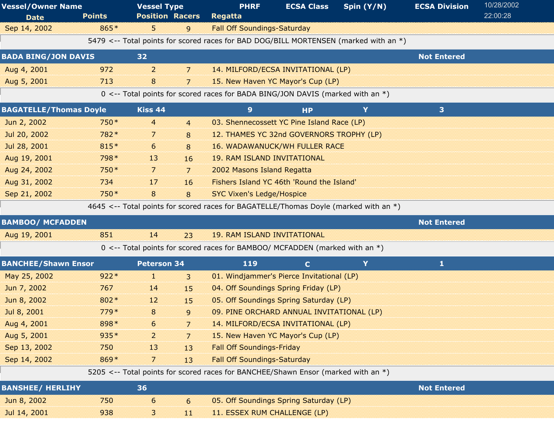| <b>Vessel/Owner Name</b>      |               | <b>Vessel Type</b>     |                | <b>PHRF</b>                                                                          | <b>ECSA Class</b> | Spin (Y/N) | <b>ECSA Division</b> | 10/28/2002 |
|-------------------------------|---------------|------------------------|----------------|--------------------------------------------------------------------------------------|-------------------|------------|----------------------|------------|
| <b>Date</b>                   | <b>Points</b> | <b>Position Racers</b> |                | Regatta                                                                              |                   |            |                      | 22:00:28   |
| Sep 14, 2002                  | 865*          | 5.                     | 9              | <b>Fall Off Soundings-Saturday</b>                                                   |                   |            |                      |            |
|                               |               |                        |                | 5479 <-- Total points for scored races for BAD DOG/BILL MORTENSEN (marked with an *) |                   |            |                      |            |
| <b>BADA BING/JON DAVIS</b>    |               | 32                     |                |                                                                                      |                   |            | <b>Not Entered</b>   |            |
| Aug 4, 2001                   | 972           | $\overline{2}$         | 7              | 14. MILFORD/ECSA INVITATIONAL (LP)                                                   |                   |            |                      |            |
| Aug 5, 2001                   | 713           | 8                      | 7              | 15. New Haven YC Mayor's Cup (LP)                                                    |                   |            |                      |            |
|                               |               |                        |                | 0 <-- Total points for scored races for BADA BING/JON DAVIS (marked with an *)       |                   |            |                      |            |
| <b>BAGATELLE/Thomas Doyle</b> |               | Kiss 44                |                | 9 <sup>°</sup>                                                                       | <b>HP</b>         | Y          | 3                    |            |
| Jun 2, 2002                   | 750*          | $\overline{4}$         | $\overline{4}$ | 03. Shennecossett YC Pine Island Race (LP)                                           |                   |            |                      |            |
| Jul 20, 2002                  | 782*          | 7                      | 8              | 12. THAMES YC 32nd GOVERNORS TROPHY (LP)                                             |                   |            |                      |            |
| Jul 28, 2001                  | 815*          | 6                      | 8              | <b>16. WADAWANUCK/WH FULLER RACE</b>                                                 |                   |            |                      |            |
| Aug 19, 2001                  | 798 *         | 13                     | 16             | <b>19. RAM ISLAND INVITATIONAL</b>                                                   |                   |            |                      |            |
| Aug 24, 2002                  | 750 *         | $\overline{7}$         | 7              | 2002 Masons Island Regatta                                                           |                   |            |                      |            |
| Aug 31, 2002                  | 734           | 17                     | 16             | Fishers Island YC 46th 'Round the Island'                                            |                   |            |                      |            |
| Sep 21, 2002                  | 750*          | 8                      | 8              | <b>SYC Vixen's Ledge/Hospice</b>                                                     |                   |            |                      |            |
|                               |               |                        |                | 4645 <-- Total points for scored races for BAGATELLE/Thomas Doyle (marked with an *) |                   |            |                      |            |
| <b>BAMBOO/ MCFADDEN</b>       |               |                        |                |                                                                                      |                   |            | <b>Not Entered</b>   |            |
| Aug 19, 2001                  | 851           | 14                     | 23             | <b>19. RAM ISLAND INVITATIONAL</b>                                                   |                   |            |                      |            |
|                               |               |                        |                | 0 <-- Total points for scored races for BAMBOO/ MCFADDEN (marked with an *)          |                   |            |                      |            |
| <b>BANCHEE/Shawn Ensor</b>    |               | <b>Peterson 34</b>     |                | 119                                                                                  | $\mathbf{C}$      | Y          | 1                    |            |
| May 25, 2002                  | $922*$        | 1.                     | $\overline{3}$ | 01. Windjammer's Pierce Invitational (LP)                                            |                   |            |                      |            |
| Jun 7, 2002                   | 767           | 14                     | 15             | 04. Off Soundings Spring Friday (LP)                                                 |                   |            |                      |            |
| Jun 8, 2002                   | 802*          | 12                     | 15             | 05. Off Soundings Spring Saturday (LP)                                               |                   |            |                      |            |
| Jul 8, 2001                   | 779*          | 8                      | 9              | 09. PINE ORCHARD ANNUAL INVITATIONAL (LP)                                            |                   |            |                      |            |
| Aug 4, 2001                   | 898*          | 6                      | $\overline{7}$ | 14. MILFORD/ECSA INVITATIONAL (LP)                                                   |                   |            |                      |            |
| Aug 5, 2001                   | $935*$        | $\overline{2}$         | $\overline{7}$ | 15. New Haven YC Mayor's Cup (LP)                                                    |                   |            |                      |            |
| Sep 13, 2002                  | 750           | 13                     | 13             | <b>Fall Off Soundings-Friday</b>                                                     |                   |            |                      |            |
| Sep 14, 2002                  | 869*          | 7                      | 13             | <b>Fall Off Soundings-Saturday</b>                                                   |                   |            |                      |            |
|                               |               |                        |                | 5205 <-- Total points for scored races for BANCHEE/Shawn Ensor (marked with an *)    |                   |            |                      |            |
|                               |               |                        |                |                                                                                      |                   |            |                      |            |
| <b>BANSHEE/ HERLIHY</b>       |               | 36                     |                |                                                                                      |                   |            | <b>Not Entered</b>   |            |
| Jun 8, 2002                   | 750           | 6                      | 6              | 05. Off Soundings Spring Saturday (LP)                                               |                   |            |                      |            |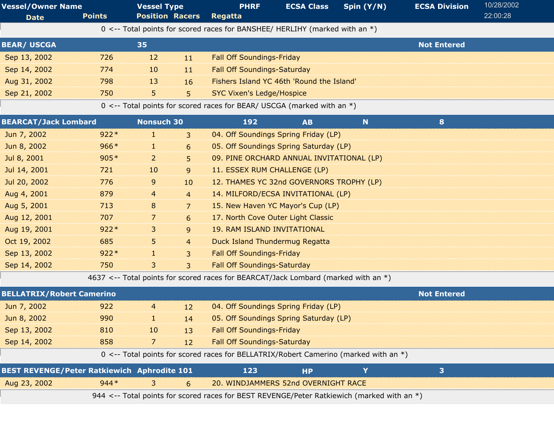| <b>Vessel/Owner Name</b> |               | <b>Vessel Type</b>     |     | <b>PHRF</b>                                                                    | <b>ECSA Class</b> | Spin $(Y/N)$ | <b>ECSA Division</b> | 10/28/2002 |
|--------------------------|---------------|------------------------|-----|--------------------------------------------------------------------------------|-------------------|--------------|----------------------|------------|
| <b>Date</b>              | <b>Points</b> | <b>Position Racers</b> |     | <b>Regatta</b>                                                                 |                   |              |                      | 22:00:28   |
|                          |               |                        |     | 0 <-- Total points for scored races for BANSHEE/ HERLIHY (marked with an $*$ ) |                   |              |                      |            |
| <b>BEAR/ USCGA</b>       |               | 35                     |     |                                                                                |                   |              | <b>Not Entered</b>   |            |
| Sep 13, 2002             | 726           | 12                     | 11  | <b>Fall Off Soundings-Friday</b>                                               |                   |              |                      |            |
| Sep 14, 2002             | 774           | $10\,$                 | 11. | <b>Fall Off Soundings-Saturday</b>                                             |                   |              |                      |            |
| Aug 31, 2002             | 798           | 13                     | 16  | Fishers Island YC 46th 'Round the Island'                                      |                   |              |                      |            |
| Sep 21, 2002             | 750           | 5.                     | 5   | <b>SYC Vixen's Ledge/Hospice</b>                                               |                   |              |                      |            |
|                          |               |                        |     | 0 <-- Total points for scored races for BEAR/ USCGA (marked with an $*$ )      |                   |              |                      |            |

| <b>BEARCAT/Jack Lombard</b>      |        | <b>Nonsuch 30</b> |                 | 192                                                                                | <b>AB</b> | <b>N</b> | 8                  |  |
|----------------------------------|--------|-------------------|-----------------|------------------------------------------------------------------------------------|-----------|----------|--------------------|--|
| Jun 7, 2002                      | $922*$ | 1                 | $\mathbf{3}$    | 04. Off Soundings Spring Friday (LP)                                               |           |          |                    |  |
| Jun 8, 2002                      | $966*$ | T                 | 6               | 05. Off Soundings Spring Saturday (LP)                                             |           |          |                    |  |
| Jul 8, 2001                      | $905*$ | $\overline{2}$    | 5 <sup>5</sup>  | 09. PINE ORCHARD ANNUAL INVITATIONAL (LP)                                          |           |          |                    |  |
| Jul 14, 2001                     | 721    | 10 <sup>10</sup>  | 9               | 11. ESSEX RUM CHALLENGE (LP)                                                       |           |          |                    |  |
| Jul 20, 2002                     | 776    | 9                 | 10 <sup>1</sup> | 12. THAMES YC 32nd GOVERNORS TROPHY (LP)                                           |           |          |                    |  |
| Aug 4, 2001                      | 879    | $\overline{4}$    | $\overline{4}$  | 14. MILFORD/ECSA INVITATIONAL (LP)                                                 |           |          |                    |  |
| Aug 5, 2001                      | 713    | 8                 | $\overline{7}$  | 15. New Haven YC Mayor's Cup (LP)                                                  |           |          |                    |  |
| Aug 12, 2001                     | 707    | $\overline{7}$    | $6\overline{6}$ | 17. North Cove Outer Light Classic                                                 |           |          |                    |  |
| Aug 19, 2001                     | $922*$ | 3.                | $\mathsf{g}$    | <b>19. RAM ISLAND INVITATIONAL</b>                                                 |           |          |                    |  |
| Oct 19, 2002                     | 685    | 5                 | $\overline{4}$  | Duck Island Thundermug Regatta                                                     |           |          |                    |  |
| Sep 13, 2002                     | $922*$ | 1                 | $\overline{3}$  | <b>Fall Off Soundings-Friday</b>                                                   |           |          |                    |  |
| Sep 14, 2002                     | 750    | 3                 | $\mathbf{3}$    | <b>Fall Off Soundings-Saturday</b>                                                 |           |          |                    |  |
|                                  |        |                   |                 | 4637 <-- Total points for scored races for BEARCAT/Jack Lombard (marked with an *) |           |          |                    |  |
| <b>BELLATRIX/Robert Camerino</b> |        |                   |                 |                                                                                    |           |          | <b>Not Entered</b> |  |
|                                  |        |                   |                 |                                                                                    |           |          |                    |  |

| BELLA i RIX/Robert Camerino                        |                                                                                            |                |                 |                                                                                        | <b>Not Entered</b>                     |  |  |  |  |  |  |  |
|----------------------------------------------------|--------------------------------------------------------------------------------------------|----------------|-----------------|----------------------------------------------------------------------------------------|----------------------------------------|--|--|--|--|--|--|--|
| Jun 7, 2002                                        | 922                                                                                        | $\overline{4}$ | 12 <sup>1</sup> | 04. Off Soundings Spring Friday (LP)                                                   |                                        |  |  |  |  |  |  |  |
| Jun 8, 2002                                        | 990                                                                                        | 1.             | 14              |                                                                                        | 05. Off Soundings Spring Saturday (LP) |  |  |  |  |  |  |  |
| Sep 13, 2002                                       | 810                                                                                        | 10             | 13              | <b>Fall Off Soundings-Friday</b>                                                       |                                        |  |  |  |  |  |  |  |
| Sep 14, 2002                                       | 858                                                                                        | 7.             | 12 <sup>7</sup> | <b>Fall Off Soundings-Saturday</b>                                                     |                                        |  |  |  |  |  |  |  |
|                                                    |                                                                                            |                |                 | 0 <-- Total points for scored races for BELLATRIX/Robert Camerino (marked with an $*)$ |                                        |  |  |  |  |  |  |  |
| <b>BEST REVENGE/Peter Ratkiewich Aphrodite 101</b> |                                                                                            |                |                 | 123                                                                                    | <b>HP</b>                              |  |  |  |  |  |  |  |
| Aug 23, 2002                                       | $944*$                                                                                     | 3              | 6               | 20. WINDJAMMERS 52nd OVERNIGHT RACE                                                    |                                        |  |  |  |  |  |  |  |
|                                                    | 944 <-- Total points for scored races for BEST REVENGE/Peter Ratkiewich (marked with an *) |                |                 |                                                                                        |                                        |  |  |  |  |  |  |  |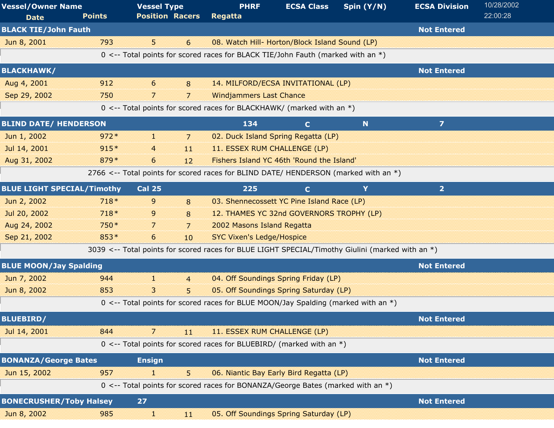| <b>Vessel/Owner Name</b><br><b>Date</b> | <b>Points</b> | <b>Vessel Type</b><br><b>Position Racers</b>                                                     | <b>PHRF</b><br><b>Regatta</b>    | <b>ECSA Class</b>                              | Spin $(Y/N)$ | <b>ECSA Division</b>    | 10/28/2002<br>22:00:28 |
|-----------------------------------------|---------------|--------------------------------------------------------------------------------------------------|----------------------------------|------------------------------------------------|--------------|-------------------------|------------------------|
| <b>BLACK TIE/John Fauth</b>             |               |                                                                                                  |                                  |                                                |              | <b>Not Entered</b>      |                        |
| Jun 8, 2001                             | 793           | 5 <sup>1</sup><br>6                                                                              |                                  | 08. Watch Hill- Horton/Block Island Sound (LP) |              |                         |                        |
|                                         |               | 0 <-- Total points for scored races for BLACK TIE/John Fauth (marked with an *)                  |                                  |                                                |              |                         |                        |
| <b>BLACKHAWK/</b>                       |               |                                                                                                  |                                  |                                                |              | <b>Not Entered</b>      |                        |
| Aug 4, 2001                             | 912           | 6<br>8                                                                                           |                                  | 14. MILFORD/ECSA INVITATIONAL (LP)             |              |                         |                        |
| Sep 29, 2002                            | 750           | 7<br>7                                                                                           | <b>Windjammers Last Chance</b>   |                                                |              |                         |                        |
|                                         |               | 0 <-- Total points for scored races for BLACKHAWK/ (marked with an $*$ )                         |                                  |                                                |              |                         |                        |
| <b>BLIND DATE/ HENDERSON</b>            |               |                                                                                                  | 134                              | $\mathbf{C}$                                   | N            | $\overline{\mathbf{z}}$ |                        |
| Jun 1, 2002                             | $972*$        | H.<br>7                                                                                          |                                  | 02. Duck Island Spring Regatta (LP)            |              |                         |                        |
| Jul 14, 2001                            | $915*$        | $\overline{4}$<br>11                                                                             | 11. ESSEX RUM CHALLENGE (LP)     |                                                |              |                         |                        |
| Aug 31, 2002                            | 879*          | 6<br>12                                                                                          |                                  | Fishers Island YC 46th 'Round the Island'      |              |                         |                        |
|                                         |               | 2766 <-- Total points for scored races for BLIND DATE/ HENDERSON (marked with an *)              |                                  |                                                |              |                         |                        |
| <b>BLUE LIGHT SPECIAL/Timothy</b>       |               | <b>Cal 25</b>                                                                                    | 225                              | $\mathbf{C}$                                   | Y            | 2 <sup>1</sup>          |                        |
| Jun 2, 2002                             | $718*$        | 9<br>8                                                                                           |                                  | 03. Shennecossett YC Pine Island Race (LP)     |              |                         |                        |
| Jul 20, 2002                            | $718*$        | 9<br>8                                                                                           |                                  | 12. THAMES YC 32nd GOVERNORS TROPHY (LP)       |              |                         |                        |
| Aug 24, 2002                            | 750*          | 7<br>7                                                                                           | 2002 Masons Island Regatta       |                                                |              |                         |                        |
| Sep 21, 2002                            | $853*$        | 6<br>10                                                                                          | <b>SYC Vixen's Ledge/Hospice</b> |                                                |              |                         |                        |
|                                         |               | 3039 <-- Total points for scored races for BLUE LIGHT SPECIAL/Timothy Giulini (marked with an *) |                                  |                                                |              |                         |                        |
| <b>BLUE MOON/Jay Spalding</b>           |               |                                                                                                  |                                  |                                                |              | <b>Not Entered</b>      |                        |
| Jun 7, 2002                             | 944           | H.<br>$\overline{4}$                                                                             |                                  | 04. Off Soundings Spring Friday (LP)           |              |                         |                        |
| Jun 8, 2002                             | 853           | 3<br>5                                                                                           |                                  | 05. Off Soundings Spring Saturday (LP)         |              |                         |                        |
|                                         |               | 0 <-- Total points for scored races for BLUE MOON/Jay Spalding (marked with an *)                |                                  |                                                |              |                         |                        |
| <b>BLUEBIRD/</b>                        |               |                                                                                                  |                                  |                                                |              | <b>Not Entered</b>      |                        |
| Jul 14, 2001                            | 844           | 7<br>11                                                                                          | 11. ESSEX RUM CHALLENGE (LP)     |                                                |              |                         |                        |
|                                         |               | 0 <-- Total points for scored races for BLUEBIRD/ (marked with an $*)$                           |                                  |                                                |              |                         |                        |
| <b>BONANZA/George Bates</b>             |               | <b>Ensign</b>                                                                                    |                                  |                                                |              | <b>Not Entered</b>      |                        |
| Jun 15, 2002                            | 957           | 5<br>11                                                                                          |                                  | 06. Niantic Bay Early Bird Regatta (LP)        |              |                         |                        |
|                                         |               | 0 <-- Total points for scored races for BONANZA/George Bates (marked with an *)                  |                                  |                                                |              |                         |                        |
| <b>BONECRUSHER/Toby Halsey</b>          |               | 27                                                                                               |                                  |                                                |              | <b>Not Entered</b>      |                        |
| Jun 8, 2002                             | 985           | H.<br>11                                                                                         |                                  | 05. Off Soundings Spring Saturday (LP)         |              |                         |                        |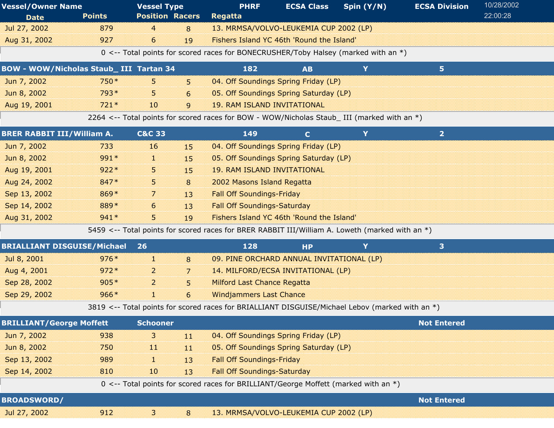| <b>Vessel/Owner Name</b>                       |               | <b>Vessel Type</b>     |                | <b>PHRF</b>                                                                                     | <b>ECSA Class</b> | Spin (Y/N) | <b>ECSA Division</b> | 10/28/2002 |  |
|------------------------------------------------|---------------|------------------------|----------------|-------------------------------------------------------------------------------------------------|-------------------|------------|----------------------|------------|--|
| <b>Date</b>                                    | <b>Points</b> | <b>Position Racers</b> |                | <b>Regatta</b>                                                                                  |                   |            |                      | 22:00:28   |  |
| Jul 27, 2002                                   | 879           | 4                      | 8              | 13. MRMSA/VOLVO-LEUKEMIA CUP 2002 (LP)                                                          |                   |            |                      |            |  |
| Aug 31, 2002                                   | 927           | 6                      | 19             | Fishers Island YC 46th 'Round the Island'                                                       |                   |            |                      |            |  |
|                                                |               |                        |                | 0 <-- Total points for scored races for BONECRUSHER/Toby Halsey (marked with an *)              |                   |            |                      |            |  |
| <b>BOW - WOW/Nicholas Staub_ III Tartan 34</b> |               |                        |                | 182                                                                                             | <b>AB</b>         | Y          | 5 <sub>1</sub>       |            |  |
| Jun 7, 2002                                    | 750*          | 5.                     | 5              | 04. Off Soundings Spring Friday (LP)                                                            |                   |            |                      |            |  |
| Jun 8, 2002                                    | 793*          | 5.                     | 6              | 05. Off Soundings Spring Saturday (LP)                                                          |                   |            |                      |            |  |
| Aug 19, 2001                                   | $721*$        | 10                     | 9              | <b>19. RAM ISLAND INVITATIONAL</b>                                                              |                   |            |                      |            |  |
|                                                |               |                        |                | 2264 <-- Total points for scored races for BOW - WOW/Nicholas Staub_ III (marked with an *)     |                   |            |                      |            |  |
| <b>BRER RABBIT III/William A.</b>              |               | <b>C&amp;C 33</b>      |                | 149                                                                                             | $\mathbf C$       | Y          | $\overline{2}$       |            |  |
| Jun 7, 2002                                    | 733           | 16                     | 15             | 04. Off Soundings Spring Friday (LP)                                                            |                   |            |                      |            |  |
| Jun 8, 2002                                    | 991*          | 11                     | 15             | 05. Off Soundings Spring Saturday (LP)                                                          |                   |            |                      |            |  |
| Aug 19, 2001                                   | $922*$        | 5                      | 15             | <b>19. RAM ISLAND INVITATIONAL</b>                                                              |                   |            |                      |            |  |
| Aug 24, 2002                                   | 847*          | 5                      | 8              | 2002 Masons Island Regatta                                                                      |                   |            |                      |            |  |
| Sep 13, 2002                                   | 869*          | 7                      | 13             | <b>Fall Off Soundings-Friday</b>                                                                |                   |            |                      |            |  |
| Sep 14, 2002                                   | 889*          | 6                      | 13             | <b>Fall Off Soundings-Saturday</b>                                                              |                   |            |                      |            |  |
| Aug 31, 2002                                   | $941*$        | 5.                     | 19             | Fishers Island YC 46th 'Round the Island'                                                       |                   |            |                      |            |  |
|                                                |               |                        |                | 5459 <-- Total points for scored races for BRER RABBIT III/William A. Loweth (marked with an *) |                   |            |                      |            |  |
| <b>BRIALLIANT DISGUISE/Michael</b>             |               | 26                     |                | 128                                                                                             | <b>HP</b>         | Y          | 3                    |            |  |
| Jul 8, 2001                                    | $976*$        | Œ.                     | 8              | 09. PINE ORCHARD ANNUAL INVITATIONAL (LP)                                                       |                   |            |                      |            |  |
| Aug 4, 2001                                    | $972*$        | $\overline{2}$         | 7              | 14. MILFORD/ECSA INVITATIONAL (LP)                                                              |                   |            |                      |            |  |
| Sep 28, 2002                                   | $905*$        | $\overline{2}$         | 5              | <b>Milford Last Chance Regatta</b>                                                              |                   |            |                      |            |  |
| Sep 29, 2002                                   | $966*$        | H.                     | 6              | <b>Windjammers Last Chance</b>                                                                  |                   |            |                      |            |  |
|                                                |               |                        |                | 3819 <-- Total points for scored races for BRIALLIANT DISGUISE/Michael Lebov (marked with an *) |                   |            |                      |            |  |
| <b>BRILLIANT/George Moffett</b>                |               | <b>Schooner</b>        |                |                                                                                                 |                   |            | <b>Not Entered</b>   |            |  |
| Jun 7, 2002                                    | 938           | 3                      | 11             | 04. Off Soundings Spring Friday (LP)                                                            |                   |            |                      |            |  |
| Jun 8, 2002                                    | 750           | $\mathbf{11}$          | 11             | 05. Off Soundings Spring Saturday (LP)                                                          |                   |            |                      |            |  |
| Sep 13, 2002                                   | 989           | 1                      | 13             | <b>Fall Off Soundings-Friday</b>                                                                |                   |            |                      |            |  |
| Sep 14, 2002                                   | 810           | 10                     | 13             | <b>Fall Off Soundings-Saturday</b>                                                              |                   |            |                      |            |  |
|                                                |               |                        |                | 0 <-- Total points for scored races for BRILLIANT/George Moffett (marked with an *)             |                   |            |                      |            |  |
| <b>BROADSWORD/</b>                             |               |                        |                |                                                                                                 |                   |            | <b>Not Entered</b>   |            |  |
| Jul 27, 2002                                   | 912           | 3                      | $8\phantom{1}$ | 13. MRMSA/VOLVO-LEUKEMIA CUP 2002 (LP)                                                          |                   |            |                      |            |  |
|                                                |               |                        |                |                                                                                                 |                   |            |                      |            |  |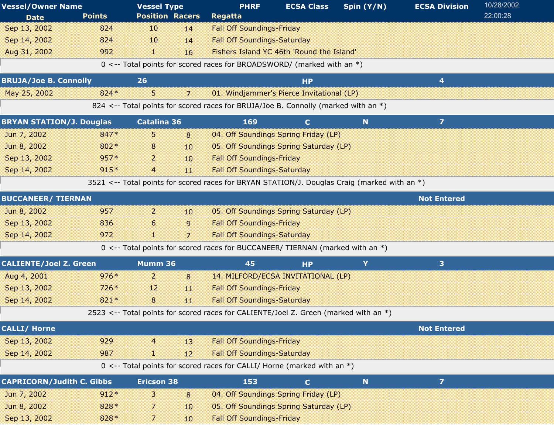| <b>Vessel/Owner Name</b>         |               | <b>Vessel Type</b>     |    | <b>PHRF</b>                                                                                  | <b>ECSA Class</b>                         | Spin (Y/N)  | <b>ECSA Division</b>    | 10/28/2002 |  |
|----------------------------------|---------------|------------------------|----|----------------------------------------------------------------------------------------------|-------------------------------------------|-------------|-------------------------|------------|--|
| <b>Date</b>                      | <b>Points</b> | <b>Position Racers</b> |    | <b>Regatta</b>                                                                               |                                           |             |                         | 22:00:28   |  |
| Sep 13, 2002                     | 824           | 10                     | 14 | <b>Fall Off Soundings-Friday</b>                                                             |                                           |             |                         |            |  |
| Sep 14, 2002                     | 824           | 10                     | 14 | <b>Fall Off Soundings-Saturday</b>                                                           |                                           |             |                         |            |  |
| Aug 31, 2002                     | 992           | H.                     | 16 |                                                                                              | Fishers Island YC 46th 'Round the Island' |             |                         |            |  |
|                                  |               |                        |    | 0 <-- Total points for scored races for BROADSWORD/ (marked with an *)                       |                                           |             |                         |            |  |
| <b>BRUJA/Joe B. Connolly</b>     |               | 26                     |    |                                                                                              | <b>HP</b>                                 |             | 4                       |            |  |
| May 25, 2002                     | $824*$        | 5.                     | 7  |                                                                                              | 01. Windjammer's Pierce Invitational (LP) |             |                         |            |  |
|                                  |               |                        |    | 824 <-- Total points for scored races for BRUJA/Joe B. Connolly (marked with an *)           |                                           |             |                         |            |  |
| <b>BRYAN STATION/J. Douglas</b>  |               | <b>Catalina 36</b>     |    | 169                                                                                          | $\mathbf C$                               | N           | $\overline{\mathbf{z}}$ |            |  |
| Jun 7, 2002                      | 847*          | 5.                     | 8  |                                                                                              | 04. Off Soundings Spring Friday (LP)      |             |                         |            |  |
| Jun 8, 2002                      | 802*          | 8                      | 10 |                                                                                              | 05. Off Soundings Spring Saturday (LP)    |             |                         |            |  |
| Sep 13, 2002                     | $957*$        | $\overline{a}$         | 10 | <b>Fall Off Soundings-Friday</b>                                                             |                                           |             |                         |            |  |
| Sep 14, 2002                     | $915*$        | $\overline{4}$         | 11 | <b>Fall Off Soundings-Saturday</b>                                                           |                                           |             |                         |            |  |
|                                  |               |                        |    | 3521 <-- Total points for scored races for BRYAN STATION/J. Douglas Craig (marked with an *) |                                           |             |                         |            |  |
| <b>BUCCANEER/ TIERNAN</b>        |               |                        |    |                                                                                              |                                           |             | <b>Not Entered</b>      |            |  |
| Jun 8, 2002                      | 957           | $\overline{2}$         | 10 |                                                                                              | 05. Off Soundings Spring Saturday (LP)    |             |                         |            |  |
| Sep 13, 2002                     | 836           | 6                      | 9  | <b>Fall Off Soundings-Friday</b>                                                             |                                           |             |                         |            |  |
| Sep 14, 2002                     | 972           | I.                     | 7  | <b>Fall Off Soundings-Saturday</b>                                                           |                                           |             |                         |            |  |
|                                  |               |                        |    | 0 <-- Total points for scored races for BUCCANEER/ TIERNAN (marked with an *)                |                                           |             |                         |            |  |
| <b>CALIENTE/Joel Z. Green</b>    |               | Mumm 36                |    | 45                                                                                           | <b>HP</b>                                 | Y           | 3 <sup>1</sup>          |            |  |
| Aug 4, 2001                      | $976*$        | 2                      | 8  |                                                                                              | 14. MILFORD/ECSA INVITATIONAL (LP)        |             |                         |            |  |
| Sep 13, 2002                     | $726*$        | 12                     | 11 | <b>Fall Off Soundings-Friday</b>                                                             |                                           |             |                         |            |  |
| Sep 14, 2002                     | $821*$        | 8                      | 11 | <b>Fall Off Soundings-Saturday</b>                                                           |                                           |             |                         |            |  |
|                                  |               |                        |    | 2523 <-- Total points for scored races for CALIENTE/Joel Z. Green (marked with an *)         |                                           |             |                         |            |  |
| <b>CALLI/ Horne</b>              |               |                        |    |                                                                                              |                                           |             | <b>Not Entered</b>      |            |  |
| Sep 13, 2002                     | 929           | 4                      | 13 | <b>Fall Off Soundings-Friday</b>                                                             |                                           |             |                         |            |  |
| Sep 14, 2002                     | 987           | H.                     | 12 | <b>Fall Off Soundings-Saturday</b>                                                           |                                           |             |                         |            |  |
|                                  |               |                        |    | $0 \le -5$ Total points for scored races for CALLI/ Horne (marked with an *)                 |                                           |             |                         |            |  |
| <b>CAPRICORN/Judith C. Gibbs</b> |               | <b>Ericson 38</b>      |    | 153                                                                                          | $\mathbf C$                               | $\mathbf N$ | $\overline{z}$          |            |  |
| Jun 7, 2002                      | $912*$        | 3                      | 8  |                                                                                              | 04. Off Soundings Spring Friday (LP)      |             |                         |            |  |
| Jun 8, 2002                      | 828 *         | 7                      | 10 |                                                                                              | 05. Off Soundings Spring Saturday (LP)    |             |                         |            |  |
| Sep 13, 2002                     | 828*          | 7                      | 10 | <b>Fall Off Soundings-Friday</b>                                                             |                                           |             |                         |            |  |
|                                  |               |                        |    |                                                                                              |                                           |             |                         |            |  |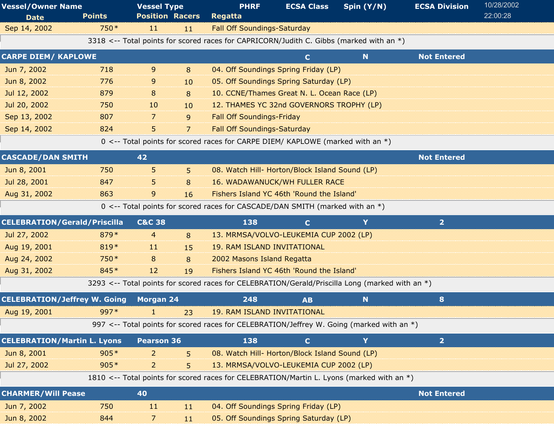| <b>Vessel/Owner Name</b><br><b>Vessel Type</b> |               | <b>PHRF</b>              | <b>ECSA Class</b> | Spin (Y/N)                                                                                      | <b>ECSA Division</b> | 10/28/2002 |                    |          |  |
|------------------------------------------------|---------------|--------------------------|-------------------|-------------------------------------------------------------------------------------------------|----------------------|------------|--------------------|----------|--|
| <b>Date</b>                                    | <b>Points</b> | <b>Position Racers</b>   |                   | <b>Regatta</b>                                                                                  |                      |            |                    | 22:00:28 |  |
| Sep 14, 2002                                   | 750*          | n                        | -11               | <b>Fall Off Soundings-Saturday</b>                                                              |                      |            |                    |          |  |
|                                                |               |                          |                   | 3318 <-- Total points for scored races for CAPRICORN/Judith C. Gibbs (marked with an *)         |                      |            |                    |          |  |
| <b>CARPE DIEM/ KAPLOWE</b>                     |               |                          |                   |                                                                                                 | $\mathbf{C}$         | N          | <b>Not Entered</b> |          |  |
| Jun 7, 2002                                    | 718           | 9                        | 8                 | 04. Off Soundings Spring Friday (LP)                                                            |                      |            |                    |          |  |
| Jun 8, 2002                                    | 776           | 9                        | 10                | 05. Off Soundings Spring Saturday (LP)                                                          |                      |            |                    |          |  |
| Jul 12, 2002                                   | 879           | 8                        | 8                 | 10. CCNE/Thames Great N. L. Ocean Race (LP)                                                     |                      |            |                    |          |  |
| Jul 20, 2002                                   | 750           | 10                       | 10                | 12. THAMES YC 32nd GOVERNORS TROPHY (LP)                                                        |                      |            |                    |          |  |
| Sep 13, 2002                                   | 807           | 7                        | 9                 | <b>Fall Off Soundings-Friday</b>                                                                |                      |            |                    |          |  |
| Sep 14, 2002                                   | 824           | 5                        | $\overline{7}$    | <b>Fall Off Soundings-Saturday</b>                                                              |                      |            |                    |          |  |
|                                                |               |                          |                   | 0 <-- Total points for scored races for CARPE DIEM/ KAPLOWE (marked with an *)                  |                      |            |                    |          |  |
| <b>CASCADE/DAN SMITH</b>                       |               | 42                       |                   |                                                                                                 |                      |            | <b>Not Entered</b> |          |  |
| Jun 8, 2001                                    | 750           | 5                        | 5                 | 08. Watch Hill- Horton/Block Island Sound (LP)                                                  |                      |            |                    |          |  |
| Jul 28, 2001                                   | 847           | 5                        | 8                 | <b>16. WADAWANUCK/WH FULLER RACE</b>                                                            |                      |            |                    |          |  |
| Aug 31, 2002                                   | 863           | 9                        | 16                | Fishers Island YC 46th 'Round the Island'                                                       |                      |            |                    |          |  |
|                                                |               |                          |                   | 0 <-- Total points for scored races for CASCADE/DAN SMITH (marked with an *)                    |                      |            |                    |          |  |
| <b>CELEBRATION/Gerald/Priscilla</b>            |               | <b>C&amp;C 38</b>        |                   | 138                                                                                             | $\mathbf{C}$         | Y          | $\overline{2}$     |          |  |
| Jul 27, 2002                                   | 879*          | 4                        | 8                 | 13. MRMSA/VOLVO-LEUKEMIA CUP 2002 (LP)                                                          |                      |            |                    |          |  |
| Aug 19, 2001                                   | 819*          | n                        | 15                | <b>19. RAM ISLAND INVITATIONAL</b>                                                              |                      |            |                    |          |  |
| Aug 24, 2002                                   | 750*          | 8                        | 8                 | 2002 Masons Island Regatta                                                                      |                      |            |                    |          |  |
| Aug 31, 2002                                   | 845*          | 12                       | 19                | Fishers Island YC 46th 'Round the Island'                                                       |                      |            |                    |          |  |
|                                                |               |                          |                   | 3293 <-- Total points for scored races for CELEBRATION/Gerald/Priscilla Long (marked with an *) |                      |            |                    |          |  |
| <b>CELEBRATION/Jeffrey W. Going</b>            |               | <b>Morgan 24</b>         |                   | 248                                                                                             | <b>AB</b>            | N          | 8                  |          |  |
| Aug 19, 2001                                   | 997*          | 1                        | 23                | <b>19. RAM ISLAND INVITATIONAL</b>                                                              |                      |            |                    |          |  |
|                                                |               |                          |                   | 997 <-- Total points for scored races for CELEBRATION/Jeffrey W. Going (marked with an *)       |                      |            |                    |          |  |
| <b>CELEBRATION/Martin L. Lyons</b>             |               | <b>Pearson 36</b>        |                   | 138                                                                                             | $\mathbf{C}$         | Y.         | $\overline{2}$     |          |  |
| Jun 8, 2001                                    | $905*$        | $\overline{2}$           | 5                 | 08. Watch Hill- Horton/Block Island Sound (LP)                                                  |                      |            |                    |          |  |
| Jul 27, 2002                                   | $905*$        | $\overline{2}$           | 5.                | 13. MRMSA/VOLVO-LEUKEMIA CUP 2002 (LP)                                                          |                      |            |                    |          |  |
|                                                |               |                          |                   | 1810 <-- Total points for scored races for CELEBRATION/Martin L. Lyons (marked with an *)       |                      |            |                    |          |  |
| <b>CHARMER/Will Pease</b>                      |               | 40                       |                   |                                                                                                 |                      |            | <b>Not Entered</b> |          |  |
| Jun 7, 2002                                    | 750           | $\mathbf{H}$             | 11                | 04. Off Soundings Spring Friday (LP)                                                            |                      |            |                    |          |  |
| Jun 8, 2002                                    | 844           | $\overline{\phantom{a}}$ | -11               | 05. Off Soundings Spring Saturday (LP)                                                          |                      |            |                    |          |  |
|                                                |               |                          |                   |                                                                                                 |                      |            |                    |          |  |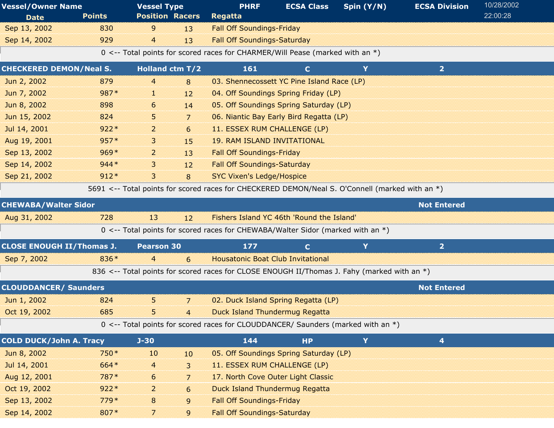| <b>Vessel/Owner Name</b>         |               | <b>Vessel Type</b>     |                | <b>PHRF</b><br><b>ECSA Class</b>                                                                |              | Spin $(Y/N)$ | <b>ECSA Division</b> | 10/28/2002 |
|----------------------------------|---------------|------------------------|----------------|-------------------------------------------------------------------------------------------------|--------------|--------------|----------------------|------------|
| <b>Date</b>                      | <b>Points</b> | <b>Position Racers</b> |                | Regatta                                                                                         |              |              |                      | 22:00:28   |
| Sep 13, 2002                     | 830           | 9                      | 13             | <b>Fall Off Soundings-Friday</b>                                                                |              |              |                      |            |
| Sep 14, 2002                     | 929           | $\overline{4}$         | 13             | <b>Fall Off Soundings-Saturday</b>                                                              |              |              |                      |            |
|                                  |               |                        |                | 0 <-- Total points for scored races for CHARMER/Will Pease (marked with an *)                   |              |              |                      |            |
| <b>CHECKERED DEMON/Neal S.</b>   |               | <b>Holland ctm T/2</b> |                | 161                                                                                             | $\mathbf{C}$ | Y            | 2 <sub>1</sub>       |            |
| Jun 2, 2002                      | 879           | 4                      | 8              | 03. Shennecossett YC Pine Island Race (LP)                                                      |              |              |                      |            |
| Jun 7, 2002                      | 987*          | ı.                     | 12             | 04. Off Soundings Spring Friday (LP)                                                            |              |              |                      |            |
| Jun 8, 2002                      | 898           | 6                      | 14             | 05. Off Soundings Spring Saturday (LP)                                                          |              |              |                      |            |
| Jun 15, 2002                     | 824           | 5.                     | 7              | 06. Niantic Bay Early Bird Regatta (LP)                                                         |              |              |                      |            |
| Jul 14, 2001                     | $922*$        | 2                      | 6              | 11. ESSEX RUM CHALLENGE (LP)                                                                    |              |              |                      |            |
| Aug 19, 2001                     | $957*$        | 3                      | 15             | <b>19. RAM ISLAND INVITATIONAL</b>                                                              |              |              |                      |            |
| Sep 13, 2002                     | $969*$        | $\overline{2}$         | 13             | <b>Fall Off Soundings-Friday</b>                                                                |              |              |                      |            |
| Sep 14, 2002                     | $944*$        | 3                      | 12             | <b>Fall Off Soundings-Saturday</b>                                                              |              |              |                      |            |
| Sep 21, 2002                     | $912*$        | 3                      | 8              | <b>SYC Vixen's Ledge/Hospice</b>                                                                |              |              |                      |            |
|                                  |               |                        |                | 5691 <-- Total points for scored races for CHECKERED DEMON/Neal S. O'Connell (marked with an *) |              |              |                      |            |
| <b>CHEWABA/Walter Sidor</b>      |               |                        |                |                                                                                                 |              |              | <b>Not Entered</b>   |            |
| Aug 31, 2002                     | 728           | 13                     | 12             | Fishers Island YC 46th 'Round the Island'                                                       |              |              |                      |            |
|                                  |               |                        |                | 0 <-- Total points for scored races for CHEWABA/Walter Sidor (marked with an *)                 |              |              |                      |            |
| <b>CLOSE ENOUGH II/Thomas J.</b> |               | <b>Pearson 30</b>      |                | 177                                                                                             | $\mathbf{C}$ | Y            | $\overline{2}$       |            |
| Sep 7, 2002                      | 836*          | $\overline{4}$         | 6              | <b>Housatonic Boat Club Invitational</b>                                                        |              |              |                      |            |
|                                  |               |                        |                | 836 <-- Total points for scored races for CLOSE ENOUGH II/Thomas J. Fahy (marked with an *)     |              |              |                      |            |
| <b>CLOUDDANCER/ Saunders</b>     |               |                        |                |                                                                                                 |              |              | <b>Not Entered</b>   |            |
| Jun 1, 2002                      | 824           | 5                      | 7              | 02. Duck Island Spring Regatta (LP)                                                             |              |              |                      |            |
| Oct 19, 2002                     | 685           | 5                      | $\overline{4}$ | <b>Duck Island Thundermug Regatta</b>                                                           |              |              |                      |            |
|                                  |               |                        |                | 0 <-- Total points for scored races for CLOUDDANCER/ Saunders (marked with an *)                |              |              |                      |            |
| <b>COLD DUCK/John A. Tracy</b>   |               | $J - 30$               |                | 144                                                                                             | <b>HP</b>    | Y            | 4                    |            |
| Jun 8, 2002                      | 750*          | 10                     | 10             | 05. Off Soundings Spring Saturday (LP)                                                          |              |              |                      |            |
| Jul 14, 2001                     | 664*          | $\overline{4}$         | 3              | 11. ESSEX RUM CHALLENGE (LP)                                                                    |              |              |                      |            |
| Aug 12, 2001                     | 787*          | 6                      | 7              | 17. North Cove Outer Light Classic                                                              |              |              |                      |            |
| Oct 19, 2002                     | $922*$        | 2                      | 6              | <b>Duck Island Thundermug Regatta</b>                                                           |              |              |                      |            |
| Sep 13, 2002                     | $779*$        | 8                      | 9              | <b>Fall Off Soundings-Friday</b>                                                                |              |              |                      |            |
| Sep 14, 2002                     | 807*          | 7                      | 9              | <b>Fall Off Soundings-Saturday</b>                                                              |              |              |                      |            |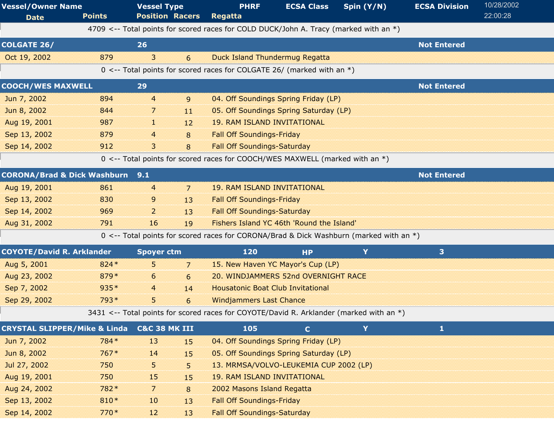| <b>Vessel/Owner Name</b>                |               | <b>Vessel Type</b>       |                | <b>PHRF</b>                                                                                             | <b>ECSA Class</b> | Spin (Y/N) | <b>ECSA Division</b>    | 10/28/2002<br>22:00:28 |
|-----------------------------------------|---------------|--------------------------|----------------|---------------------------------------------------------------------------------------------------------|-------------------|------------|-------------------------|------------------------|
| <b>Date</b>                             | <b>Points</b> | <b>Position Racers</b>   |                | <b>Regatta</b><br>4709 <-- Total points for scored races for COLD DUCK/John A. Tracy (marked with an *) |                   |            |                         |                        |
|                                         |               |                          |                |                                                                                                         |                   |            |                         |                        |
| <b>COLGATE 26/</b>                      |               | 26                       |                |                                                                                                         |                   |            | <b>Not Entered</b>      |                        |
| Oct 19, 2002                            | 879           | 3                        | 6              | <b>Duck Island Thundermug Regatta</b>                                                                   |                   |            |                         |                        |
|                                         |               |                          |                | 0 <-- Total points for scored races for COLGATE 26/ (marked with an $*)$                                |                   |            |                         |                        |
| <b>COOCH/WES MAXWELL</b>                |               | 29                       |                |                                                                                                         |                   |            | <b>Not Entered</b>      |                        |
| Jun 7, 2002                             | 894           | $\overline{4}$           | 9              | 04. Off Soundings Spring Friday (LP)                                                                    |                   |            |                         |                        |
| Jun 8, 2002                             | 844           | 7                        | 11             | 05. Off Soundings Spring Saturday (LP)                                                                  |                   |            |                         |                        |
| Aug 19, 2001                            | 987           | 11                       | 12             | <b>19. RAM ISLAND INVITATIONAL</b>                                                                      |                   |            |                         |                        |
| Sep 13, 2002                            | 879           | 4                        | 8              | <b>Fall Off Soundings-Friday</b>                                                                        |                   |            |                         |                        |
| Sep 14, 2002                            | 912           | 3                        | 8              | <b>Fall Off Soundings-Saturday</b>                                                                      |                   |            |                         |                        |
|                                         |               |                          |                | 0 <-- Total points for scored races for COOCH/WES MAXWELL (marked with an *)                            |                   |            |                         |                        |
| <b>CORONA/Brad &amp; Dick Washburn</b>  |               | 9.1                      |                |                                                                                                         |                   |            | <b>Not Entered</b>      |                        |
| Aug 19, 2001                            | 861           | 4                        | $\overline{7}$ | <b>19. RAM ISLAND INVITATIONAL</b>                                                                      |                   |            |                         |                        |
| Sep 13, 2002                            | 830           | 9                        | 13             | <b>Fall Off Soundings-Friday</b>                                                                        |                   |            |                         |                        |
| Sep 14, 2002                            | 969           | $\overline{2}$           | 13             | <b>Fall Off Soundings-Saturday</b>                                                                      |                   |            |                         |                        |
| Aug 31, 2002                            | 791           | 16                       | 19             | Fishers Island YC 46th 'Round the Island'                                                               |                   |            |                         |                        |
|                                         |               |                          |                | 0 <-- Total points for scored races for CORONA/Brad & Dick Washburn (marked with an *)                  |                   |            |                         |                        |
| <b>COYOTE/David R. Arklander</b>        |               | <b>Spoyer ctm</b>        |                | 120                                                                                                     | <b>HP</b>         | Y          | $\overline{\mathbf{3}}$ |                        |
| Aug 5, 2001                             | $824*$        | 5                        | $\overline{7}$ | 15. New Haven YC Mayor's Cup (LP)                                                                       |                   |            |                         |                        |
| Aug 23, 2002                            | 879*          | 6                        | 6              | 20. WINDJAMMERS 52nd OVERNIGHT RACE                                                                     |                   |            |                         |                        |
| Sep 7, 2002                             | $935*$        | 4                        | 14             | <b>Housatonic Boat Club Invitational</b>                                                                |                   |            |                         |                        |
| Sep 29, 2002                            | 793*          | 5.                       | 6              | <b>Windjammers Last Chance</b>                                                                          |                   |            |                         |                        |
|                                         |               |                          |                | 3431 <-- Total points for scored races for COYOTE/David R. Arklander (marked with an *)                 |                   |            |                         |                        |
| <b>CRYSTAL SLIPPER/Mike &amp; Linda</b> |               | <b>C&amp;C 38 MK III</b> |                | 105                                                                                                     | $\mathbf{C}$      | Y          | $\mathbf{1}$            |                        |
| Jun 7, 2002                             | 784*          | 13                       | 15             | 04. Off Soundings Spring Friday (LP)                                                                    |                   |            |                         |                        |
| Jun 8, 2002                             | $767*$        | 14                       | 15             | 05. Off Soundings Spring Saturday (LP)                                                                  |                   |            |                         |                        |
| Jul 27, 2002                            | 750           | 5.                       | 5              | 13. MRMSA/VOLVO-LEUKEMIA CUP 2002 (LP)                                                                  |                   |            |                         |                        |
| Aug 19, 2001                            | 750           | 15                       | 15             | <b>19. RAM ISLAND INVITATIONAL</b>                                                                      |                   |            |                         |                        |
| Aug 24, 2002                            | 782*          | 7                        | 8              | 2002 Masons Island Regatta                                                                              |                   |            |                         |                        |
| Sep 13, 2002                            | 810*          | 10                       | 13             | <b>Fall Off Soundings-Friday</b>                                                                        |                   |            |                         |                        |
| Sep 14, 2002                            | $770*$        | 12                       | 13             | <b>Fall Off Soundings-Saturday</b>                                                                      |                   |            |                         |                        |
|                                         |               |                          |                |                                                                                                         |                   |            |                         |                        |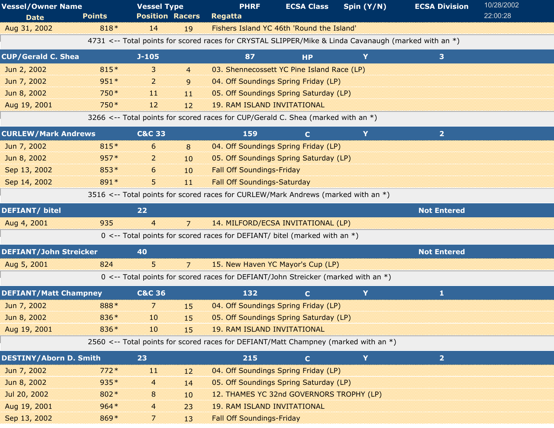| <b>Vessel/Owner Name</b>      | <b>Points</b> | <b>Vessel Type</b><br><b>Position Racers</b> |                | <b>PHRF</b><br><b>Regatta</b>                                                                        | <b>ECSA Class</b> | Spin (Y/N) | <b>ECSA Division</b> | 10/28/2002<br>22:00:28 |
|-------------------------------|---------------|----------------------------------------------|----------------|------------------------------------------------------------------------------------------------------|-------------------|------------|----------------------|------------------------|
| <b>Date</b><br>Aug 31, 2002   | 818*          | 14                                           | 19             | Fishers Island YC 46th 'Round the Island'                                                            |                   |            |                      |                        |
|                               |               |                                              |                | 4731 <-- Total points for scored races for CRYSTAL SLIPPER/Mike & Linda Cavanaugh (marked with an *) |                   |            |                      |                        |
| <b>CUP/Gerald C. Shea</b>     |               | $J-105$                                      |                | 87                                                                                                   | <b>HP</b>         | Y          | 3 <sup>1</sup>       |                        |
| Jun 2, 2002                   | 815*          | 3                                            | $\overline{4}$ | 03. Shennecossett YC Pine Island Race (LP)                                                           |                   |            |                      |                        |
| Jun 7, 2002                   | $951*$        | $\overline{2}$                               | 9              | 04. Off Soundings Spring Friday (LP)                                                                 |                   |            |                      |                        |
| Jun 8, 2002                   | 750*          | $\bf{11}$                                    | M              | 05. Off Soundings Spring Saturday (LP)                                                               |                   |            |                      |                        |
| Aug 19, 2001                  | 750 *         | 12                                           | 12             | <b>19. RAM ISLAND INVITATIONAL</b>                                                                   |                   |            |                      |                        |
|                               |               |                                              |                | 3266 <-- Total points for scored races for CUP/Gerald C. Shea (marked with an $*)$                   |                   |            |                      |                        |
| <b>CURLEW/Mark Andrews</b>    |               | <b>C&amp;C 33</b>                            |                | 159                                                                                                  | $\mathbf{C}$      | Y          | $\overline{2}$       |                        |
| Jun 7, 2002                   | 815*          | 6                                            | 8              | 04. Off Soundings Spring Friday (LP)                                                                 |                   |            |                      |                        |
| Jun 8, 2002                   | $957*$        | 2                                            | 10             | 05. Off Soundings Spring Saturday (LP)                                                               |                   |            |                      |                        |
| Sep 13, 2002                  | 853*          | 6                                            | 10             | <b>Fall Off Soundings-Friday</b>                                                                     |                   |            |                      |                        |
| Sep 14, 2002                  | 891*          | 5.                                           | 11             | <b>Fall Off Soundings-Saturday</b>                                                                   |                   |            |                      |                        |
|                               |               |                                              |                | 3516 <-- Total points for scored races for CURLEW/Mark Andrews (marked with an *)                    |                   |            |                      |                        |
| <b>DEFIANT/ bitel</b>         |               | 22                                           |                |                                                                                                      |                   |            | <b>Not Entered</b>   |                        |
| Aug 4, 2001                   | 935           | $\overline{4}$                               | $\overline{7}$ | 14. MILFORD/ECSA INVITATIONAL (LP)                                                                   |                   |            |                      |                        |
|                               |               |                                              |                | $0 \le -$ Total points for scored races for DEFIANT/ bitel (marked with an $*)$                      |                   |            |                      |                        |
| <b>DEFIANT/John Streicker</b> |               | 40                                           |                |                                                                                                      |                   |            | <b>Not Entered</b>   |                        |
| Aug 5, 2001                   | 824           | 5                                            | $\overline{7}$ | 15. New Haven YC Mayor's Cup (LP)                                                                    |                   |            |                      |                        |
|                               |               |                                              |                | 0 <-- Total points for scored races for DEFIANT/John Streicker (marked with an *)                    |                   |            |                      |                        |
| <b>DEFIANT/Matt Champney</b>  |               | <b>C&amp;C 36</b>                            |                | 132                                                                                                  | $\mathbf{C}$      | Y          | $\mathbf{1}$         |                        |
| Jun 7, 2002                   | 888*          | 7                                            | 15             | 04. Off Soundings Spring Friday (LP)                                                                 |                   |            |                      |                        |
| Jun 8, 2002                   | 836*          | 10                                           | 15             | 05. Off Soundings Spring Saturday (LP)                                                               |                   |            |                      |                        |
| Aug 19, 2001                  | 836*          | 10                                           | 15             | <b>19. RAM ISLAND INVITATIONAL</b>                                                                   |                   |            |                      |                        |
|                               |               |                                              |                | 2560 <-- Total points for scored races for DEFIANT/Matt Champney (marked with an *)                  |                   |            |                      |                        |
| <b>DESTINY/Aborn D. Smith</b> |               | 23                                           |                | 215                                                                                                  | $\mathbf{C}$      | Y          | 2 <sup>1</sup>       |                        |
| Jun 7, 2002                   | $772*$        | $\bf{11}$                                    | 12             | 04. Off Soundings Spring Friday (LP)                                                                 |                   |            |                      |                        |
| Jun 8, 2002                   | 935*          | $\overline{a}$                               | 14             | 05. Off Soundings Spring Saturday (LP)                                                               |                   |            |                      |                        |
| Jul 20, 2002                  | 802*          | 8                                            | 10             | 12. THAMES YC 32nd GOVERNORS TROPHY (LP)                                                             |                   |            |                      |                        |
| Aug 19, 2001                  | $964*$        | 4                                            | 23             | <b>19. RAM ISLAND INVITATIONAL</b>                                                                   |                   |            |                      |                        |
| Sep 13, 2002                  | 869*          | 7                                            | 13             | <b>Fall Off Soundings-Friday</b>                                                                     |                   |            |                      |                        |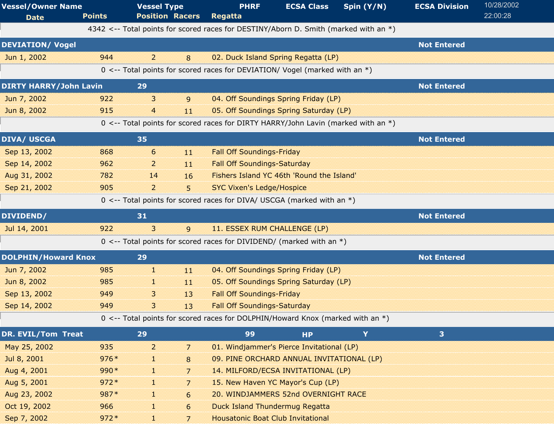| <b>Vessel/Owner Name</b><br><b>Date</b> | <b>Points</b> | <b>Vessel Type</b><br><b>Position Racers</b> | <b>PHRF</b><br><b>Regatta</b>                                                        | <b>ECSA Class</b>                         | Spin (Y/N) | <b>ECSA Division</b> | 10/28/2002<br>22:00:28 |
|-----------------------------------------|---------------|----------------------------------------------|--------------------------------------------------------------------------------------|-------------------------------------------|------------|----------------------|------------------------|
|                                         |               |                                              | 4342 <-- Total points for scored races for DESTINY/Aborn D. Smith (marked with an *) |                                           |            |                      |                        |
| <b>DEVIATION/ Vogel</b>                 |               |                                              |                                                                                      |                                           |            | <b>Not Entered</b>   |                        |
| Jun 1, 2002                             | 944           | $\overline{2}$<br>8                          |                                                                                      | 02. Duck Island Spring Regatta (LP)       |            |                      |                        |
|                                         |               |                                              | 0 <-- Total points for scored races for DEVIATION/ Vogel (marked with an *)          |                                           |            |                      |                        |
| <b>DIRTY HARRY/John Lavin</b>           |               | 29                                           |                                                                                      |                                           |            | <b>Not Entered</b>   |                        |
| Jun 7, 2002                             | 922           | 3<br>9                                       |                                                                                      | 04. Off Soundings Spring Friday (LP)      |            |                      |                        |
| Jun 8, 2002                             | 915           | $\overline{4}$<br>11                         |                                                                                      | 05. Off Soundings Spring Saturday (LP)    |            |                      |                        |
|                                         |               |                                              | 0 <-- Total points for scored races for DIRTY HARRY/John Lavin (marked with an *)    |                                           |            |                      |                        |
| <b>DIVA/ USCGA</b>                      |               | 35                                           |                                                                                      |                                           |            | <b>Not Entered</b>   |                        |
| Sep 13, 2002                            | 868           | 6<br>$11\,$                                  | <b>Fall Off Soundings-Friday</b>                                                     |                                           |            |                      |                        |
| Sep 14, 2002                            | 962           | 2<br>11                                      | <b>Fall Off Soundings-Saturday</b>                                                   |                                           |            |                      |                        |
| Aug 31, 2002                            | 782           | 14<br>16                                     |                                                                                      | Fishers Island YC 46th 'Round the Island' |            |                      |                        |
| Sep 21, 2002                            | 905           | $\overline{2}$<br>5                          | <b>SYC Vixen's Ledge/Hospice</b>                                                     |                                           |            |                      |                        |
|                                         |               |                                              | 0 <-- Total points for scored races for DIVA/ USCGA (marked with an *)               |                                           |            |                      |                        |
| DIVIDEND/                               |               | 31                                           |                                                                                      |                                           |            | <b>Not Entered</b>   |                        |
| Jul 14, 2001                            | 922           | 3<br>9                                       | 11. ESSEX RUM CHALLENGE (LP)                                                         |                                           |            |                      |                        |
|                                         |               |                                              | $0 \le -5$ Total points for scored races for DIVIDEND/ (marked with an *)            |                                           |            |                      |                        |
| <b>DOLPHIN/Howard Knox</b>              |               | 29                                           |                                                                                      |                                           |            | <b>Not Entered</b>   |                        |
| Jun 7, 2002                             | 985           | 1<br>11                                      |                                                                                      | 04. Off Soundings Spring Friday (LP)      |            |                      |                        |
| Jun 8, 2002                             | 985           | $11\,$<br>38                                 |                                                                                      | 05. Off Soundings Spring Saturday (LP)    |            |                      |                        |
| Sep 13, 2002                            | 949           | 13<br>3                                      | <b>Fall Off Soundings-Friday</b>                                                     |                                           |            |                      |                        |
| Sep 14, 2002                            | 949           | 3<br>13                                      | <b>Fall Off Soundings-Saturday</b>                                                   |                                           |            |                      |                        |
|                                         |               |                                              | 0 <-- Total points for scored races for DOLPHIN/Howard Knox (marked with an *)       |                                           |            |                      |                        |
| DR. EVIL/Tom Treat                      |               | 29                                           | 99                                                                                   | <b>HP</b>                                 | Y          | 3 <sup>1</sup>       |                        |
| May 25, 2002                            | 935           | $\overline{2}$<br>7                          |                                                                                      | 01. Windjammer's Pierce Invitational (LP) |            |                      |                        |
| Jul 8, 2001                             | $976*$        | 8<br>T.                                      |                                                                                      | 09. PINE ORCHARD ANNUAL INVITATIONAL (LP) |            |                      |                        |
| Aug 4, 2001                             | 990*          | T<br>$\overline{7}$                          |                                                                                      | 14. MILFORD/ECSA INVITATIONAL (LP)        |            |                      |                        |
| Aug 5, 2001                             | $972*$        | 7<br>×                                       |                                                                                      | 15. New Haven YC Mayor's Cup (LP)         |            |                      |                        |
| Aug 23, 2002                            | 987*          | 6<br>H.                                      |                                                                                      | 20. WINDJAMMERS 52nd OVERNIGHT RACE       |            |                      |                        |
| Oct 19, 2002                            | 966           | H.<br>6                                      | <b>Duck Island Thundermug Regatta</b>                                                |                                           |            |                      |                        |
| Sep 7, 2002                             | $972*$        | Œ.<br>7                                      | <b>Housatonic Boat Club Invitational</b>                                             |                                           |            |                      |                        |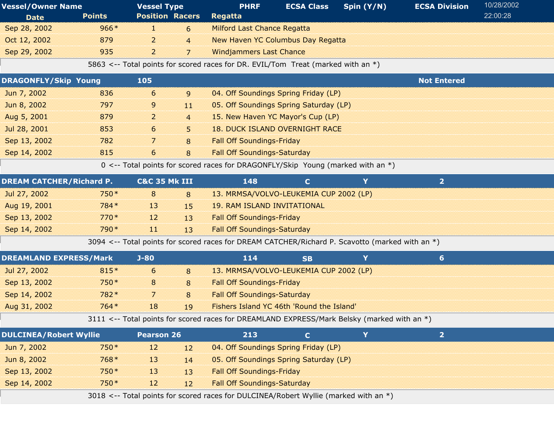| <b>Vessel/Owner Name</b>        |               | <b>Vessel Type</b>       |                | <b>PHRF</b>                                                                                     | <b>ECSA Class</b> | Spin (Y/N) | <b>ECSA Division</b> | 10/28/2002 |
|---------------------------------|---------------|--------------------------|----------------|-------------------------------------------------------------------------------------------------|-------------------|------------|----------------------|------------|
| <b>Date</b>                     | <b>Points</b> | <b>Position Racers</b>   |                | Regatta                                                                                         |                   |            |                      | 22:00:28   |
| Sep 28, 2002                    | $966*$        | r                        | 6              | <b>Milford Last Chance Regatta</b>                                                              |                   |            |                      |            |
| Oct 12, 2002                    | 879           | $\overline{2}$           | $\overline{4}$ | <b>New Haven YC Columbus Day Regatta</b>                                                        |                   |            |                      |            |
| Sep 29, 2002                    | 935           | $\overline{a}$           | $\overline{7}$ | <b>Windjammers Last Chance</b>                                                                  |                   |            |                      |            |
|                                 |               |                          |                | 5863 <-- Total points for scored races for DR. EVIL/Tom Treat (marked with an *)                |                   |            |                      |            |
| <b>DRAGONFLY/Skip Young</b>     |               | 105                      |                |                                                                                                 |                   |            | <b>Not Entered</b>   |            |
| Jun 7, 2002                     | 836           | 6                        | 9              | 04. Off Soundings Spring Friday (LP)                                                            |                   |            |                      |            |
| Jun 8, 2002                     | 797           | 9                        | 11             | 05. Off Soundings Spring Saturday (LP)                                                          |                   |            |                      |            |
| Aug 5, 2001                     | 879           | $\overline{a}$           | $\overline{4}$ | 15. New Haven YC Mayor's Cup (LP)                                                               |                   |            |                      |            |
| Jul 28, 2001                    | 853           | 6                        | 5              | <b>18. DUCK ISLAND OVERNIGHT RACE</b>                                                           |                   |            |                      |            |
| Sep 13, 2002                    | 782           | 7                        | 8              | <b>Fall Off Soundings-Friday</b>                                                                |                   |            |                      |            |
| Sep 14, 2002                    | 815           | 6                        | 8              | <b>Fall Off Soundings-Saturday</b>                                                              |                   |            |                      |            |
|                                 |               |                          |                | 0 <-- Total points for scored races for DRAGONFLY/Skip Young (marked with an *)                 |                   |            |                      |            |
| <b>DREAM CATCHER/Richard P.</b> |               | <b>C&amp;C 35 Mk III</b> |                | 148                                                                                             | $\mathbf{C}$      | Y          | 2 <sup>1</sup>       |            |
| Jul 27, 2002                    | 750*          | 8                        | 8              | 13. MRMSA/VOLVO-LEUKEMIA CUP 2002 (LP)                                                          |                   |            |                      |            |
| Aug 19, 2001                    | 784 *         | 13                       | 15             | <b>19. RAM ISLAND INVITATIONAL</b>                                                              |                   |            |                      |            |
| Sep 13, 2002                    | $770*$        | 12                       | 13             | <b>Fall Off Soundings-Friday</b>                                                                |                   |            |                      |            |
| Sep 14, 2002                    | 790*          | w                        | 13             | <b>Fall Off Soundings-Saturday</b>                                                              |                   |            |                      |            |
|                                 |               |                          |                | 3094 <-- Total points for scored races for DREAM CATCHER/Richard P. Scavotto (marked with an *) |                   |            |                      |            |
| <b>DREAMLAND EXPRESS/Mark</b>   |               | $J - 80$                 |                | 114                                                                                             | <b>SB</b>         | Y          | $6 \overline{6}$     |            |
| Jul 27, 2002                    | 815*          | 6                        | 8              | 13. MRMSA/VOLVO-LEUKEMIA CUP 2002 (LP)                                                          |                   |            |                      |            |
| Sep 13, 2002                    | 750*          | 8                        | 8              | <b>Fall Off Soundings-Friday</b>                                                                |                   |            |                      |            |
| Sep 14, 2002                    | 782*          | 7                        | 8              | <b>Fall Off Soundings-Saturday</b>                                                              |                   |            |                      |            |
| Aug 31, 2002                    | $764*$        | 18                       | 19             | Fishers Island YC 46th 'Round the Island'                                                       |                   |            |                      |            |
|                                 |               |                          |                | 3111 <-- Total points for scored races for DREAMLAND EXPRESS/Mark Belsky (marked with an *)     |                   |            |                      |            |
| <b>DULCINEA/Robert Wyllie</b>   |               | <b>Pearson 26</b>        |                | 213                                                                                             | $\mathbf{C}$      | Y          | $\overline{2}$       |            |
| Jun 7, 2002                     | 750*          | 12                       | 12             | 04. Off Soundings Spring Friday (LP)                                                            |                   |            |                      |            |
| Jun 8, 2002                     | $768*$        | 13                       | 14             | 05. Off Soundings Spring Saturday (LP)                                                          |                   |            |                      |            |
| Sep 13, 2002                    | 750*          | 13                       | 13             | <b>Fall Off Soundings-Friday</b>                                                                |                   |            |                      |            |
| Sep 14, 2002                    | 750 *         | 12                       | 12             | <b>Fall Off Soundings-Saturday</b>                                                              |                   |            |                      |            |
|                                 |               |                          |                | 3018 <-- Total points for scored races for DULCINEA/Robert Wyllie (marked with an *)            |                   |            |                      |            |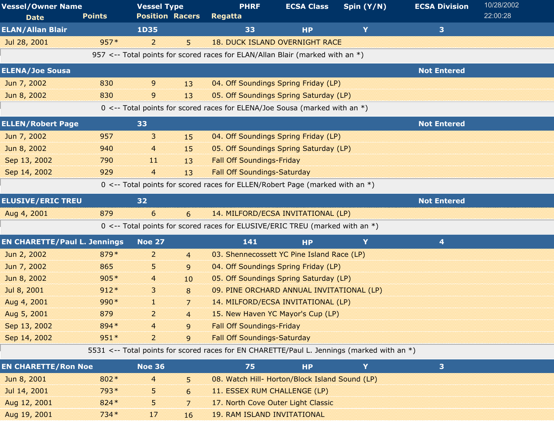| <b>Vessel/Owner Name</b><br><b>Date</b> | <b>Points</b> | <b>Vessel Type</b><br><b>Position Racers</b> |                  | <b>PHRF</b><br>Regatta                                                                     | <b>ECSA Class</b> | Spin (Y/N) | <b>ECSA Division</b> | 10/28/2002<br>22:00:28 |
|-----------------------------------------|---------------|----------------------------------------------|------------------|--------------------------------------------------------------------------------------------|-------------------|------------|----------------------|------------------------|
| <b>ELAN/Allan Blair</b>                 |               | <b>1D35</b>                                  |                  | 33                                                                                         | <b>HP</b>         | Y          | 3                    |                        |
| Jul 28, 2001                            | $957*$        | $\overline{2}$                               | 5                | <b>18. DUCK ISLAND OVERNIGHT RACE</b>                                                      |                   |            |                      |                        |
|                                         |               |                                              |                  | 957 <-- Total points for scored races for ELAN/Allan Blair (marked with an *)              |                   |            |                      |                        |
| <b>ELENA/Joe Sousa</b>                  |               |                                              |                  |                                                                                            |                   |            | <b>Not Entered</b>   |                        |
| Jun 7, 2002                             | 830           | 9                                            | 13               | 04. Off Soundings Spring Friday (LP)                                                       |                   |            |                      |                        |
| Jun 8, 2002                             | 830           | 9                                            | 13               | 05. Off Soundings Spring Saturday (LP)                                                     |                   |            |                      |                        |
|                                         |               |                                              |                  | 0 <-- Total points for scored races for ELENA/Joe Sousa (marked with an $*$ )              |                   |            |                      |                        |
| <b>ELLEN/Robert Page</b>                |               | 33                                           |                  |                                                                                            |                   |            | <b>Not Entered</b>   |                        |
| Jun 7, 2002                             | 957           | 3                                            | 15               | 04. Off Soundings Spring Friday (LP)                                                       |                   |            |                      |                        |
| Jun 8, 2002                             | 940           | 4                                            | 15               | 05. Off Soundings Spring Saturday (LP)                                                     |                   |            |                      |                        |
| Sep 13, 2002                            | 790           | -11                                          | 13               | <b>Fall Off Soundings-Friday</b>                                                           |                   |            |                      |                        |
| Sep 14, 2002                            | 929           | 4                                            | 13               | <b>Fall Off Soundings-Saturday</b>                                                         |                   |            |                      |                        |
|                                         |               |                                              |                  | 0 <-- Total points for scored races for ELLEN/Robert Page (marked with an *)               |                   |            |                      |                        |
| <b>ELUSIVE/ERIC TREU</b>                |               | 32                                           |                  |                                                                                            |                   |            | <b>Not Entered</b>   |                        |
| Aug 4, 2001                             | 879           | 6                                            | 6                | 14. MILFORD/ECSA INVITATIONAL (LP)                                                         |                   |            |                      |                        |
|                                         |               |                                              |                  | 0 <-- Total points for scored races for ELUSIVE/ERIC TREU (marked with an *)               |                   |            |                      |                        |
| <b>EN CHARETTE/Paul L. Jennings</b>     |               | <b>Noe 27</b>                                |                  | 141                                                                                        | <b>HP</b>         | Y          | 4                    |                        |
| Jun 2, 2002                             | 879*          | 2                                            | $\overline{4}$   | 03. Shennecossett YC Pine Island Race (LP)                                                 |                   |            |                      |                        |
| Jun 7, 2002                             | 865           | 5                                            | 9                | 04. Off Soundings Spring Friday (LP)                                                       |                   |            |                      |                        |
| Jun 8, 2002                             | $905*$        | 4                                            | 10 <sup>10</sup> | 05. Off Soundings Spring Saturday (LP)                                                     |                   |            |                      |                        |
| Jul 8, 2001                             | $912*$        | 3                                            | 8                | 09. PINE ORCHARD ANNUAL INVITATIONAL (LP)                                                  |                   |            |                      |                        |
| Aug 4, 2001                             | $990*$        | 1                                            | 7                | 14. MILFORD/ECSA INVITATIONAL (LP)                                                         |                   |            |                      |                        |
| Aug 5, 2001                             | 879           | $\overline{a}$                               | $\overline{4}$   | 15. New Haven YC Mayor's Cup (LP)                                                          |                   |            |                      |                        |
| Sep 13, 2002                            | 894*          | 4                                            | 9                | <b>Fall Off Soundings-Friday</b>                                                           |                   |            |                      |                        |
| Sep 14, 2002                            | $951*$        | 2                                            | 9                | <b>Fall Off Soundings-Saturday</b>                                                         |                   |            |                      |                        |
|                                         |               |                                              |                  | 5531 <-- Total points for scored races for EN CHARETTE/Paul L. Jennings (marked with an *) |                   |            |                      |                        |
| <b>EN CHARETTE/Ron Noe</b>              |               | <b>Noe 36</b>                                |                  | 75                                                                                         | <b>HP</b>         | Y          | 3                    |                        |
| Jun 8, 2001                             | 802*          | 4                                            | 5.               | 08. Watch Hill- Horton/Block Island Sound (LP)                                             |                   |            |                      |                        |
| Jul 14, 2001                            | 793*          | 5                                            | 6                | 11. ESSEX RUM CHALLENGE (LP)                                                               |                   |            |                      |                        |
| Aug 12, 2001                            | 824 *         | 5                                            | 7                | 17. North Cove Outer Light Classic                                                         |                   |            |                      |                        |
| Aug 19, 2001                            | $734*$        | 17                                           | 16               | 19. RAM ISLAND INVITATIONAL                                                                |                   |            |                      |                        |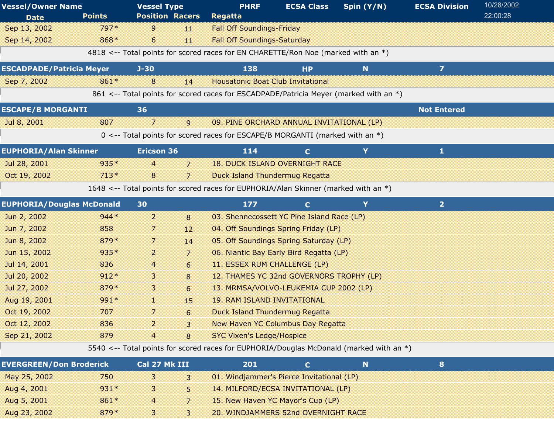| <b>Vessel/Owner Name</b>         |               | <b>Vessel Type</b>     |                | <b>PHRF</b>                                                                             | <b>ECSA Class</b> | Spin (Y/N)  | <b>ECSA Division</b> | 10/28/2002 |  |
|----------------------------------|---------------|------------------------|----------------|-----------------------------------------------------------------------------------------|-------------------|-------------|----------------------|------------|--|
| <b>Date</b>                      | <b>Points</b> | <b>Position Racers</b> |                | <b>Regatta</b>                                                                          |                   |             |                      | 22:00:28   |  |
| Sep 13, 2002                     | 797*          | 9                      | 11             | <b>Fall Off Soundings-Friday</b>                                                        |                   |             |                      |            |  |
| Sep 14, 2002                     | 868*          | 6                      | 11             | <b>Fall Off Soundings-Saturday</b>                                                      |                   |             |                      |            |  |
|                                  |               |                        |                | 4818 <-- Total points for scored races for EN CHARETTE/Ron Noe (marked with an *)       |                   |             |                      |            |  |
| <b>ESCADPADE/Patricia Meyer</b>  |               | $J-30$                 |                | 138                                                                                     | <b>HP</b>         | N           | $\overline{7}$       |            |  |
| Sep 7, 2002                      | 861*          | 8                      | 14             | <b>Housatonic Boat Club Invitational</b>                                                |                   |             |                      |            |  |
|                                  |               |                        |                | 861 <-- Total points for scored races for ESCADPADE/Patricia Meyer (marked with an *)   |                   |             |                      |            |  |
| <b>ESCAPE/B MORGANTI</b>         |               | 36                     |                |                                                                                         |                   |             | <b>Not Entered</b>   |            |  |
| Jul 8, 2001                      | 807           | $\overline{7}$         | 9              | 09. PINE ORCHARD ANNUAL INVITATIONAL (LP)                                               |                   |             |                      |            |  |
|                                  |               |                        |                | 0 <-- Total points for scored races for ESCAPE/B MORGANTI (marked with an *)            |                   |             |                      |            |  |
| <b>EUPHORIA/Alan Skinner</b>     |               | <b>Ericson 36</b>      |                | 114                                                                                     | $\mathbf{C}$      | Y           | 1                    |            |  |
| Jul 28, 2001                     | $935*$        | $\overline{4}$         | 7              | <b>18. DUCK ISLAND OVERNIGHT RACE</b>                                                   |                   |             |                      |            |  |
| Oct 19, 2002                     | $713*$        | 8                      | $\overline{7}$ | <b>Duck Island Thundermug Regatta</b>                                                   |                   |             |                      |            |  |
|                                  |               |                        |                | 1648 <-- Total points for scored races for EUPHORIA/Alan Skinner (marked with an *)     |                   |             |                      |            |  |
| <b>EUPHORIA/Douglas McDonald</b> |               | 30                     |                | 177                                                                                     | $\mathbf{C}$      | Y           | 2 <sup>1</sup>       |            |  |
| Jun 2, 2002                      | $944*$        | $\overline{2}$         | 8              | 03. Shennecossett YC Pine Island Race (LP)                                              |                   |             |                      |            |  |
| Jun 7, 2002                      | 858           | 7                      | 12             | 04. Off Soundings Spring Friday (LP)                                                    |                   |             |                      |            |  |
| Jun 8, 2002                      | 879*          | 7                      | 14             | 05. Off Soundings Spring Saturday (LP)                                                  |                   |             |                      |            |  |
| Jun 15, 2002                     | $935*$        | $\overline{c}$         | 7              | 06. Niantic Bay Early Bird Regatta (LP)                                                 |                   |             |                      |            |  |
| Jul 14, 2001                     | 836           | 4                      | 6              | 11. ESSEX RUM CHALLENGE (LP)                                                            |                   |             |                      |            |  |
| Jul 20, 2002                     | $912*$        | 3                      | 8              | 12. THAMES YC 32nd GOVERNORS TROPHY (LP)                                                |                   |             |                      |            |  |
| Jul 27, 2002                     | 879*          | 3                      | 6              | 13. MRMSA/VOLVO-LEUKEMIA CUP 2002 (LP)                                                  |                   |             |                      |            |  |
| Aug 19, 2001                     | 991 *         | H.                     | 15             | <b>19. RAM ISLAND INVITATIONAL</b>                                                      |                   |             |                      |            |  |
| Oct 19, 2002                     | 707           | 7                      | 6              | Duck Island Thundermug Regatta                                                          |                   |             |                      |            |  |
| Oct 12, 2002                     | 836           | 2                      | 3              | <b>New Haven YC Columbus Day Regatta</b>                                                |                   |             |                      |            |  |
| Sep 21, 2002                     | 879           | $\overline{4}$         | 8              | <b>SYC Vixen's Ledge/Hospice</b>                                                        |                   |             |                      |            |  |
|                                  |               |                        |                | 5540 <-- Total points for scored races for EUPHORIA/Douglas McDonald (marked with an *) |                   |             |                      |            |  |
| <b>EVERGREEN/Don Broderick</b>   |               | Cal 27 Mk III          |                | 201                                                                                     | $\mathbf{C}$      | $\mathbf N$ | 8                    |            |  |
| May 25, 2002                     | 750           | 3                      | 3              | 01. Windjammer's Pierce Invitational (LP)                                               |                   |             |                      |            |  |
| Aug 4, 2001                      | $931*$        | 3                      | 5              | 14. MILFORD/ECSA INVITATIONAL (LP)                                                      |                   |             |                      |            |  |
| Aug 5, 2001                      | 861*          | 4                      | 7              | 15. New Haven YC Mayor's Cup (LP)                                                       |                   |             |                      |            |  |
| Aug 23, 2002                     | 879*          | $\mathbf{3}$           | 3              | 20. WINDJAMMERS 52nd OVERNIGHT RACE                                                     |                   |             |                      |            |  |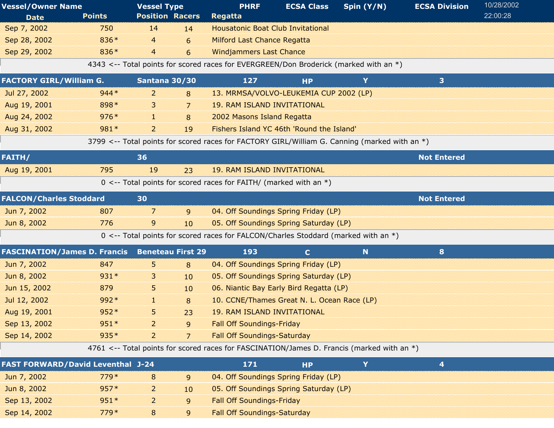| <b>Vessel/Owner Name</b>                 |               | <b>Vessel Type</b>       |    | <b>PHRF</b>                                                                           | <b>ECSA Class</b> | Spin (Y/N)                                                                                    | <b>ECSA Division</b>    | 10/28/2002 |
|------------------------------------------|---------------|--------------------------|----|---------------------------------------------------------------------------------------|-------------------|-----------------------------------------------------------------------------------------------|-------------------------|------------|
| <b>Date</b>                              | <b>Points</b> | <b>Position Racers</b>   |    | <b>Regatta</b>                                                                        |                   |                                                                                               |                         | 22:00:28   |
| Sep 7, 2002                              | 750           | 14                       | 14 | <b>Housatonic Boat Club Invitational</b>                                              |                   |                                                                                               |                         |            |
| Sep 28, 2002                             | 836*          | 4                        | 6  | <b>Milford Last Chance Regatta</b>                                                    |                   |                                                                                               |                         |            |
| Sep 29, 2002                             | 836*          | $\overline{4}$           | 6  | <b>Windjammers Last Chance</b>                                                        |                   |                                                                                               |                         |            |
|                                          |               |                          |    | 4343 <-- Total points for scored races for EVERGREEN/Don Broderick (marked with an *) |                   |                                                                                               |                         |            |
| <b>FACTORY GIRL/William G.</b>           |               | Santana 30/30            |    | 127                                                                                   | <b>HP</b>         | Y                                                                                             | 3                       |            |
| Jul 27, 2002                             | $944*$        | $\overline{a}$           | 8  | 13. MRMSA/VOLVO-LEUKEMIA CUP 2002 (LP)                                                |                   |                                                                                               |                         |            |
| Aug 19, 2001                             | 898*          | 3                        | 7  | <b>19. RAM ISLAND INVITATIONAL</b>                                                    |                   |                                                                                               |                         |            |
| Aug 24, 2002                             | $976*$        | r                        | 8  | 2002 Masons Island Regatta                                                            |                   |                                                                                               |                         |            |
| Aug 31, 2002                             | 981*          | $\overline{a}$           | 19 | Fishers Island YC 46th 'Round the Island'                                             |                   |                                                                                               |                         |            |
|                                          |               |                          |    |                                                                                       |                   | 3799 <-- Total points for scored races for FACTORY GIRL/William G. Canning (marked with an *) |                         |            |
| FAITH/                                   |               | 36                       |    |                                                                                       |                   |                                                                                               | <b>Not Entered</b>      |            |
| Aug 19, 2001                             | 795           | 19                       | 23 | <b>19. RAM ISLAND INVITATIONAL</b>                                                    |                   |                                                                                               |                         |            |
|                                          |               |                          |    | $0 \le -$ Total points for scored races for FAITH/ (marked with an *)                 |                   |                                                                                               |                         |            |
| <b>FALCON/Charles Stoddard</b>           |               | 30                       |    |                                                                                       |                   |                                                                                               | <b>Not Entered</b>      |            |
| Jun 7, 2002                              | 807           | 7                        | 9  | 04. Off Soundings Spring Friday (LP)                                                  |                   |                                                                                               |                         |            |
| Jun 8, 2002                              | 776           | 9                        | 10 | 05. Off Soundings Spring Saturday (LP)                                                |                   |                                                                                               |                         |            |
|                                          |               |                          |    | 0 <-- Total points for scored races for FALCON/Charles Stoddard (marked with an *)    |                   |                                                                                               |                         |            |
| <b>FASCINATION/James D. Francis</b>      |               | <b>Beneteau First 29</b> |    | 193                                                                                   | $\mathbf{C}$      | N                                                                                             | 8                       |            |
| Jun 7, 2002                              | 847           | 5.                       | 8  | 04. Off Soundings Spring Friday (LP)                                                  |                   |                                                                                               |                         |            |
| Jun 8, 2002                              | 931*          | 3                        | 10 | 05. Off Soundings Spring Saturday (LP)                                                |                   |                                                                                               |                         |            |
| Jun 15, 2002                             | 879           | 5                        | 10 | 06. Niantic Bay Early Bird Regatta (LP)                                               |                   |                                                                                               |                         |            |
| Jul 12, 2002                             | 992*          | H.                       | 8  | 10. CCNE/Thames Great N. L. Ocean Race (LP)                                           |                   |                                                                                               |                         |            |
| Aug 19, 2001                             | 952*          | 5                        | 23 | <b>19. RAM ISLAND INVITATIONAL</b>                                                    |                   |                                                                                               |                         |            |
| Sep 13, 2002                             | $951*$        | $\overline{a}$           | 9  | <b>Fall Off Soundings-Friday</b>                                                      |                   |                                                                                               |                         |            |
| Sep 14, 2002                             | 935*          | $\overline{a}$           | 7  | <b>Fall Off Soundings-Saturday</b>                                                    |                   |                                                                                               |                         |            |
|                                          |               |                          |    |                                                                                       |                   | 4761 <-- Total points for scored races for FASCINATION/James D. Francis (marked with an *)    |                         |            |
| <b>FAST FORWARD/David Leventhal J-24</b> |               |                          |    | 171                                                                                   | <b>HP</b>         | Y                                                                                             | $\overline{\mathbf{4}}$ |            |
| Jun 7, 2002                              | $779*$        | 8                        | 9  | 04. Off Soundings Spring Friday (LP)                                                  |                   |                                                                                               |                         |            |
| Jun 8, 2002                              | $957*$        | 2                        | 10 | 05. Off Soundings Spring Saturday (LP)                                                |                   |                                                                                               |                         |            |
| Sep 13, 2002                             | $951*$        | $\overline{2}$           | 9  | <b>Fall Off Soundings-Friday</b>                                                      |                   |                                                                                               |                         |            |
| Sep 14, 2002                             | $779*$        | 8                        | 9  | <b>Fall Off Soundings-Saturday</b>                                                    |                   |                                                                                               |                         |            |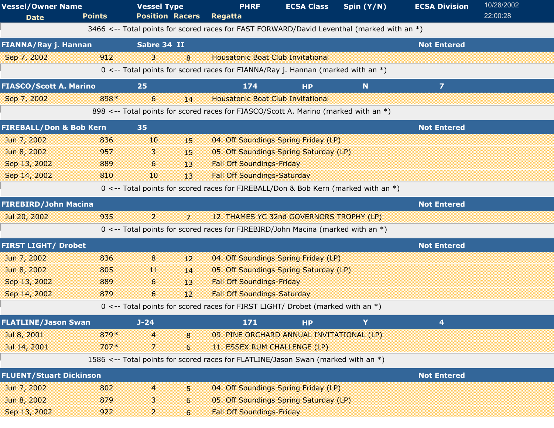| <b>Vessel/Owner Name</b><br><b>Date</b> | <b>Points</b> | <b>Vessel Type</b><br><b>Position Racers</b> |    | <b>PHRF</b><br>Regatta                                                                     | <b>ECSA Class</b> | Spin (Y/N)  | <b>ECSA Division</b>    | 10/28/2002<br>22:00:28 |
|-----------------------------------------|---------------|----------------------------------------------|----|--------------------------------------------------------------------------------------------|-------------------|-------------|-------------------------|------------------------|
|                                         |               |                                              |    | 3466 <-- Total points for scored races for FAST FORWARD/David Leventhal (marked with an *) |                   |             |                         |                        |
| FIANNA/Ray j. Hannan                    |               | Sabre 34 II                                  |    |                                                                                            |                   |             | <b>Not Entered</b>      |                        |
| Sep 7, 2002                             | 912           | 3                                            | 8  | <b>Housatonic Boat Club Invitational</b>                                                   |                   |             |                         |                        |
|                                         |               |                                              |    | 0 <-- Total points for scored races for FIANNA/Ray j. Hannan (marked with an $*$ )         |                   |             |                         |                        |
| <b>FIASCO/Scott A. Marino</b>           |               | 25                                           |    | 174                                                                                        | <b>HP</b>         | $\mathbf N$ | $\overline{\mathbf{z}}$ |                        |
| Sep 7, 2002                             | 898*          | 6                                            | 14 | <b>Housatonic Boat Club Invitational</b>                                                   |                   |             |                         |                        |
|                                         |               |                                              |    | 898 <-- Total points for scored races for FIASCO/Scott A. Marino (marked with an *)        |                   |             |                         |                        |
| <b>FIREBALL/Don &amp; Bob Kern</b>      |               | 35                                           |    |                                                                                            |                   |             | <b>Not Entered</b>      |                        |
| Jun 7, 2002                             | 836           | 10                                           | 15 | 04. Off Soundings Spring Friday (LP)                                                       |                   |             |                         |                        |
| Jun 8, 2002                             | 957           | 3                                            | 15 | 05. Off Soundings Spring Saturday (LP)                                                     |                   |             |                         |                        |
| Sep 13, 2002                            | 889           | 6                                            | 13 | <b>Fall Off Soundings-Friday</b>                                                           |                   |             |                         |                        |
| Sep 14, 2002                            | 810           | 10                                           | 13 | <b>Fall Off Soundings-Saturday</b>                                                         |                   |             |                         |                        |
|                                         |               |                                              |    | 0 <-- Total points for scored races for FIREBALL/Don & Bob Kern (marked with an *)         |                   |             |                         |                        |
| <b>FIREBIRD/John Macina</b>             |               |                                              |    |                                                                                            |                   |             | <b>Not Entered</b>      |                        |
| Jul 20, 2002                            | 935           | 2                                            | 7  | 12. THAMES YC 32nd GOVERNORS TROPHY (LP)                                                   |                   |             |                         |                        |
|                                         |               |                                              |    | 0 <-- Total points for scored races for FIREBIRD/John Macina (marked with an $*)$          |                   |             |                         |                        |
| <b>FIRST LIGHT/ Drobet</b>              |               |                                              |    |                                                                                            |                   |             | <b>Not Entered</b>      |                        |
| Jun 7, 2002                             | 836           | 8                                            | 12 | 04. Off Soundings Spring Friday (LP)                                                       |                   |             |                         |                        |
| Jun 8, 2002                             | 805           | 11                                           | 14 | 05. Off Soundings Spring Saturday (LP)                                                     |                   |             |                         |                        |
| Sep 13, 2002                            | 889           | 6                                            | 13 | <b>Fall Off Soundings-Friday</b>                                                           |                   |             |                         |                        |
| Sep 14, 2002                            | 879           | 6                                            | 12 | <b>Fall Off Soundings-Saturday</b>                                                         |                   |             |                         |                        |
|                                         |               |                                              |    | 0 <-- Total points for scored races for FIRST LIGHT/ Drobet (marked with an *)             |                   |             |                         |                        |
| <b>FLATLINE/Jason Swan</b>              |               | $J - 24$                                     |    | 171                                                                                        | <b>HP</b>         | Y           | 4                       |                        |
| Jul 8, 2001                             | 879*          | 4                                            | 8  | 09. PINE ORCHARD ANNUAL INVITATIONAL (LP)                                                  |                   |             |                         |                        |
| Jul 14, 2001                            | $707*$        | 7                                            | 6  | 11. ESSEX RUM CHALLENGE (LP)                                                               |                   |             |                         |                        |
|                                         |               |                                              |    | 1586 <-- Total points for scored races for FLATLINE/Jason Swan (marked with an *)          |                   |             |                         |                        |
| <b>FLUENT/Stuart Dickinson</b>          |               |                                              |    |                                                                                            |                   |             | <b>Not Entered</b>      |                        |
| Jun 7, 2002                             | 802           | 4                                            | 5. | 04. Off Soundings Spring Friday (LP)                                                       |                   |             |                         |                        |
| Jun 8, 2002                             | 879           | 3                                            | 6  | 05. Off Soundings Spring Saturday (LP)                                                     |                   |             |                         |                        |
| Sep 13, 2002                            | 922           | $\overline{a}$                               | 6  | <b>Fall Off Soundings-Friday</b>                                                           |                   |             |                         |                        |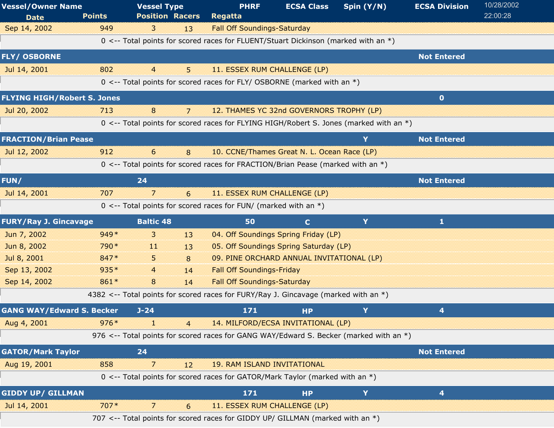| <b>Vessel/Owner Name</b><br><b>Date</b> | <b>Points</b> | <b>Vessel Type</b><br><b>Position Racers</b> |                | <b>PHRF</b><br><b>Regatta</b>                                                             | <b>ECSA Class</b> | Spin (Y/N) | <b>ECSA Division</b> | 10/28/2002<br>22:00:28 |
|-----------------------------------------|---------------|----------------------------------------------|----------------|-------------------------------------------------------------------------------------------|-------------------|------------|----------------------|------------------------|
| Sep 14, 2002                            | 949           | 3                                            | 13             | <b>Fall Off Soundings-Saturday</b>                                                        |                   |            |                      |                        |
|                                         |               |                                              |                | 0 <-- Total points for scored races for FLUENT/Stuart Dickinson (marked with an *)        |                   |            |                      |                        |
| <b>FLY/ OSBORNE</b>                     |               |                                              |                |                                                                                           |                   |            | <b>Not Entered</b>   |                        |
| Jul 14, 2001                            | 802           | $\overline{4}$                               | 5              | 11. ESSEX RUM CHALLENGE (LP)                                                              |                   |            |                      |                        |
|                                         |               |                                              |                | 0 <-- Total points for scored races for FLY/ OSBORNE (marked with an *)                   |                   |            |                      |                        |
| <b>FLYING HIGH/Robert S. Jones</b>      |               |                                              |                |                                                                                           |                   |            | $\mathbf{0}$         |                        |
| Jul 20, 2002                            | 713           | 8                                            | 7              | 12. THAMES YC 32nd GOVERNORS TROPHY (LP)                                                  |                   |            |                      |                        |
|                                         |               |                                              |                | 0 <-- Total points for scored races for FLYING HIGH/Robert S. Jones (marked with an $*$ ) |                   |            |                      |                        |
| <b>FRACTION/Brian Pease</b>             |               |                                              |                |                                                                                           |                   | Y          | <b>Not Entered</b>   |                        |
| Jul 12, 2002                            | 912           | 6                                            | 8              | 10. CCNE/Thames Great N. L. Ocean Race (LP)                                               |                   |            |                      |                        |
|                                         |               |                                              |                | 0 <-- Total points for scored races for FRACTION/Brian Pease (marked with an *)           |                   |            |                      |                        |
| FUN/                                    |               | 24                                           |                |                                                                                           |                   |            | <b>Not Entered</b>   |                        |
| Jul 14, 2001                            | 707           | $\overline{\phantom{a}}$                     | 6              | 11. ESSEX RUM CHALLENGE (LP)                                                              |                   |            |                      |                        |
|                                         |               |                                              |                | $0 \le -$ Total points for scored races for FUN/ (marked with an $*)$                     |                   |            |                      |                        |
| <b>FURY/Ray J. Gincavage</b>            |               | <b>Baltic 48</b>                             |                | 50                                                                                        | $\mathbf{C}$      | Y          | $\mathbf{1}$         |                        |
| Jun 7, 2002                             | $949*$        | $\overline{3}$                               | 13             | 04. Off Soundings Spring Friday (LP)                                                      |                   |            |                      |                        |
| Jun 8, 2002                             | 790*          | -11                                          | 13             | 05. Off Soundings Spring Saturday (LP)                                                    |                   |            |                      |                        |
| Jul 8, 2001                             | 847*          | 5                                            | 8              | 09. PINE ORCHARD ANNUAL INVITATIONAL (LP)                                                 |                   |            |                      |                        |
| Sep 13, 2002                            | 935*          | $\overline{4}$                               | 14             | <b>Fall Off Soundings-Friday</b>                                                          |                   |            |                      |                        |
| Sep 14, 2002                            | 861*          | 8                                            | 14             | <b>Fall Off Soundings-Saturday</b>                                                        |                   |            |                      |                        |
|                                         |               |                                              |                | 4382 <-- Total points for scored races for FURY/Ray J. Gincavage (marked with an *)       |                   |            |                      |                        |
| <b>GANG WAY/Edward S. Becker</b>        |               | $J - 24$                                     |                | 171                                                                                       | <b>HP</b>         | Y          | 4                    |                        |
| Aug 4, 2001                             | $976*$        | T                                            | $\overline{4}$ | 14. MILFORD/ECSA INVITATIONAL (LP)                                                        |                   |            |                      |                        |
|                                         |               |                                              |                | 976 <-- Total points for scored races for GANG WAY/Edward S. Becker (marked with an *)    |                   |            |                      |                        |
| <b>GATOR/Mark Taylor</b>                |               | 24                                           |                |                                                                                           |                   |            | <b>Not Entered</b>   |                        |
| Aug 19, 2001                            | 858           | $\overline{7}$                               | 12             | <b>19. RAM ISLAND INVITATIONAL</b>                                                        |                   |            |                      |                        |
|                                         |               |                                              |                | 0 <-- Total points for scored races for GATOR/Mark Taylor (marked with an *)              |                   |            |                      |                        |
| <b>GIDDY UP/ GILLMAN</b>                |               |                                              |                | 171                                                                                       | <b>HP</b>         | Y          | 4                    |                        |
| Jul 14, 2001                            | $707*$        | 7                                            | 6              | 11. ESSEX RUM CHALLENGE (LP)                                                              |                   |            |                      |                        |
|                                         |               |                                              |                | 707 <-- Total points for scored races for GIDDY UP/ GILLMAN (marked with an *)            |                   |            |                      |                        |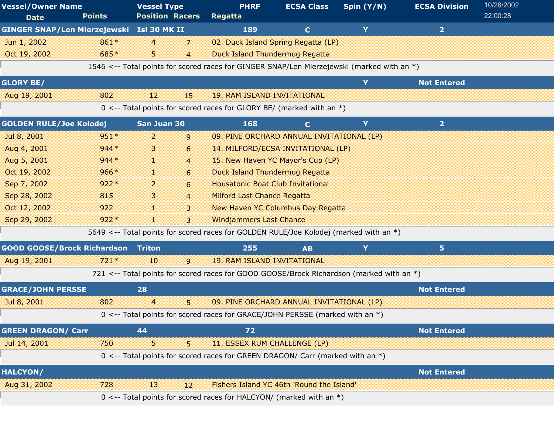| <b>Vessel/Owner Name</b><br><b>Date</b>   | <b>Points</b> | <b>Vessel Type</b><br><b>Position Racers</b> |                | <b>PHRF</b><br>Regatta                                                                     | <b>ECSA Class</b> | Spin (Y/N) | <b>ECSA Division</b> | 10/28/2002<br>22:00:28 |
|-------------------------------------------|---------------|----------------------------------------------|----------------|--------------------------------------------------------------------------------------------|-------------------|------------|----------------------|------------------------|
| GINGER SNAP/Len Mierzejewski Isl 30 MK II |               |                                              |                | 189                                                                                        | $\mathbf{C}$      | Y          | $\overline{2}$       |                        |
| Jun 1, 2002                               | 861*          | $\overline{4}$                               | 7              | 02. Duck Island Spring Regatta (LP)                                                        |                   |            |                      |                        |
| Oct 19, 2002                              | 685*          | 5.                                           | $\overline{4}$ | <b>Duck Island Thundermug Regatta</b>                                                      |                   |            |                      |                        |
|                                           |               |                                              |                | 1546 <-- Total points for scored races for GINGER SNAP/Len Mierzejewski (marked with an *) |                   |            |                      |                        |
| <b>GLORY BE/</b>                          |               |                                              |                |                                                                                            |                   | Y          | <b>Not Entered</b>   |                        |
| Aug 19, 2001                              | 802           | 12                                           | 15             | <b>19. RAM ISLAND INVITATIONAL</b>                                                         |                   |            |                      |                        |
|                                           |               |                                              |                | 0 <-- Total points for scored races for GLORY BE/ (marked with an $*)$                     |                   |            |                      |                        |
| <b>GOLDEN RULE/Joe Kolodej</b>            |               | San Juan 30                                  |                | 168                                                                                        | $\mathbf{C}$      | Y          | $\overline{2}$       |                        |
| Jul 8, 2001                               | $951*$        | 2                                            | 9              | 09. PINE ORCHARD ANNUAL INVITATIONAL (LP)                                                  |                   |            |                      |                        |
| Aug 4, 2001                               | $944*$        | 3                                            | 6              | 14. MILFORD/ECSA INVITATIONAL (LP)                                                         |                   |            |                      |                        |
| Aug 5, 2001                               | $944*$        | 38                                           | $\overline{4}$ | 15. New Haven YC Mayor's Cup (LP)                                                          |                   |            |                      |                        |
| Oct 19, 2002                              | $966*$        | H.                                           | 6              | <b>Duck Island Thundermug Regatta</b>                                                      |                   |            |                      |                        |
| Sep 7, 2002                               | $922*$        | $\overline{2}$                               | 6              | <b>Housatonic Boat Club Invitational</b>                                                   |                   |            |                      |                        |
| Sep 28, 2002                              | 815           | 3                                            | $\overline{4}$ | <b>Milford Last Chance Regatta</b>                                                         |                   |            |                      |                        |
| Oct 12, 2002                              | 922           | 88                                           | 3              | <b>New Haven YC Columbus Day Regatta</b>                                                   |                   |            |                      |                        |
| Sep 29, 2002                              | $922*$        | 30                                           | 3              | <b>Windjammers Last Chance</b>                                                             |                   |            |                      |                        |
|                                           |               |                                              |                | 5649 <-- Total points for scored races for GOLDEN RULE/Joe Kolodej (marked with an *)      |                   |            |                      |                        |
| <b>GOOD GOOSE/Brock Richardson</b>        |               | <b>Triton</b>                                |                | 255                                                                                        | <b>AB</b>         | Y          | 5                    |                        |
| Aug 19, 2001                              | $721*$        | 10                                           | $\mathsf{q}$   | <b>19. RAM ISLAND INVITATIONAL</b>                                                         |                   |            |                      |                        |
|                                           |               |                                              |                | 721 <-- Total points for scored races for GOOD GOOSE/Brock Richardson (marked with an *)   |                   |            |                      |                        |
| <b>GRACE/JOHN PERSSE</b>                  |               | 28                                           |                |                                                                                            |                   |            | <b>Not Entered</b>   |                        |
| Jul 8, 2001                               | 802           | $\overline{4}$                               | 5              | 09. PINE ORCHARD ANNUAL INVITATIONAL (LP)                                                  |                   |            |                      |                        |
|                                           |               |                                              |                | 0 <-- Total points for scored races for GRACE/JOHN PERSSE (marked with an *)               |                   |            |                      |                        |
| <b>GREEN DRAGON/ Carr</b>                 |               | 44                                           |                | 72                                                                                         |                   |            | <b>Not Entered</b>   |                        |
| Jul 14, 2001                              | 750           | 5                                            | 5              | 11. ESSEX RUM CHALLENGE (LP)                                                               |                   |            |                      |                        |
|                                           |               |                                              |                | 0 <-- Total points for scored races for GREEN DRAGON/ Carr (marked with an *)              |                   |            |                      |                        |
| <b>HALCYON/</b>                           |               |                                              |                |                                                                                            |                   |            | <b>Not Entered</b>   |                        |
| Aug 31, 2002                              | 728           | 13                                           | 12             | Fishers Island YC 46th 'Round the Island'                                                  |                   |            |                      |                        |
|                                           |               |                                              |                | 0 <-- Total points for scored races for HALCYON/ (marked with an $*)$                      |                   |            |                      |                        |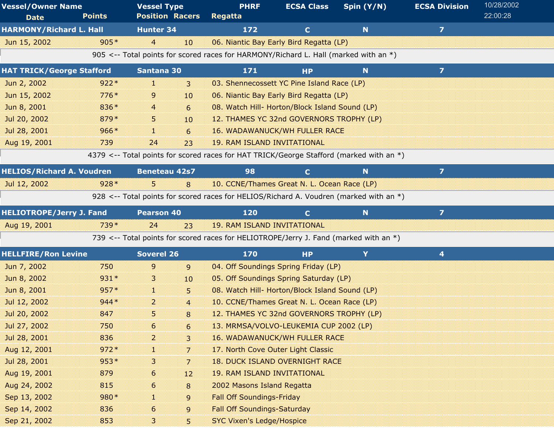| <b>Vessel/Owner Name</b>         |               | <b>Vessel Type</b>     | <b>PHRF</b>                                                                             | <b>ECSA Class</b>                              | Spin (Y/N) | <b>ECSA Division</b> | 10/28/2002 |
|----------------------------------|---------------|------------------------|-----------------------------------------------------------------------------------------|------------------------------------------------|------------|----------------------|------------|
| <b>Date</b>                      | <b>Points</b> | <b>Position Racers</b> | <b>Regatta</b>                                                                          |                                                |            |                      | 22:00:28   |
| <b>HARMONY/Richard L. Hall</b>   |               | <b>Hunter 34</b>       | 172                                                                                     | $\mathbf{C}$                                   | N          | $\overline{z}$       |            |
| Jun 15, 2002                     | $905*$        | $\overline{4}$<br>10   |                                                                                         | 06. Niantic Bay Early Bird Regatta (LP)        |            |                      |            |
|                                  |               |                        | 905 <-- Total points for scored races for HARMONY/Richard L. Hall (marked with an *)    |                                                |            |                      |            |
| <b>HAT TRICK/George Stafford</b> |               | Santana 30             | 171                                                                                     | <b>HP</b>                                      | N          | $\overline{7}$       |            |
| Jun 2, 2002                      | $922*$        | 38<br>3                |                                                                                         | 03. Shennecossett YC Pine Island Race (LP)     |            |                      |            |
| Jun 15, 2002                     | $776*$        | 9<br>10                |                                                                                         | 06. Niantic Bay Early Bird Regatta (LP)        |            |                      |            |
| Jun 8, 2001                      | 836*          | 6<br>4                 |                                                                                         | 08. Watch Hill- Horton/Block Island Sound (LP) |            |                      |            |
| Jul 20, 2002                     | 879*          | 5.<br>10               |                                                                                         | 12. THAMES YC 32nd GOVERNORS TROPHY (LP)       |            |                      |            |
| Jul 28, 2001                     | $966*$        | 11<br>6                |                                                                                         | <b>16. WADAWANUCK/WH FULLER RACE</b>           |            |                      |            |
| Aug 19, 2001                     | 739           | 23<br>24               | <b>19. RAM ISLAND INVITATIONAL</b>                                                      |                                                |            |                      |            |
|                                  |               |                        | 4379 <-- Total points for scored races for HAT TRICK/George Stafford (marked with an *) |                                                |            |                      |            |
| <b>HELIOS/Richard A. Voudren</b> |               | <b>Beneteau 42s7</b>   | 98                                                                                      | $\mathbf{C}$                                   | N          | $\overline{z}$       |            |
| Jul 12, 2002                     | $928*$        | 5.<br>8                |                                                                                         | 10. CCNE/Thames Great N. L. Ocean Race (LP)    |            |                      |            |
|                                  |               |                        | 928 <-- Total points for scored races for HELIOS/Richard A. Voudren (marked with an *)  |                                                |            |                      |            |
| <b>HELIOTROPE/Jerry J. Fand</b>  |               | <b>Pearson 40</b>      | 120                                                                                     | $\mathbf{C}$                                   | N          | $\overline{7}$       |            |
| Aug 19, 2001                     | 739*          | 24<br>23               | <b>19. RAM ISLAND INVITATIONAL</b>                                                      |                                                |            |                      |            |
|                                  |               |                        | 739 <-- Total points for scored races for HELIOTROPE/Jerry J. Fand (marked with an *)   |                                                |            |                      |            |
| <b>HELLFIRE/Ron Levine</b>       |               | <b>Soverel 26</b>      | 170                                                                                     | <b>HP</b>                                      | Y          | 4                    |            |
| Jun 7, 2002                      | 750           | 9<br>9                 |                                                                                         | 04. Off Soundings Spring Friday (LP)           |            |                      |            |
| Jun 8, 2002                      | $931*$        | 3<br>10                |                                                                                         | 05. Off Soundings Spring Saturday (LP)         |            |                      |            |
| Jun 8, 2001                      | $957*$        | и.<br>5                |                                                                                         | 08. Watch Hill- Horton/Block Island Sound (LP) |            |                      |            |
| Jul 12, 2002                     | $944*$        | 2<br>$\overline{4}$    |                                                                                         | 10. CCNE/Thames Great N. L. Ocean Race (LP)    |            |                      |            |
| Jul 20, 2002                     | 847           | 5<br>8                 |                                                                                         | 12. THAMES YC 32nd GOVERNORS TROPHY (LP)       |            |                      |            |
| Jul 27, 2002                     | 750           | 6<br>6                 |                                                                                         | 13. MRMSA/VOLVO-LEUKEMIA CUP 2002 (LP)         |            |                      |            |
| Jul 28, 2001                     | 836           | $\overline{a}$<br>3    |                                                                                         | <b>16. WADAWANUCK/WH FULLER RACE</b>           |            |                      |            |
| Aug 12, 2001                     | $972*$        | $\overline{7}$<br>1    |                                                                                         | 17. North Cove Outer Light Classic             |            |                      |            |
| Jul 28, 2001                     | $953*$        | 3<br>7                 |                                                                                         | <b>18. DUCK ISLAND OVERNIGHT RACE</b>          |            |                      |            |
| Aug 19, 2001                     | 879           | 6<br>12                | <b>19. RAM ISLAND INVITATIONAL</b>                                                      |                                                |            |                      |            |
| Aug 24, 2002                     | 815           | 6<br>8                 | 2002 Masons Island Regatta                                                              |                                                |            |                      |            |
| Sep 13, 2002                     | 980*          | 9                      | <b>Fall Off Soundings-Friday</b>                                                        |                                                |            |                      |            |
| Sep 14, 2002                     | 836           | 6<br>9                 | <b>Fall Off Soundings-Saturday</b>                                                      |                                                |            |                      |            |
| Sep 21, 2002                     | 853           | 3<br>5                 | <b>SYC Vixen's Ledge/Hospice</b>                                                        |                                                |            |                      |            |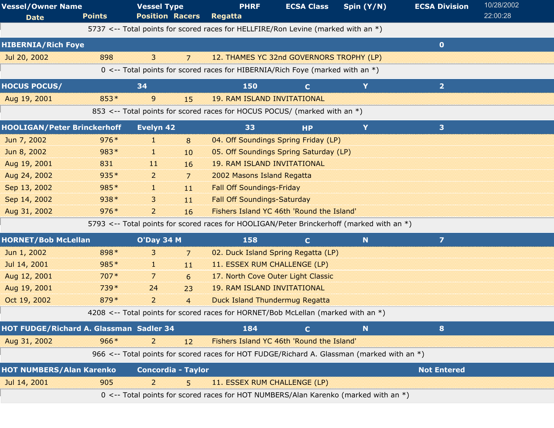|               |                                                                                                                                                              |                                         | <b>PHRF</b>                                                | <b>ECSA Class</b>         | Spin (Y/N)                                                                                                                                                                                                                                                                                                                                                            | <b>ECSA Division</b>                                                                                                                                                                                                                                                                                                                                                                                                                                                                                                                                                                                | 10/28/2002                                                                                                                                                                                                                                                                     |
|---------------|--------------------------------------------------------------------------------------------------------------------------------------------------------------|-----------------------------------------|------------------------------------------------------------|---------------------------|-----------------------------------------------------------------------------------------------------------------------------------------------------------------------------------------------------------------------------------------------------------------------------------------------------------------------------------------------------------------------|-----------------------------------------------------------------------------------------------------------------------------------------------------------------------------------------------------------------------------------------------------------------------------------------------------------------------------------------------------------------------------------------------------------------------------------------------------------------------------------------------------------------------------------------------------------------------------------------------------|--------------------------------------------------------------------------------------------------------------------------------------------------------------------------------------------------------------------------------------------------------------------------------|
| <b>Points</b> |                                                                                                                                                              |                                         | Regatta                                                    |                           |                                                                                                                                                                                                                                                                                                                                                                       |                                                                                                                                                                                                                                                                                                                                                                                                                                                                                                                                                                                                     | 22:00:28                                                                                                                                                                                                                                                                       |
|               |                                                                                                                                                              |                                         |                                                            |                           |                                                                                                                                                                                                                                                                                                                                                                       |                                                                                                                                                                                                                                                                                                                                                                                                                                                                                                                                                                                                     |                                                                                                                                                                                                                                                                                |
|               |                                                                                                                                                              |                                         |                                                            |                           |                                                                                                                                                                                                                                                                                                                                                                       | $\bullet$                                                                                                                                                                                                                                                                                                                                                                                                                                                                                                                                                                                           |                                                                                                                                                                                                                                                                                |
| 898           | 3                                                                                                                                                            | $\overline{7}$                          |                                                            |                           |                                                                                                                                                                                                                                                                                                                                                                       |                                                                                                                                                                                                                                                                                                                                                                                                                                                                                                                                                                                                     |                                                                                                                                                                                                                                                                                |
|               |                                                                                                                                                              |                                         |                                                            |                           |                                                                                                                                                                                                                                                                                                                                                                       |                                                                                                                                                                                                                                                                                                                                                                                                                                                                                                                                                                                                     |                                                                                                                                                                                                                                                                                |
|               | 34                                                                                                                                                           |                                         | 150                                                        | $\mathbf C$               | Y                                                                                                                                                                                                                                                                                                                                                                     | 2 <sup>1</sup>                                                                                                                                                                                                                                                                                                                                                                                                                                                                                                                                                                                      |                                                                                                                                                                                                                                                                                |
| $853*$        | $\mathsf{g}$                                                                                                                                                 | 15                                      |                                                            |                           |                                                                                                                                                                                                                                                                                                                                                                       |                                                                                                                                                                                                                                                                                                                                                                                                                                                                                                                                                                                                     |                                                                                                                                                                                                                                                                                |
|               |                                                                                                                                                              |                                         |                                                            |                           |                                                                                                                                                                                                                                                                                                                                                                       |                                                                                                                                                                                                                                                                                                                                                                                                                                                                                                                                                                                                     |                                                                                                                                                                                                                                                                                |
|               | Evelyn 42                                                                                                                                                    |                                         | 33                                                         | <b>HP</b>                 | Y                                                                                                                                                                                                                                                                                                                                                                     | 3                                                                                                                                                                                                                                                                                                                                                                                                                                                                                                                                                                                                   |                                                                                                                                                                                                                                                                                |
| $976*$        | J.                                                                                                                                                           | 8                                       |                                                            |                           |                                                                                                                                                                                                                                                                                                                                                                       |                                                                                                                                                                                                                                                                                                                                                                                                                                                                                                                                                                                                     |                                                                                                                                                                                                                                                                                |
| 983*          | 11                                                                                                                                                           | 10                                      |                                                            |                           |                                                                                                                                                                                                                                                                                                                                                                       |                                                                                                                                                                                                                                                                                                                                                                                                                                                                                                                                                                                                     |                                                                                                                                                                                                                                                                                |
| 831           | 11                                                                                                                                                           | 16                                      |                                                            |                           |                                                                                                                                                                                                                                                                                                                                                                       |                                                                                                                                                                                                                                                                                                                                                                                                                                                                                                                                                                                                     |                                                                                                                                                                                                                                                                                |
| 935*          | 2                                                                                                                                                            | $\overline{7}$                          |                                                            |                           |                                                                                                                                                                                                                                                                                                                                                                       |                                                                                                                                                                                                                                                                                                                                                                                                                                                                                                                                                                                                     |                                                                                                                                                                                                                                                                                |
| 985*          | 1                                                                                                                                                            | 11                                      |                                                            |                           |                                                                                                                                                                                                                                                                                                                                                                       |                                                                                                                                                                                                                                                                                                                                                                                                                                                                                                                                                                                                     |                                                                                                                                                                                                                                                                                |
| $938*$        | 3                                                                                                                                                            | 11                                      |                                                            |                           |                                                                                                                                                                                                                                                                                                                                                                       |                                                                                                                                                                                                                                                                                                                                                                                                                                                                                                                                                                                                     |                                                                                                                                                                                                                                                                                |
| $976*$        | $\overline{2}$                                                                                                                                               | 16                                      |                                                            |                           |                                                                                                                                                                                                                                                                                                                                                                       |                                                                                                                                                                                                                                                                                                                                                                                                                                                                                                                                                                                                     |                                                                                                                                                                                                                                                                                |
|               |                                                                                                                                                              |                                         |                                                            |                           |                                                                                                                                                                                                                                                                                                                                                                       |                                                                                                                                                                                                                                                                                                                                                                                                                                                                                                                                                                                                     |                                                                                                                                                                                                                                                                                |
|               |                                                                                                                                                              |                                         | 158                                                        | $\mathbf C$               | $\mathbf N$                                                                                                                                                                                                                                                                                                                                                           | $\mathbf{z}$                                                                                                                                                                                                                                                                                                                                                                                                                                                                                                                                                                                        |                                                                                                                                                                                                                                                                                |
| 898*          | 3                                                                                                                                                            | 7                                       |                                                            |                           |                                                                                                                                                                                                                                                                                                                                                                       |                                                                                                                                                                                                                                                                                                                                                                                                                                                                                                                                                                                                     |                                                                                                                                                                                                                                                                                |
| 985*          | H.                                                                                                                                                           | 11                                      |                                                            |                           |                                                                                                                                                                                                                                                                                                                                                                       |                                                                                                                                                                                                                                                                                                                                                                                                                                                                                                                                                                                                     |                                                                                                                                                                                                                                                                                |
| $707*$        | 7                                                                                                                                                            | 6                                       |                                                            |                           |                                                                                                                                                                                                                                                                                                                                                                       |                                                                                                                                                                                                                                                                                                                                                                                                                                                                                                                                                                                                     |                                                                                                                                                                                                                                                                                |
| 739*          | 24                                                                                                                                                           | 23                                      |                                                            |                           |                                                                                                                                                                                                                                                                                                                                                                       |                                                                                                                                                                                                                                                                                                                                                                                                                                                                                                                                                                                                     |                                                                                                                                                                                                                                                                                |
| 879*          | $\overline{a}$                                                                                                                                               | $\overline{4}$                          |                                                            |                           |                                                                                                                                                                                                                                                                                                                                                                       |                                                                                                                                                                                                                                                                                                                                                                                                                                                                                                                                                                                                     |                                                                                                                                                                                                                                                                                |
|               |                                                                                                                                                              |                                         |                                                            |                           |                                                                                                                                                                                                                                                                                                                                                                       |                                                                                                                                                                                                                                                                                                                                                                                                                                                                                                                                                                                                     |                                                                                                                                                                                                                                                                                |
|               |                                                                                                                                                              |                                         | 184                                                        | $\mathbf C$               | N                                                                                                                                                                                                                                                                                                                                                                     | 8                                                                                                                                                                                                                                                                                                                                                                                                                                                                                                                                                                                                   |                                                                                                                                                                                                                                                                                |
| $966*$        | $\overline{2}$                                                                                                                                               | 12                                      |                                                            |                           |                                                                                                                                                                                                                                                                                                                                                                       |                                                                                                                                                                                                                                                                                                                                                                                                                                                                                                                                                                                                     |                                                                                                                                                                                                                                                                                |
|               |                                                                                                                                                              |                                         |                                                            |                           |                                                                                                                                                                                                                                                                                                                                                                       |                                                                                                                                                                                                                                                                                                                                                                                                                                                                                                                                                                                                     |                                                                                                                                                                                                                                                                                |
|               |                                                                                                                                                              |                                         |                                                            |                           |                                                                                                                                                                                                                                                                                                                                                                       | <b>Not Entered</b>                                                                                                                                                                                                                                                                                                                                                                                                                                                                                                                                                                                  |                                                                                                                                                                                                                                                                                |
| 905           | $\overline{2}$                                                                                                                                               | 5                                       |                                                            |                           |                                                                                                                                                                                                                                                                                                                                                                       |                                                                                                                                                                                                                                                                                                                                                                                                                                                                                                                                                                                                     |                                                                                                                                                                                                                                                                                |
|               |                                                                                                                                                              |                                         |                                                            |                           |                                                                                                                                                                                                                                                                                                                                                                       |                                                                                                                                                                                                                                                                                                                                                                                                                                                                                                                                                                                                     |                                                                                                                                                                                                                                                                                |
|               | <b>Vessel/Owner Name</b><br><b>HIBERNIA/Rich Foye</b><br><b>HOOLIGAN/Peter Brinckerhoff</b><br><b>HORNET/Bob McLellan</b><br><b>HOT NUMBERS/Alan Karenko</b> | HOT FUDGE/Richard A. Glassman Sadler 34 | <b>Vessel Type</b><br><b>Position Racers</b><br>O'Day 34 M | <b>Concordia - Taylor</b> | <b>19. RAM ISLAND INVITATIONAL</b><br><b>19. RAM ISLAND INVITATIONAL</b><br>2002 Masons Island Regatta<br><b>Fall Off Soundings-Friday</b><br><b>Fall Off Soundings-Saturday</b><br>11. ESSEX RUM CHALLENGE (LP)<br>17. North Cove Outer Light Classic<br><b>19. RAM ISLAND INVITATIONAL</b><br><b>Duck Island Thundermug Regatta</b><br>11. ESSEX RUM CHALLENGE (LP) | 5737 <-- Total points for scored races for HELLFIRE/Ron Levine (marked with an *)<br>12. THAMES YC 32nd GOVERNORS TROPHY (LP)<br>0 <-- Total points for scored races for HIBERNIA/Rich Foye (marked with an *)<br>853 <-- Total points for scored races for HOCUS POCUS/ (marked with an *)<br>04. Off Soundings Spring Friday (LP)<br>05. Off Soundings Spring Saturday (LP)<br>Fishers Island YC 46th 'Round the Island'<br>02. Duck Island Spring Regatta (LP)<br>4208 <-- Total points for scored races for HORNET/Bob McLellan (marked with an *)<br>Fishers Island YC 46th 'Round the Island' | 5793 <-- Total points for scored races for HOOLIGAN/Peter Brinckerhoff (marked with an *)<br>966 <-- Total points for scored races for HOT FUDGE/Richard A. Glassman (marked with an *)<br>0 <-- Total points for scored races for HOT NUMBERS/Alan Karenko (marked with an *) |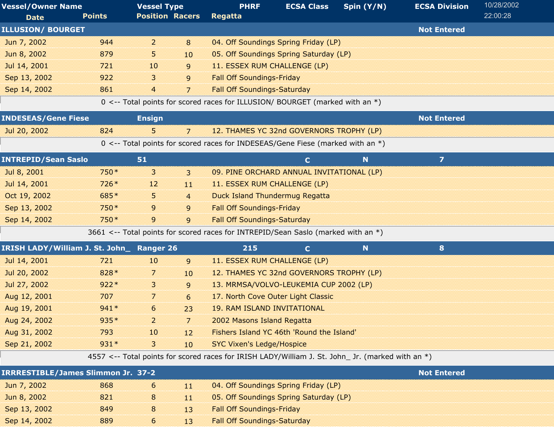| <b>Vessel/Owner Name</b><br><b>Date</b>   | <b>Points</b> | <b>Vessel Type</b><br><b>Position Racers</b> |                | <b>PHRF</b><br>Regatta                                                                            | <b>ECSA Class</b>                         | Spin (Y/N)  | <b>ECSA Division</b>    | 10/28/2002<br>22:00:28 |
|-------------------------------------------|---------------|----------------------------------------------|----------------|---------------------------------------------------------------------------------------------------|-------------------------------------------|-------------|-------------------------|------------------------|
| <b>ILLUSION/ BOURGET</b>                  |               |                                              |                |                                                                                                   |                                           |             | <b>Not Entered</b>      |                        |
| Jun 7, 2002                               | 944           | $\overline{2}$                               | 8              |                                                                                                   | 04. Off Soundings Spring Friday (LP)      |             |                         |                        |
| Jun 8, 2002                               | 879           | 5.                                           | 10             |                                                                                                   | 05. Off Soundings Spring Saturday (LP)    |             |                         |                        |
| Jul 14, 2001                              | 721           | 10                                           | 9              | 11. ESSEX RUM CHALLENGE (LP)                                                                      |                                           |             |                         |                        |
| Sep 13, 2002                              | 922           | 3                                            | 9              | <b>Fall Off Soundings-Friday</b>                                                                  |                                           |             |                         |                        |
| Sep 14, 2002                              | 861           | $\overline{4}$                               | $\overline{7}$ | <b>Fall Off Soundings-Saturday</b>                                                                |                                           |             |                         |                        |
|                                           |               |                                              |                | 0 <-- Total points for scored races for ILLUSION/ BOURGET (marked with an *)                      |                                           |             |                         |                        |
|                                           |               |                                              |                |                                                                                                   |                                           |             |                         |                        |
| <b>INDESEAS/Gene Fiese</b>                |               | <b>Ensign</b>                                |                |                                                                                                   |                                           |             | <b>Not Entered</b>      |                        |
| Jul 20, 2002                              | 824           | 5                                            | $\overline{7}$ |                                                                                                   | 12. THAMES YC 32nd GOVERNORS TROPHY (LP)  |             |                         |                        |
|                                           |               |                                              |                | 0 <-- Total points for scored races for INDESEAS/Gene Fiese (marked with an *)                    |                                           |             |                         |                        |
| <b>INTREPID/Sean Saslo</b>                |               | 51                                           |                |                                                                                                   | $\mathbf C$                               | N           | $\overline{\mathbf{z}}$ |                        |
| Jul 8, 2001                               | 750 *         | 3                                            | $\mathbf{3}$   |                                                                                                   | 09. PINE ORCHARD ANNUAL INVITATIONAL (LP) |             |                         |                        |
| Jul 14, 2001                              | $726*$        | 12                                           | 11             | 11. ESSEX RUM CHALLENGE (LP)                                                                      |                                           |             |                         |                        |
| Oct 19, 2002                              | 685*          | 5.                                           | $\overline{4}$ | <b>Duck Island Thundermug Regatta</b>                                                             |                                           |             |                         |                        |
| Sep 13, 2002                              | 750 *         | 9                                            | 9              | <b>Fall Off Soundings-Friday</b>                                                                  |                                           |             |                         |                        |
| Sep 14, 2002                              | 750*          | 9                                            | 9              | <b>Fall Off Soundings-Saturday</b>                                                                |                                           |             |                         |                        |
|                                           |               |                                              |                | 3661 <-- Total points for scored races for INTREPID/Sean Saslo (marked with an *)                 |                                           |             |                         |                        |
| IRISH LADY/William J. St. John_ Ranger 26 |               |                                              |                | 215                                                                                               | $\mathbf{C}$                              | $\mathbf N$ | 8                       |                        |
| Jul 14, 2001                              | 721           | 10                                           | 9              | 11. ESSEX RUM CHALLENGE (LP)                                                                      |                                           |             |                         |                        |
| Jul 20, 2002                              | 828 *         | 7                                            | 10             |                                                                                                   | 12. THAMES YC 32nd GOVERNORS TROPHY (LP)  |             |                         |                        |
| Jul 27, 2002                              | $922*$        | 3                                            | 9              |                                                                                                   | 13. MRMSA/VOLVO-LEUKEMIA CUP 2002 (LP)    |             |                         |                        |
| Aug 12, 2001                              | 707           | 7                                            | 6              | 17. North Cove Outer Light Classic                                                                |                                           |             |                         |                        |
| Aug 19, 2001                              | $941*$        | 6                                            | 23             | <b>19. RAM ISLAND INVITATIONAL</b>                                                                |                                           |             |                         |                        |
| Aug 24, 2002                              | 935*          | 2                                            | 7              | 2002 Masons Island Regatta                                                                        |                                           |             |                         |                        |
| Aug 31, 2002                              | 793           | 10                                           | 12             |                                                                                                   | Fishers Island YC 46th 'Round the Island' |             |                         |                        |
| Sep 21, 2002                              | $931*$        | 3                                            | 10             | <b>SYC Vixen's Ledge/Hospice</b>                                                                  |                                           |             |                         |                        |
|                                           |               |                                              |                | 4557 <-- Total points for scored races for IRISH LADY/William J. St. John_ Jr. (marked with an *) |                                           |             |                         |                        |
| <b>IRRRESTIBLE/James Slimmon Jr. 37-2</b> |               |                                              |                |                                                                                                   |                                           |             | <b>Not Entered</b>      |                        |
| Jun 7, 2002                               | 868           | 6                                            | 11             |                                                                                                   | 04. Off Soundings Spring Friday (LP)      |             |                         |                        |
| Jun 8, 2002                               | 821           | 8                                            | 11             |                                                                                                   | 05. Off Soundings Spring Saturday (LP)    |             |                         |                        |
| Sep 13, 2002                              | 849           | 8                                            | 13             | <b>Fall Off Soundings-Friday</b>                                                                  |                                           |             |                         |                        |

Sep 14, 2002 6 889 6 889 6 8 889 Fall Off Soundings-Saturday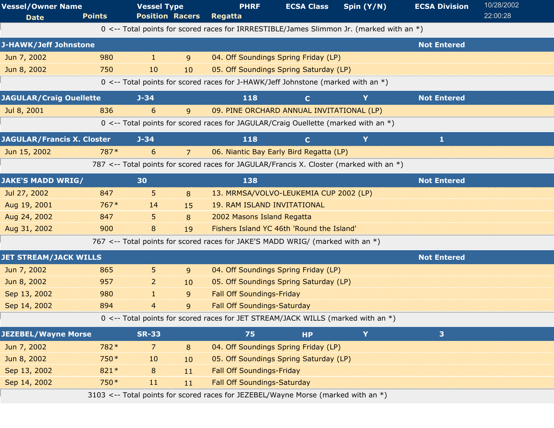| <b>Vessel/Owner Name</b>          |               | <b>Vessel Type</b>     |    | <b>PHRF</b>                                                                              | <b>ECSA Class</b>                         | Spin (Y/N) | <b>ECSA Division</b> | 10/28/2002 |
|-----------------------------------|---------------|------------------------|----|------------------------------------------------------------------------------------------|-------------------------------------------|------------|----------------------|------------|
| <b>Date</b>                       | <b>Points</b> | <b>Position Racers</b> |    | Regatta                                                                                  |                                           |            |                      | 22:00:28   |
|                                   |               |                        |    | 0 <-- Total points for scored races for IRRRESTIBLE/James Slimmon Jr. (marked with an *) |                                           |            |                      |            |
| J-HAWK/Jeff Johnstone             |               |                        |    |                                                                                          |                                           |            | <b>Not Entered</b>   |            |
| Jun 7, 2002                       | 980           | H.                     | 9  |                                                                                          | 04. Off Soundings Spring Friday (LP)      |            |                      |            |
| Jun 8, 2002                       | 750           | 10                     | 10 |                                                                                          | 05. Off Soundings Spring Saturday (LP)    |            |                      |            |
|                                   |               |                        |    | 0 <-- Total points for scored races for J-HAWK/Jeff Johnstone (marked with an *)         |                                           |            |                      |            |
| <b>JAGULAR/Craig Ouellette</b>    |               | $J - 34$               |    | 118                                                                                      | $\mathbf{C}$                              | Y          | <b>Not Entered</b>   |            |
| Jul 8, 2001                       | 836           | 6                      | 9  |                                                                                          | 09. PINE ORCHARD ANNUAL INVITATIONAL (LP) |            |                      |            |
|                                   |               |                        |    | 0 <-- Total points for scored races for JAGULAR/Craig Ouellette (marked with an *)       |                                           |            |                      |            |
| <b>JAGULAR/Francis X. Closter</b> |               | $J - 34$               |    | 118                                                                                      | $\mathbf{C}$                              | Y          | 1                    |            |
| Jun 15, 2002                      | 787*          | 6                      | 7  |                                                                                          | 06. Niantic Bay Early Bird Regatta (LP)   |            |                      |            |
|                                   |               |                        |    | 787 <-- Total points for scored races for JAGULAR/Francis X. Closter (marked with an *)  |                                           |            |                      |            |
| <b>JAKE'S MADD WRIG/</b>          |               | 30                     |    | 138                                                                                      |                                           |            | <b>Not Entered</b>   |            |
| Jul 27, 2002                      | 847           | 5.                     | 8  |                                                                                          | 13. MRMSA/VOLVO-LEUKEMIA CUP 2002 (LP)    |            |                      |            |
| Aug 19, 2001                      | $767*$        | 14                     | 15 | <b>19. RAM ISLAND INVITATIONAL</b>                                                       |                                           |            |                      |            |
| Aug 24, 2002                      | 847           | 5                      | 8  | 2002 Masons Island Regatta                                                               |                                           |            |                      |            |
| Aug 31, 2002                      | 900           | 8                      | 19 |                                                                                          | Fishers Island YC 46th 'Round the Island' |            |                      |            |
|                                   |               |                        |    | 767 <-- Total points for scored races for JAKE'S MADD WRIG/ (marked with an *)           |                                           |            |                      |            |
| <b>JET STREAM/JACK WILLS</b>      |               |                        |    |                                                                                          |                                           |            | <b>Not Entered</b>   |            |
| Jun 7, 2002                       | 865           | 5                      | 9  |                                                                                          | 04. Off Soundings Spring Friday (LP)      |            |                      |            |
| Jun 8, 2002                       | 957           | 2                      | 10 |                                                                                          | 05. Off Soundings Spring Saturday (LP)    |            |                      |            |
| Sep 13, 2002                      | 980           | 11                     | 9  | <b>Fall Off Soundings-Friday</b>                                                         |                                           |            |                      |            |
| Sep 14, 2002                      | 894           | 4                      | 9  | <b>Fall Off Soundings-Saturday</b>                                                       |                                           |            |                      |            |
|                                   |               |                        |    | 0 <-- Total points for scored races for JET STREAM/JACK WILLS (marked with an *)         |                                           |            |                      |            |
| <b>JEZEBEL/Wayne Morse</b>        |               | <b>SR-33</b>           |    | 75                                                                                       | <b>HP</b>                                 | Y          | 3 <sup>1</sup>       |            |
| Jun 7, 2002                       | 782*          | $\overline{7}$         | 8  |                                                                                          | 04. Off Soundings Spring Friday (LP)      |            |                      |            |
| Jun 8, 2002                       | 750 *         | 10                     | 10 |                                                                                          | 05. Off Soundings Spring Saturday (LP)    |            |                      |            |
| Sep 13, 2002                      | $821*$        | 8                      | 11 | <b>Fall Off Soundings-Friday</b>                                                         |                                           |            |                      |            |
| Sep 14, 2002                      | 750*          | 11                     | 11 | <b>Fall Off Soundings-Saturday</b>                                                       |                                           |            |                      |            |
|                                   |               |                        |    | 3103 <-- Total points for scored races for JEZEBEL/Wayne Morse (marked with an *)        |                                           |            |                      |            |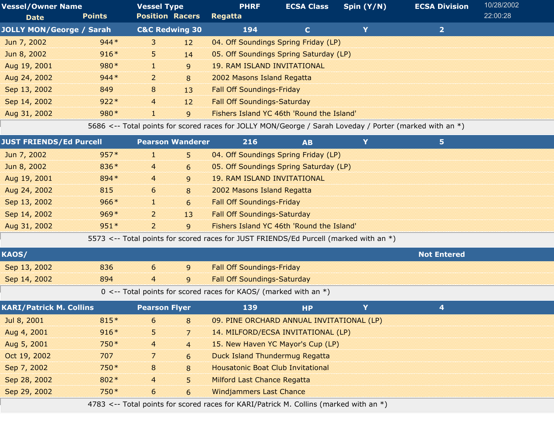| <b>Vessel/Owner Name</b>        |               | <b>Vessel Type</b>        |                | <b>PHRF</b>                               | <b>ECSA Class</b> | Spin $(Y/N)$ | <b>ECSA Division</b> | 10/28/2002 |  |
|---------------------------------|---------------|---------------------------|----------------|-------------------------------------------|-------------------|--------------|----------------------|------------|--|
| <b>Date</b>                     | <b>Points</b> | <b>Position Racers</b>    |                | <b>Regatta</b>                            |                   |              |                      | 22:00:28   |  |
| <b>JOLLY MON/George / Sarah</b> |               | <b>C&amp;C Redwing 30</b> |                | 194                                       | $\mathbf{C}$      |              | $\mathbf{2}$         |            |  |
| Jun 7, 2002                     | $944*$        | 3                         | 12             | 04. Off Soundings Spring Friday (LP)      |                   |              |                      |            |  |
| Jun 8, 2002                     | $916*$        | 5.                        | 14             | 05. Off Soundings Spring Saturday (LP)    |                   |              |                      |            |  |
| Aug 19, 2001                    | $980*$        | Æ                         | $\overline{9}$ | <b>19. RAM ISLAND INVITATIONAL</b>        |                   |              |                      |            |  |
| Aug 24, 2002                    | $944*$        | $\overline{2}$            | 8              | 2002 Masons Island Regatta                |                   |              |                      |            |  |
| Sep 13, 2002                    | 849           | 8                         | 13             | <b>Fall Off Soundings-Friday</b>          |                   |              |                      |            |  |
| Sep 14, 2002                    | $922*$        | $\overline{4}$            | 12             | <b>Fall Off Soundings-Saturday</b>        |                   |              |                      |            |  |
| Aug 31, 2002                    | $980*$        | d.                        | 9              | Fishers Island YC 46th 'Round the Island' |                   |              |                      |            |  |

5686 <-- Total points for scored races for JOLLY MON/George / Sarah Loveday / Porter (marked with an \*)

| <b>JUST FRIENDS/Ed Purcell</b> |        | <b>Pearson Wanderer</b> |    | 216                                                                                   | <b>AB</b> | 5 |  |  |
|--------------------------------|--------|-------------------------|----|---------------------------------------------------------------------------------------|-----------|---|--|--|
| Jun 7, 2002                    | $957*$ | 30                      | 5  | 04. Off Soundings Spring Friday (LP)                                                  |           |   |  |  |
| Jun 8, 2002                    | $836*$ | 4                       | 6  | 05. Off Soundings Spring Saturday (LP)                                                |           |   |  |  |
| Aug 19, 2001                   | 894 *  | $\overline{4}$          | 9  | 19. RAM ISLAND INVITATIONAL                                                           |           |   |  |  |
| Aug 24, 2002                   | 815    | 6                       | 8  | 2002 Masons Island Regatta                                                            |           |   |  |  |
| Sep 13, 2002                   | $966*$ | 13                      | 6  | <b>Fall Off Soundings-Friday</b>                                                      |           |   |  |  |
| Sep 14, 2002                   | $969*$ | 2                       | 13 | <b>Fall Off Soundings-Saturday</b>                                                    |           |   |  |  |
| Aug 31, 2002                   | $951*$ | $\overline{2}$          | 9  | Fishers Island YC 46th 'Round the Island'                                             |           |   |  |  |
|                                |        |                         |    | 5573 <-- Total points for scored races for JUST FRIENDS/Ed Purcell (marked with an *) |           |   |  |  |

| <b>KAOS</b>  |     |                |                                                                                             | <b>Not Entered</b> |  |
|--------------|-----|----------------|---------------------------------------------------------------------------------------------|--------------------|--|
| Sep 13, 2002 | 836 | $\overline{q}$ | <b>Fall Off Soundings-Friday</b>                                                            |                    |  |
| Sep 14, 2002 | 894 | $\frac{4}{9}$  | <b>Fall Off Soundings-Saturday</b>                                                          |                    |  |
|              |     |                | $0 \times$ Total points for scared rases for $V \wedge \Omega$ (marked with an $\uparrow$ ) |                    |  |

 $0 \le -$  Total points for scored races for KAOS/ (marked with an  $*)$ )

| <b>KARI/Patrick M. Collins</b> |        | <b>Pearson Flyer</b> |                | 139                                                                                   | <b>HP</b> | 4 |  |
|--------------------------------|--------|----------------------|----------------|---------------------------------------------------------------------------------------|-----------|---|--|
| Jul 8, 2001                    | $815*$ | 6                    | 8              | 09. PINE ORCHARD ANNUAL INVITATIONAL (LP)                                             |           |   |  |
| Aug 4, 2001                    | $916*$ | 5                    |                | 14. MILFORD/ECSA INVITATIONAL (LP)                                                    |           |   |  |
| Aug 5, 2001                    | $750*$ | $\overline{4}$       | $\overline{4}$ | 15. New Haven YC Mayor's Cup (LP)                                                     |           |   |  |
| Oct 19, 2002                   | 707    | 7                    | 6              | Duck Island Thundermug Regatta                                                        |           |   |  |
| Sep 7, 2002                    | $750*$ | 8                    | 8              | <b>Housatonic Boat Club Invitational</b>                                              |           |   |  |
| Sep 28, 2002                   | $802*$ | $\overline{4}$       | 5              | <b>Milford Last Chance Regatta</b>                                                    |           |   |  |
| Sep 29, 2002                   | $750*$ | 6                    | 6              | <b>Windjammers Last Chance</b>                                                        |           |   |  |
|                                |        |                      |                | 4783 <-- Total points for scored races for KARI/Patrick M. Collins (marked with an *) |           |   |  |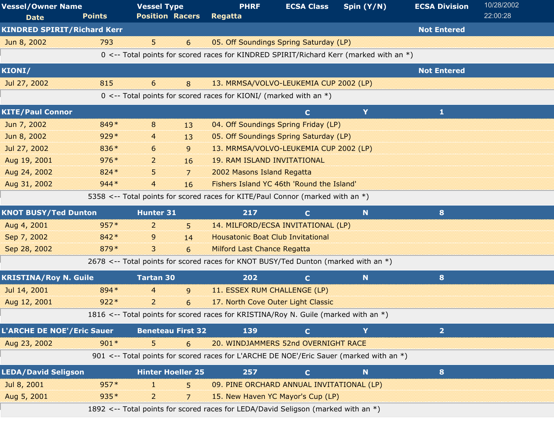| <b>Vessel/Owner Name</b><br><b>Date</b> | <b>Points</b> | <b>Vessel Type</b><br><b>Position Racers</b> |                | <b>PHRF</b><br>Regatta                                                                  | <b>ECSA Class</b> | Spin $(Y/N)$ | <b>ECSA Division</b> | 10/28/2002<br>22:00:28 |
|-----------------------------------------|---------------|----------------------------------------------|----------------|-----------------------------------------------------------------------------------------|-------------------|--------------|----------------------|------------------------|
| <b>KINDRED SPIRIT/Richard Kerr</b>      |               |                                              |                |                                                                                         |                   |              | <b>Not Entered</b>   |                        |
| Jun 8, 2002                             | 793           | 5                                            | 6              | 05. Off Soundings Spring Saturday (LP)                                                  |                   |              |                      |                        |
|                                         |               |                                              |                | 0 <-- Total points for scored races for KINDRED SPIRIT/Richard Kerr (marked with an *)  |                   |              |                      |                        |
| <b>KIONI/</b>                           |               |                                              |                |                                                                                         |                   |              | <b>Not Entered</b>   |                        |
| Jul 27, 2002                            | 815           | 6                                            | 8              | 13. MRMSA/VOLVO-LEUKEMIA CUP 2002 (LP)                                                  |                   |              |                      |                        |
|                                         |               |                                              |                | 0 <-- Total points for scored races for KIONI/ (marked with an $*)$                     |                   |              |                      |                        |
| <b>KITE/Paul Connor</b>                 |               |                                              |                |                                                                                         | $\mathbf C$       | Y            | 1                    |                        |
| Jun 7, 2002                             | 849*          | 8                                            | 13             | 04. Off Soundings Spring Friday (LP)                                                    |                   |              |                      |                        |
| Jun 8, 2002                             | $929*$        | 4                                            | 13             | 05. Off Soundings Spring Saturday (LP)                                                  |                   |              |                      |                        |
| Jul 27, 2002                            | 836*          | 6                                            | 9              | 13. MRMSA/VOLVO-LEUKEMIA CUP 2002 (LP)                                                  |                   |              |                      |                        |
| Aug 19, 2001                            | $976*$        | 2                                            | 16             | <b>19. RAM ISLAND INVITATIONAL</b>                                                      |                   |              |                      |                        |
| Aug 24, 2002                            | 824 *         | 5                                            | $\overline{7}$ | 2002 Masons Island Regatta                                                              |                   |              |                      |                        |
| Aug 31, 2002                            | $944*$        | $\overline{a}$                               | 16             | Fishers Island YC 46th 'Round the Island'                                               |                   |              |                      |                        |
|                                         |               |                                              |                | 5358 <-- Total points for scored races for KITE/Paul Connor (marked with an *)          |                   |              |                      |                        |
| <b>KNOT BUSY/Ted Dunton</b>             |               | <b>Hunter 31</b>                             |                | 217                                                                                     | $\mathbf C$       | N            | 8                    |                        |
| Aug 4, 2001                             | $957*$        | 2                                            | 5              | 14. MILFORD/ECSA INVITATIONAL (LP)                                                      |                   |              |                      |                        |
| Sep 7, 2002                             | 842 *         | 9                                            | 14             | <b>Housatonic Boat Club Invitational</b>                                                |                   |              |                      |                        |
| Sep 28, 2002                            | 879*          | 3                                            | 6              | <b>Milford Last Chance Regatta</b>                                                      |                   |              |                      |                        |
|                                         |               |                                              |                | 2678 <-- Total points for scored races for KNOT BUSY/Ted Dunton (marked with an *)      |                   |              |                      |                        |
| <b>KRISTINA/Roy N. Guile</b>            |               | <b>Tartan 30</b>                             |                | 202                                                                                     | $\mathbf C$       | N            | 8                    |                        |
| Jul 14, 2001                            | 894 *         | $\overline{4}$                               | 9              | 11. ESSEX RUM CHALLENGE (LP)                                                            |                   |              |                      |                        |
| Aug 12, 2001                            | $922*$        | $\overline{2}$                               | 6              | 17. North Cove Outer Light Classic                                                      |                   |              |                      |                        |
|                                         |               |                                              |                | 1816 <-- Total points for scored races for KRISTINA/Roy N. Guile (marked with an *)     |                   |              |                      |                        |
| <b>L'ARCHE DE NOE'/Eric Sauer</b>       |               | <b>Beneteau First 32</b>                     |                | 139                                                                                     | $\mathbf C$       | Y            | $\overline{2}$       |                        |
| Aug 23, 2002                            | $901*$        | 5                                            | 6              | 20. WINDJAMMERS 52nd OVERNIGHT RACE                                                     |                   |              |                      |                        |
|                                         |               |                                              |                | 901 <-- Total points for scored races for L'ARCHE DE NOE'/Eric Sauer (marked with an *) |                   |              |                      |                        |
| <b>LEDA/David Seligson</b>              |               | <b>Hinter Hoeller 25</b>                     |                | 257                                                                                     | $\mathbf C$       | N            | 8                    |                        |
| Jul 8, 2001                             | $957*$        | H.                                           | 5              | 09. PINE ORCHARD ANNUAL INVITATIONAL (LP)                                               |                   |              |                      |                        |
| Aug 5, 2001                             | $935*$        | 2                                            | 7              | 15. New Haven YC Mayor's Cup (LP)                                                       |                   |              |                      |                        |
|                                         |               |                                              |                | 1892 <-- Total points for scored races for LEDA/David Seligson (marked with an *)       |                   |              |                      |                        |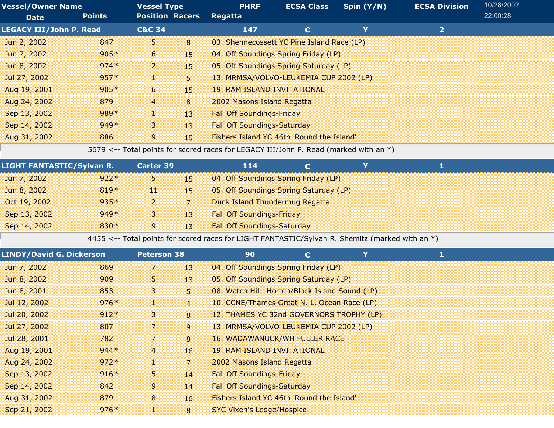| <b>Vessel/Owner Name</b>       |               | <b>Vessel Type</b>     |    | <b>PHRF</b>                                | <b>ECSA Class</b> | Spin $(Y/N)$ | <b>ECSA Division</b> | 10/28/2002 |
|--------------------------------|---------------|------------------------|----|--------------------------------------------|-------------------|--------------|----------------------|------------|
| <b>Date</b>                    | <b>Points</b> | <b>Position Racers</b> |    | <b>Regatta</b>                             |                   |              |                      | 22:00:28   |
| <b>LEGACY III/John P. Read</b> |               | <b>C&amp;C 34</b>      |    | 147                                        |                   | Y            | $\overline{2}$       |            |
| Jun 2, 2002                    | 847           | 5.                     | 8  | 03. Shennecossett YC Pine Island Race (LP) |                   |              |                      |            |
| Jun 7, 2002                    | $905*$        | 6                      | 15 | 04. Off Soundings Spring Friday (LP)       |                   |              |                      |            |
| Jun 8, 2002                    | $974*$        | $\overline{2}$         | 15 | 05. Off Soundings Spring Saturday (LP)     |                   |              |                      |            |
| Jul 27, 2002                   | $957*$        | a.                     | 5. | 13. MRMSA/VOLVO-LEUKEMIA CUP 2002 (LP)     |                   |              |                      |            |
| Aug 19, 2001                   | $905*$        | 6                      | 15 | <b>19. RAM ISLAND INVITATIONAL</b>         |                   |              |                      |            |
| Aug 24, 2002                   | 879           | $\overline{4}$         | 8  | 2002 Masons Island Regatta                 |                   |              |                      |            |
| Sep 13, 2002                   | $989*$        | T                      | 13 | <b>Fall Off Soundings-Friday</b>           |                   |              |                      |            |
| Sep 14, 2002                   | $949*$        | 3                      | 13 | <b>Fall Off Soundings-Saturday</b>         |                   |              |                      |            |
| Aug 31, 2002                   | 886           | 9                      | 19 | Fishers Island YC 46th 'Round the Island'  |                   |              |                      |            |

5679 <-- Total points for scored races for LEGACY III/John P. Read (marked with an \*)

| <b>LIGHT FANTASTIC/Sylvan R.</b> |        | <b>Carter 39</b> |     | 114                                    |  |  |  |
|----------------------------------|--------|------------------|-----|----------------------------------------|--|--|--|
| Jun 7, 2002                      | $922*$ | 53               | 45  | 04. Off Soundings Spring Friday (LP)   |  |  |  |
| Jun 8, 2002                      | $819*$ | 11               | 15. | 05. Off Soundings Spring Saturday (LP) |  |  |  |
| Oct 19, 2002                     | $935*$ | 2                |     | Duck Island Thundermug Regatta         |  |  |  |
| Sep 13, 2002                     | $949*$ | з                | 13  | <b>Fall Off Soundings-Friday</b>       |  |  |  |
| Sep 14, 2002                     | $830*$ | 9                | 13  | <b>Fall Off Soundings-Saturday</b>     |  |  |  |
|                                  |        |                  |     |                                        |  |  |  |

4455 <-- Total points for scored races for LIGHT FANTASTIC/Sylvan R. Shemitz (marked with an \*)

| <b>LINDY/David G. Dickerson</b> |                |                | 90                 | $\mathbf C$ | Y                                                                                                                                                                              |                                                                                                                                                                                                                                                                                                                                                            |  |
|---------------------------------|----------------|----------------|--------------------|-------------|--------------------------------------------------------------------------------------------------------------------------------------------------------------------------------|------------------------------------------------------------------------------------------------------------------------------------------------------------------------------------------------------------------------------------------------------------------------------------------------------------------------------------------------------------|--|
| 869                             | 7              | 13             |                    |             |                                                                                                                                                                                |                                                                                                                                                                                                                                                                                                                                                            |  |
| 909                             | 5              | 13             |                    |             |                                                                                                                                                                                |                                                                                                                                                                                                                                                                                                                                                            |  |
| 853                             | 3              | 5              |                    |             |                                                                                                                                                                                |                                                                                                                                                                                                                                                                                                                                                            |  |
| $976*$                          | 1              | $\overline{4}$ |                    |             |                                                                                                                                                                                |                                                                                                                                                                                                                                                                                                                                                            |  |
| $912*$                          | 3              | 8              |                    |             |                                                                                                                                                                                |                                                                                                                                                                                                                                                                                                                                                            |  |
| 807                             | 7              | 9              |                    |             |                                                                                                                                                                                |                                                                                                                                                                                                                                                                                                                                                            |  |
| 782                             | 7              | 8              |                    |             |                                                                                                                                                                                |                                                                                                                                                                                                                                                                                                                                                            |  |
| $944*$                          | $\overline{4}$ | 16             |                    |             |                                                                                                                                                                                |                                                                                                                                                                                                                                                                                                                                                            |  |
| $972*$                          | 1              | $\overline{7}$ |                    |             |                                                                                                                                                                                |                                                                                                                                                                                                                                                                                                                                                            |  |
| $916*$                          | 5.             | 14             |                    |             |                                                                                                                                                                                |                                                                                                                                                                                                                                                                                                                                                            |  |
| 842                             | 9              | 14             |                    |             |                                                                                                                                                                                |                                                                                                                                                                                                                                                                                                                                                            |  |
| 879                             | 8              | 16             |                    |             |                                                                                                                                                                                |                                                                                                                                                                                                                                                                                                                                                            |  |
| $976*$                          |                | 8              |                    |             |                                                                                                                                                                                |                                                                                                                                                                                                                                                                                                                                                            |  |
|                                 |                |                | <b>Peterson 38</b> |             | <b>19. RAM ISLAND INVITATIONAL</b><br>2002 Masons Island Regatta<br><b>Fall Off Soundings-Friday</b><br><b>Fall Off Soundings-Saturday</b><br><b>SYC Vixen's Ledge/Hospice</b> | 04. Off Soundings Spring Friday (LP)<br>05. Off Soundings Spring Saturday (LP)<br>08. Watch Hill- Horton/Block Island Sound (LP)<br>10. CCNE/Thames Great N. L. Ocean Race (LP)<br>12. THAMES YC 32nd GOVERNORS TROPHY (LP)<br>13. MRMSA/VOLVO-LEUKEMIA CUP 2002 (LP)<br><b>16. WADAWANUCK/WH FULLER RACE</b><br>Fishers Island YC 46th 'Round the Island' |  |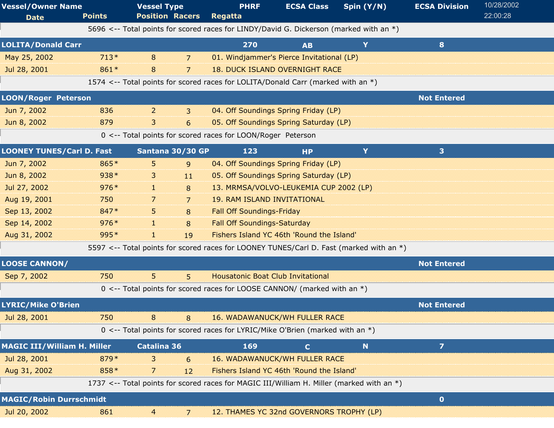| <b>Vessel/Owner Name</b><br><b>Date</b> | <b>Points</b> | <b>Vessel Type</b><br><b>Position Racers</b>                                              | <b>PHRF</b><br>Regatta                   | <b>ECSA Class</b>                         | Spin $(Y/N)$ | <b>ECSA Division</b>    | 10/28/2002<br>22:00:28 |
|-----------------------------------------|---------------|-------------------------------------------------------------------------------------------|------------------------------------------|-------------------------------------------|--------------|-------------------------|------------------------|
|                                         |               | 5696 <-- Total points for scored races for LINDY/David G. Dickerson (marked with an *)    |                                          |                                           |              |                         |                        |
| <b>LOLITA/Donald Carr</b>               |               |                                                                                           | 270                                      | <b>AB</b>                                 | Y            | 8                       |                        |
| May 25, 2002                            | $713*$        | 8<br>7                                                                                    |                                          | 01. Windjammer's Pierce Invitational (LP) |              |                         |                        |
| Jul 28, 2001                            | 861*          | 8<br>7                                                                                    |                                          | <b>18. DUCK ISLAND OVERNIGHT RACE</b>     |              |                         |                        |
|                                         |               | 1574 <-- Total points for scored races for LOLITA/Donald Carr (marked with an *)          |                                          |                                           |              |                         |                        |
| <b>LOON/Roger Peterson</b>              |               |                                                                                           |                                          |                                           |              | <b>Not Entered</b>      |                        |
| Jun 7, 2002                             | 836           | $\overline{2}$<br>3                                                                       |                                          | 04. Off Soundings Spring Friday (LP)      |              |                         |                        |
| Jun 8, 2002                             | 879           | 3<br>6                                                                                    |                                          | 05. Off Soundings Spring Saturday (LP)    |              |                         |                        |
|                                         |               | 0 <-- Total points for scored races for LOON/Roger Peterson                               |                                          |                                           |              |                         |                        |
| <b>LOONEY TUNES/Carl D. Fast</b>        |               | Santana 30/30 GP                                                                          | 123                                      | <b>HP</b>                                 | Y            | 3 <sup>1</sup>          |                        |
| Jun 7, 2002                             | 865*          | 5<br>9                                                                                    |                                          | 04. Off Soundings Spring Friday (LP)      |              |                         |                        |
| Jun 8, 2002                             | 938*          | 3<br>11                                                                                   |                                          | 05. Off Soundings Spring Saturday (LP)    |              |                         |                        |
| Jul 27, 2002                            | $976*$        | d.<br>8                                                                                   |                                          | 13. MRMSA/VOLVO-LEUKEMIA CUP 2002 (LP)    |              |                         |                        |
| Aug 19, 2001                            | 750           | 7<br>7                                                                                    | <b>19. RAM ISLAND INVITATIONAL</b>       |                                           |              |                         |                        |
| Sep 13, 2002                            | 847*          | 5.<br>8                                                                                   | <b>Fall Off Soundings-Friday</b>         |                                           |              |                         |                        |
| Sep 14, 2002                            | $976*$        | 8<br>H.                                                                                   | <b>Fall Off Soundings-Saturday</b>       |                                           |              |                         |                        |
| Aug 31, 2002                            | 995*          | T.<br>19                                                                                  |                                          | Fishers Island YC 46th 'Round the Island' |              |                         |                        |
|                                         |               | 5597 <-- Total points for scored races for LOONEY TUNES/Carl D. Fast (marked with an *)   |                                          |                                           |              |                         |                        |
| <b>LOOSE CANNON/</b>                    |               |                                                                                           |                                          |                                           |              | <b>Not Entered</b>      |                        |
| Sep 7, 2002                             | 750           | 5<br>5                                                                                    | <b>Housatonic Boat Club Invitational</b> |                                           |              |                         |                        |
|                                         |               | 0 <-- Total points for scored races for LOOSE CANNON/ (marked with an *)                  |                                          |                                           |              |                         |                        |
| <b>LYRIC/Mike O'Brien</b>               |               |                                                                                           |                                          |                                           |              | <b>Not Entered</b>      |                        |
| Jul 28, 2001                            | 750           | 8<br>8                                                                                    |                                          | <b>16. WADAWANUCK/WH FULLER RACE</b>      |              |                         |                        |
|                                         |               | 0 <-- Total points for scored races for LYRIC/Mike O'Brien (marked with an $*)$           |                                          |                                           |              |                         |                        |
| <b>MAGIC III/William H. Miller</b>      |               | <b>Catalina 36</b>                                                                        | 169                                      | $\mathbf{C}$                              | $\mathbf N$  | $\overline{\mathbf{z}}$ |                        |
| Jul 28, 2001                            | 879*          | 3<br>6                                                                                    |                                          | <b>16. WADAWANUCK/WH FULLER RACE</b>      |              |                         |                        |
| Aug 31, 2002                            | 858*          | 7<br>12                                                                                   |                                          | Fishers Island YC 46th 'Round the Island' |              |                         |                        |
|                                         |               | 1737 <-- Total points for scored races for MAGIC III/William H. Miller (marked with an *) |                                          |                                           |              |                         |                        |
| <b>MAGIC/Robin Durrschmidt</b>          |               |                                                                                           |                                          |                                           |              | $\bullet$               |                        |
| Jul 20, 2002                            | 861           | $\overline{4}$<br>$\overline{7}$                                                          |                                          | 12. THAMES YC 32nd GOVERNORS TROPHY (LP)  |              |                         |                        |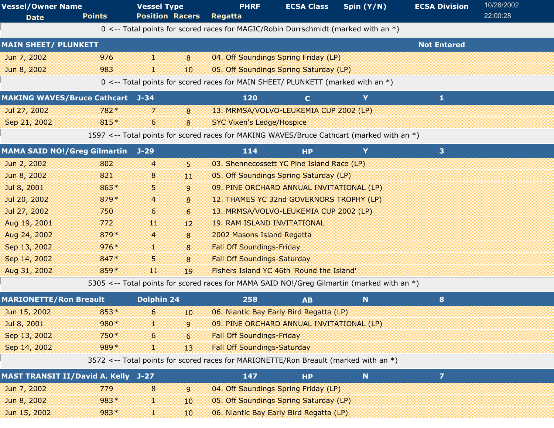| <b>Vessel/Owner Name</b><br><b>Date</b>    | <b>Points</b> | <b>Vessel Type</b><br><b>Position Racers</b> |                  | <b>PHRF</b><br><b>Regatta</b>                                                              | <b>ECSA Class</b> | Spin (Y/N) | <b>ECSA Division</b>    | 10/28/2002<br>22:00:28 |  |
|--------------------------------------------|---------------|----------------------------------------------|------------------|--------------------------------------------------------------------------------------------|-------------------|------------|-------------------------|------------------------|--|
|                                            |               |                                              |                  | 0 <-- Total points for scored races for MAGIC/Robin Durrschmidt (marked with an $*)$       |                   |            |                         |                        |  |
| <b>MAIN SHEET/ PLUNKETT</b>                |               |                                              |                  |                                                                                            |                   |            | <b>Not Entered</b>      |                        |  |
| Jun 7, 2002                                | 976           | a.                                           | 8                | 04. Off Soundings Spring Friday (LP)                                                       |                   |            |                         |                        |  |
| Jun 8, 2002                                | 983           | d.                                           | 10 <sup>10</sup> | 05. Off Soundings Spring Saturday (LP)                                                     |                   |            |                         |                        |  |
|                                            |               |                                              |                  | 0 <-- Total points for scored races for MAIN SHEET/ PLUNKETT (marked with an *)            |                   |            |                         |                        |  |
| <b>MAKING WAVES/Bruce Cathcart J-34</b>    |               |                                              |                  | 120                                                                                        | $\mathbf C$       | Y          | 1                       |                        |  |
| Jul 27, 2002                               | 782*          | 7                                            | 8                | 13. MRMSA/VOLVO-LEUKEMIA CUP 2002 (LP)                                                     |                   |            |                         |                        |  |
| Sep 21, 2002                               | 815*          | 6                                            | 8                | <b>SYC Vixen's Ledge/Hospice</b>                                                           |                   |            |                         |                        |  |
|                                            |               |                                              |                  | 1597 <-- Total points for scored races for MAKING WAVES/Bruce Cathcart (marked with an *)  |                   |            |                         |                        |  |
| <b>MAMA SAID NO!/Greg Gilmartin J-29</b>   |               |                                              |                  | 114                                                                                        | <b>HP</b>         | Y          | 3                       |                        |  |
|                                            | 802           |                                              |                  | 03. Shennecossett YC Pine Island Race (LP)                                                 |                   |            |                         |                        |  |
| Jun 2, 2002                                | 821           | $\overline{4}$                               | 5.               |                                                                                            |                   |            |                         |                        |  |
| Jun 8, 2002                                | 865*          | 8                                            | 11               | 05. Off Soundings Spring Saturday (LP)                                                     |                   |            |                         |                        |  |
| Jul 8, 2001                                |               | 5                                            | 9                | 09. PINE ORCHARD ANNUAL INVITATIONAL (LP)                                                  |                   |            |                         |                        |  |
| Jul 20, 2002                               | 879*          | 4                                            | 8                | 12. THAMES YC 32nd GOVERNORS TROPHY (LP)                                                   |                   |            |                         |                        |  |
| Jul 27, 2002                               | 750           | 6                                            | 6                | 13. MRMSA/VOLVO-LEUKEMIA CUP 2002 (LP)                                                     |                   |            |                         |                        |  |
| Aug 19, 2001                               | 772           | 11                                           | 12               | <b>19. RAM ISLAND INVITATIONAL</b>                                                         |                   |            |                         |                        |  |
| Aug 24, 2002                               | 879*          | 4                                            | 8                | 2002 Masons Island Regatta                                                                 |                   |            |                         |                        |  |
| Sep 13, 2002                               | $976*$        | a.                                           | 8                | <b>Fall Off Soundings-Friday</b>                                                           |                   |            |                         |                        |  |
| Sep 14, 2002                               | 847*          | 5                                            | 8                | <b>Fall Off Soundings-Saturday</b>                                                         |                   |            |                         |                        |  |
| Aug 31, 2002                               | 859*          | $\overline{11}$                              | 19               | Fishers Island YC 46th 'Round the Island'                                                  |                   |            |                         |                        |  |
|                                            |               |                                              |                  | 5305 <-- Total points for scored races for MAMA SAID NO!/Greg Gilmartin (marked with an *) |                   |            |                         |                        |  |
| <b>MARIONETTE/Ron Breault</b>              |               | <b>Dolphin 24</b>                            |                  | 258                                                                                        | <b>AB</b>         | N.         | 8                       |                        |  |
| Jun 15, 2002                               | $853*$        | 6                                            | 10 <sup>10</sup> | 06. Niantic Bay Early Bird Regatta (LP)                                                    |                   |            |                         |                        |  |
| Jul 8, 2001                                | 980*          | H.                                           | 9                | 09. PINE ORCHARD ANNUAL INVITATIONAL (LP)                                                  |                   |            |                         |                        |  |
| Sep 13, 2002                               | 750*          | 6                                            | 6                | <b>Fall Off Soundings-Friday</b>                                                           |                   |            |                         |                        |  |
| Sep 14, 2002                               | 989*          | H.                                           | 13               | <b>Fall Off Soundings-Saturday</b>                                                         |                   |            |                         |                        |  |
|                                            |               |                                              |                  | 3572 <-- Total points for scored races for MARIONETTE/Ron Breault (marked with an $*)$     |                   |            |                         |                        |  |
| <b>MAST TRANSIT II/David A. Kelly J-27</b> |               |                                              |                  | 147                                                                                        | <b>HP</b>         | N          | $\overline{\mathbf{z}}$ |                        |  |
| Jun 7, 2002                                | 779           | 8                                            | 9                | 04. Off Soundings Spring Friday (LP)                                                       |                   |            |                         |                        |  |
| Jun 8, 2002                                | $983*$        | d.                                           | 10               | 05. Off Soundings Spring Saturday (LP)                                                     |                   |            |                         |                        |  |
| Jun 15, 2002                               | 983*          | 1                                            | 10               | 06. Niantic Bay Early Bird Regatta (LP)                                                    |                   |            |                         |                        |  |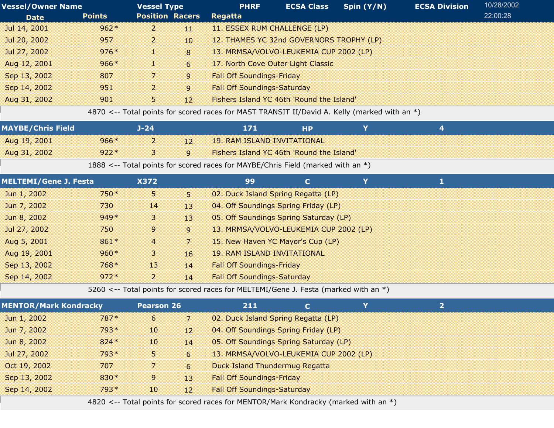| <b>Vessel/Owner Name</b> |               | <b>Vessel Type</b>     |                  | <b>PHRF</b>                               | <b>ECSA Class</b> | Spin (Y/N) | <b>ECSA Division</b> | 10/28/2002 |
|--------------------------|---------------|------------------------|------------------|-------------------------------------------|-------------------|------------|----------------------|------------|
| <b>Date</b>              | <b>Points</b> | <b>Position Racers</b> |                  | <b>Regatta</b>                            |                   |            |                      | 22:00:28   |
| Jul 14, 2001             | $962*$        | $\overline{2}$         | 11               | 11. ESSEX RUM CHALLENGE (LP)              |                   |            |                      |            |
| Jul 20, 2002             | 957           | 2                      | 10 <sup>10</sup> | 12. THAMES YC 32nd GOVERNORS TROPHY (LP)  |                   |            |                      |            |
| Jul 27, 2002             | $976*$        | 12                     | 8                | 13. MRMSA/VOLVO-LEUKEMIA CUP 2002 (LP)    |                   |            |                      |            |
| Aug 12, 2001             | $966*$        | 18                     | $6\overline{6}$  | 17. North Cove Outer Light Classic        |                   |            |                      |            |
| Sep 13, 2002             | 807           | 7                      | 9                | <b>Fall Off Soundings-Friday</b>          |                   |            |                      |            |
| Sep 14, 2002             | 951           | $\overline{2}$         | $\mathsf{q}$     | <b>Fall Off Soundings-Saturday</b>        |                   |            |                      |            |
| Aug 31, 2002             | 901           | 5.                     | 12               | Fishers Island YC 46th 'Round the Island' |                   |            |                      |            |

4870 <-- Total points for scored races for MAST TRANSIT II/David A. Kelly (marked with an \*)

| <b>MAYBE/Chris Field</b> |        | ]-24 |    | 171                                                                             |  |  |
|--------------------------|--------|------|----|---------------------------------------------------------------------------------|--|--|
| Aug 19, 2001             | $966*$ |      | 12 | 19. RAM ISLAND INVITATIONAL                                                     |  |  |
| Aug 31, 2002             | $922*$ |      | q  | Fishers Island YC 46th 'Round the Island'                                       |  |  |
|                          |        |      |    | 1888 <-- Total points for scored races for MAYBE/Chris Field (marked with an *) |  |  |
| MELTEMI/Gana 1 Facta     |        | くつフつ |    |                                                                                 |  |  |

| <b>MELTEMI/Gene J. Festa</b> |        | <b>X372</b>    |                 | 99                                     |  |  |
|------------------------------|--------|----------------|-----------------|----------------------------------------|--|--|
| Jun 1, 2002                  | $750*$ | 5.             | B.              | 02. Duck Island Spring Regatta (LP)    |  |  |
| Jun 7, 2002                  | 730    | 14             | 13              | 04. Off Soundings Spring Friday (LP)   |  |  |
| Jun 8, 2002                  | $949*$ | 3.             | 13 <sup>°</sup> | 05. Off Soundings Spring Saturday (LP) |  |  |
| Jul 27, 2002                 | 750    | 9              | $\overline{9}$  | 13. MRMSA/VOLVO-LEUKEMIA CUP 2002 (LP) |  |  |
| Aug 5, 2001                  | $861*$ | $\overline{4}$ | 7               | 15. New Haven YC Mayor's Cup (LP)      |  |  |
| Aug 19, 2001                 | $960*$ | 3.             | 16              | <b>19. RAM ISLAND INVITATIONAL</b>     |  |  |
| Sep 13, 2002                 | 768*   | 13             | 14              | <b>Fall Off Soundings-Friday</b>       |  |  |
| Sep 14, 2002                 | $972*$ | 2              | 14              | <b>Fall Off Soundings-Saturday</b>     |  |  |

5260 <-- Total points for scored races for MELTEMI/Gene J. Festa (marked with an \*)

| <b>MENTOR/Mark Kondracky</b> |        | <b>Pearson 26</b> |    | 211                                                                                 | C. |  |  |  |
|------------------------------|--------|-------------------|----|-------------------------------------------------------------------------------------|----|--|--|--|
| Jun 1, 2002                  | $787*$ | 6                 |    | 02. Duck Island Spring Regatta (LP)                                                 |    |  |  |  |
| Jun 7, 2002                  | $793*$ | $10\,$            | 12 | 04. Off Soundings Spring Friday (LP)                                                |    |  |  |  |
| Jun 8, 2002                  | $824*$ | 10                | 14 | 05. Off Soundings Spring Saturday (LP)                                              |    |  |  |  |
| Jul 27, 2002                 | $793*$ | 5.                | 6  | 13. MRMSA/VOLVO-LEUKEMIA CUP 2002 (LP)                                              |    |  |  |  |
| Oct 19, 2002                 | 707    |                   | 6  | Duck Island Thundermug Regatta                                                      |    |  |  |  |
| Sep 13, 2002                 | $830*$ | 9                 | 13 | <b>Fall Off Soundings-Friday</b>                                                    |    |  |  |  |
| Sep 14, 2002                 | $793*$ | $10\,$            | 12 | <b>Fall Off Soundings-Saturday</b>                                                  |    |  |  |  |
|                              |        |                   |    | 4820 <-- Total points for scored races for MENTOR/Mark Kondracky (marked with an *) |    |  |  |  |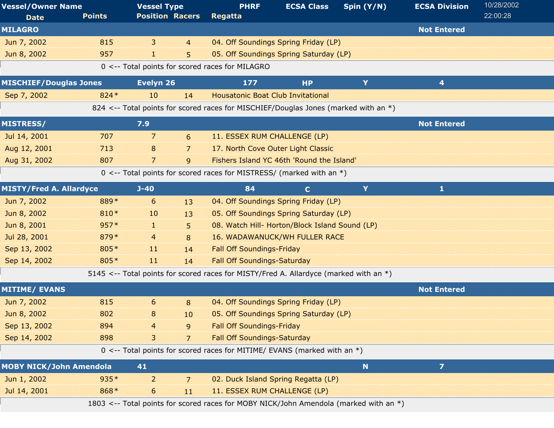| <b>Vessel/Owner Name</b>       |               | <b>Vessel Type</b>     |                | <b>PHRF</b>                                                                           | <b>ECSA Class</b> | Spin (Y/N) | <b>ECSA Division</b> | 10/28/2002 |
|--------------------------------|---------------|------------------------|----------------|---------------------------------------------------------------------------------------|-------------------|------------|----------------------|------------|
| <b>Date</b>                    | <b>Points</b> | <b>Position Racers</b> |                | <b>Regatta</b>                                                                        |                   |            |                      | 22:00:28   |
| <b>MILAGRO</b>                 |               |                        |                |                                                                                       |                   |            | <b>Not Entered</b>   |            |
| Jun 7, 2002                    | 815           | 3                      | $\overline{4}$ | 04. Off Soundings Spring Friday (LP)                                                  |                   |            |                      |            |
| Jun 8, 2002                    | 957           | 38                     | 5              | 05. Off Soundings Spring Saturday (LP)                                                |                   |            |                      |            |
|                                |               |                        |                | 0 <-- Total points for scored races for MILAGRO                                       |                   |            |                      |            |
| <b>MISCHIEF/Douglas Jones</b>  |               | Evelyn 26              |                | 177                                                                                   | <b>HP</b>         | Y          | 4                    |            |
| Sep 7, 2002                    | 824 *         | 10                     | 14             | <b>Housatonic Boat Club Invitational</b>                                              |                   |            |                      |            |
|                                |               |                        |                | 824 <-- Total points for scored races for MISCHIEF/Douglas Jones (marked with an *)   |                   |            |                      |            |
| <b>MISTRESS/</b>               |               | 7.9                    |                |                                                                                       |                   |            | <b>Not Entered</b>   |            |
| Jul 14, 2001                   | 707           | $\overline{7}$         | 6              | 11. ESSEX RUM CHALLENGE (LP)                                                          |                   |            |                      |            |
| Aug 12, 2001                   | 713           | 8                      | 7              | 17. North Cove Outer Light Classic                                                    |                   |            |                      |            |
| Aug 31, 2002                   | 807           | 7                      | $\mathbf{q}$   | Fishers Island YC 46th 'Round the Island'                                             |                   |            |                      |            |
|                                |               |                        |                | 0 <-- Total points for scored races for MISTRESS/ (marked with an $*)$                |                   |            |                      |            |
| <b>MISTY/Fred A. Allardyce</b> |               | $J-40$                 |                | 84                                                                                    | $\mathbf C$       | Y          | $\mathbf{1}$         |            |
| Jun 7, 2002                    | 889*          | 6                      | 13             | 04. Off Soundings Spring Friday (LP)                                                  |                   |            |                      |            |
| Jun 8, 2002                    | 810*          | 10                     | 13             | 05. Off Soundings Spring Saturday (LP)                                                |                   |            |                      |            |
| Jun 8, 2001                    | $957*$        | a.                     | 5              | 08. Watch Hill- Horton/Block Island Sound (LP)                                        |                   |            |                      |            |
| Jul 28, 2001                   | 879*          | 4                      | 8              | <b>16. WADAWANUCK/WH FULLER RACE</b>                                                  |                   |            |                      |            |
| Sep 13, 2002                   | 805*          | 11                     | 14             | <b>Fall Off Soundings-Friday</b>                                                      |                   |            |                      |            |
| Sep 14, 2002                   | 805*          | $\overline{11}$        | 14             | <b>Fall Off Soundings-Saturday</b>                                                    |                   |            |                      |            |
|                                |               |                        |                | 5145 <-- Total points for scored races for MISTY/Fred A. Allardyce (marked with an *) |                   |            |                      |            |
| <b>MITIME/ EVANS</b>           |               |                        |                |                                                                                       |                   |            | <b>Not Entered</b>   |            |
| Jun 7, 2002                    | 815           | 6                      | 8              | 04. Off Soundings Spring Friday (LP)                                                  |                   |            |                      |            |
| Jun 8, 2002                    | 802           | 8                      | 10             | 05. Off Soundings Spring Saturday (LP)                                                |                   |            |                      |            |
| Sep 13, 2002                   | 894           |                        | 9              | <b>Fall Off Soundings-Friday</b>                                                      |                   |            |                      |            |
| Sep 14, 2002                   | 898           | 3                      | 7              | <b>Fall Off Soundings-Saturday</b>                                                    |                   |            |                      |            |
|                                |               |                        |                | 0 <-- Total points for scored races for MITIME/ EVANS (marked with an *)              |                   |            |                      |            |
| <b>MOBY NICK/John Amendola</b> |               | 41                     |                |                                                                                       |                   | N          | $\overline{z}$       |            |
| Jun 1, 2002                    | $935*$        | $\overline{c}$         | 7              | 02. Duck Island Spring Regatta (LP)                                                   |                   |            |                      |            |
| Jul 14, 2001                   | 868*          | 6                      | $11\,$         | 11. ESSEX RUM CHALLENGE (LP)                                                          |                   |            |                      |            |
|                                |               |                        |                | 1803 <-- Total points for scored races for MOBY NICK/John Amendola (marked with an *) |                   |            |                      |            |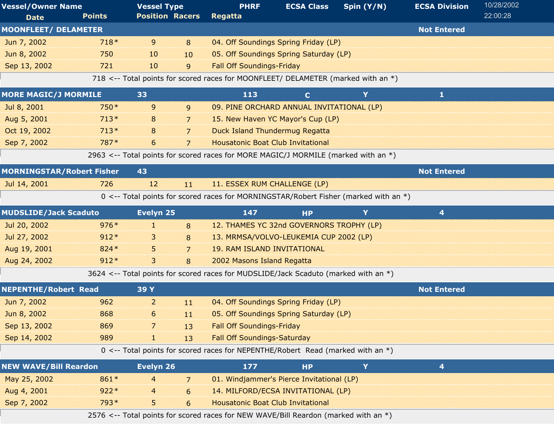| <b>Vessel/Owner Name</b>         |               | <b>Vessel Type</b>     |                | <b>PHRF</b>                                                                          | <b>ECSA Class</b> | Spin (Y/N) | <b>ECSA Division</b> | 10/28/2002 |
|----------------------------------|---------------|------------------------|----------------|--------------------------------------------------------------------------------------|-------------------|------------|----------------------|------------|
| <b>Date</b>                      | <b>Points</b> | <b>Position Racers</b> |                | Regatta                                                                              |                   |            |                      | 22:00:28   |
| <b>MOONFLEET/ DELAMETER</b>      |               |                        |                |                                                                                      |                   |            | <b>Not Entered</b>   |            |
| Jun 7, 2002                      | $718*$        | 9                      | 8              | 04. Off Soundings Spring Friday (LP)                                                 |                   |            |                      |            |
| Jun 8, 2002                      | 750           | 10                     | 10             | 05. Off Soundings Spring Saturday (LP)                                               |                   |            |                      |            |
| Sep 13, 2002                     | 721           | 10                     | 9              | <b>Fall Off Soundings-Friday</b>                                                     |                   |            |                      |            |
|                                  |               |                        |                | 718 <-- Total points for scored races for MOONFLEET/ DELAMETER (marked with an *)    |                   |            |                      |            |
| <b>MORE MAGIC/J MORMILE</b>      |               | 33                     |                | 113                                                                                  | $\mathbf{C}$      | Y          | 1                    |            |
| Jul 8, 2001                      | $750*$        | 9                      | 9              | 09. PINE ORCHARD ANNUAL INVITATIONAL (LP)                                            |                   |            |                      |            |
| Aug 5, 2001                      | $713*$        | 8                      | 7              | 15. New Haven YC Mayor's Cup (LP)                                                    |                   |            |                      |            |
| Oct 19, 2002                     | $713*$        | 8                      | $\overline{7}$ | <b>Duck Island Thundermug Regatta</b>                                                |                   |            |                      |            |
| Sep 7, 2002                      | 787*          | 6                      | $\overline{7}$ | <b>Housatonic Boat Club Invitational</b>                                             |                   |            |                      |            |
|                                  |               |                        |                | 2963 <-- Total points for scored races for MORE MAGIC/J MORMILE (marked with an *)   |                   |            |                      |            |
| <b>MORNINGSTAR/Robert Fisher</b> |               | 43                     |                |                                                                                      |                   |            | <b>Not Entered</b>   |            |
| Jul 14, 2001                     | 726           | 12                     | 11             | 11. ESSEX RUM CHALLENGE (LP)                                                         |                   |            |                      |            |
|                                  |               |                        |                | 0 <-- Total points for scored races for MORNINGSTAR/Robert Fisher (marked with an *) |                   |            |                      |            |
| <b>MUDSLIDE/Jack Scaduto</b>     |               | Evelyn 25              |                | 147                                                                                  | <b>HP</b>         | Y          | 4                    |            |
| Jul 20, 2002                     | $976*$        | 88                     | 8              | 12. THAMES YC 32nd GOVERNORS TROPHY (LP)                                             |                   |            |                      |            |
| Jul 27, 2002                     | $912*$        | 3                      | 8              | 13. MRMSA/VOLVO-LEUKEMIA CUP 2002 (LP)                                               |                   |            |                      |            |
| Aug 19, 2001                     | 824 *         | 5                      | 7              | <b>19. RAM ISLAND INVITATIONAL</b>                                                   |                   |            |                      |            |
| Aug 24, 2002                     | $912*$        | $\mathbf{3}$           | 8              | 2002 Masons Island Regatta                                                           |                   |            |                      |            |
|                                  |               |                        |                | 3624 <-- Total points for scored races for MUDSLIDE/Jack Scaduto (marked with an *)  |                   |            |                      |            |
| <b>NEPENTHE/Robert Read</b>      |               | 39 Y                   |                |                                                                                      |                   |            | <b>Not Entered</b>   |            |
| Jun 7, 2002                      | 962           | $\overline{c}$         | 11             | 04. Off Soundings Spring Friday (LP)                                                 |                   |            |                      |            |
| Jun 8, 2002                      | 868           | 6.                     | 11             | 05. Off Soundings Spring Saturday (LP)                                               |                   |            |                      |            |
| Sep 13, 2002                     | 869           | 7                      | 13             | <b>Fall Off Soundings-Friday</b>                                                     |                   |            |                      |            |
| Sep 14, 2002                     | 989           | 80                     | 13             | <b>Fall Off Soundings-Saturday</b>                                                   |                   |            |                      |            |
|                                  |               |                        |                | 0 <-- Total points for scored races for NEPENTHE/Robert Read (marked with an *)      |                   |            |                      |            |
| <b>NEW WAVE/Bill Reardon</b>     |               | Evelyn 26              |                | 177                                                                                  | <b>HP</b>         | Y          | 4                    |            |
| May 25, 2002                     | 861*          | 4                      | 7              | 01. Windjammer's Pierce Invitational (LP)                                            |                   |            |                      |            |
| Aug 4, 2001                      | $922*$        | 4                      | 6              | 14. MILFORD/ECSA INVITATIONAL (LP)                                                   |                   |            |                      |            |
| Sep 7, 2002                      | 793*          | 5                      | 6              | <b>Housatonic Boat Club Invitational</b>                                             |                   |            |                      |            |
|                                  |               |                        |                | 2576 <-- Total points for scored races for NEW WAVE/Bill Reardon (marked with an *)  |                   |            |                      |            |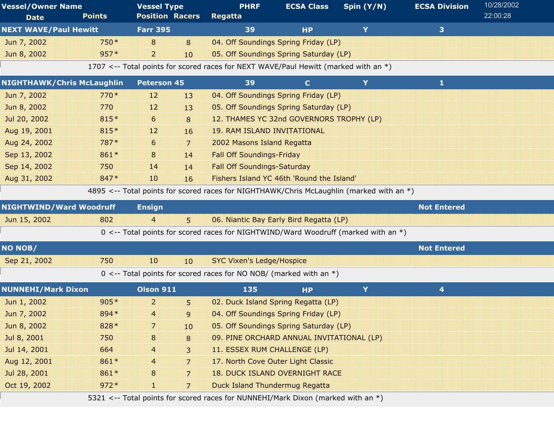| <b>Vessel/Owner Name</b><br><b>Date</b> | <b>Points</b> | <b>Vessel Type</b><br><b>Position Racers</b> |    | <b>PHRF</b><br>Regatta                                                                   | <b>ECSA Class</b> | Spin $(Y/N)$ | <b>ECSA Division</b> | 10/28/2002<br>22:00:28 |
|-----------------------------------------|---------------|----------------------------------------------|----|------------------------------------------------------------------------------------------|-------------------|--------------|----------------------|------------------------|
| <b>NEXT WAVE/Paul Hewitt</b>            |               | <b>Farr 395</b>                              |    | 39                                                                                       | <b>HP</b>         | Y            | 3                    |                        |
| Jun 7, 2002                             | 750 *         | 8                                            | 8  | 04. Off Soundings Spring Friday (LP)                                                     |                   |              |                      |                        |
| Jun 8, 2002                             | $957*$        | 2                                            | 10 | 05. Off Soundings Spring Saturday (LP)                                                   |                   |              |                      |                        |
|                                         |               |                                              |    | 1707 <-- Total points for scored races for NEXT WAVE/Paul Hewitt (marked with an *)      |                   |              |                      |                        |
| <b>NIGHTHAWK/Chris McLaughlin</b>       |               | <b>Peterson 45</b>                           |    | 39                                                                                       | $\mathbf{C}$      | Y            | $\mathbf{1}$         |                        |
| Jun 7, 2002                             | $770*$        | 12                                           | 13 | 04. Off Soundings Spring Friday (LP)                                                     |                   |              |                      |                        |
| Jun 8, 2002                             | 770           | 12                                           | 13 | 05. Off Soundings Spring Saturday (LP)                                                   |                   |              |                      |                        |
| Jul 20, 2002                            | 815*          | 6                                            | 8  | 12. THAMES YC 32nd GOVERNORS TROPHY (LP)                                                 |                   |              |                      |                        |
| Aug 19, 2001                            | 815*          | 12                                           | 16 | <b>19. RAM ISLAND INVITATIONAL</b>                                                       |                   |              |                      |                        |
| Aug 24, 2002                            | 787*          | 6                                            | 7  | 2002 Masons Island Regatta                                                               |                   |              |                      |                        |
| Sep 13, 2002                            | 861*          | 8                                            | 14 | <b>Fall Off Soundings-Friday</b>                                                         |                   |              |                      |                        |
| Sep 14, 2002                            | 750           | 14                                           | 14 | <b>Fall Off Soundings-Saturday</b>                                                       |                   |              |                      |                        |
| Aug 31, 2002                            | 847*          | 10                                           | 16 | Fishers Island YC 46th 'Round the Island'                                                |                   |              |                      |                        |
|                                         |               |                                              |    | 4895 <-- Total points for scored races for NIGHTHAWK/Chris McLaughlin (marked with an *) |                   |              |                      |                        |
| <b>NIGHTWIND/Ward Woodruff</b>          |               | <b>Ensign</b>                                |    |                                                                                          |                   |              | <b>Not Entered</b>   |                        |
| Jun 15, 2002                            | 802           | 4                                            | 5  | 06. Niantic Bay Early Bird Regatta (LP)                                                  |                   |              |                      |                        |
|                                         |               |                                              |    | 0 <-- Total points for scored races for NIGHTWIND/Ward Woodruff (marked with an *)       |                   |              |                      |                        |
| <b>NO NOB/</b>                          |               |                                              |    |                                                                                          |                   |              | <b>Not Entered</b>   |                        |
| Sep 21, 2002                            | 750           | 10                                           | 10 | <b>SYC Vixen's Ledge/Hospice</b>                                                         |                   |              |                      |                        |
|                                         |               |                                              |    | 0 <-- Total points for scored races for NO NOB/ (marked with an $*)$                     |                   |              |                      |                        |
| <b>NUNNEHI/Mark Dixon</b>               |               | <b>Olson 911</b>                             |    | 135                                                                                      | <b>HP</b>         | Y            | 4                    |                        |
| Jun 1, 2002                             | $905*$        | 2                                            | 5  | 02. Duck Island Spring Regatta (LP)                                                      |                   |              |                      |                        |
| Jun 7, 2002                             | 894*          | 4                                            | 9  | 04. Off Soundings Spring Friday (LP)                                                     |                   |              |                      |                        |
| Jun 8, 2002                             | 828 *         | 7                                            | 10 | 05. Off Soundings Spring Saturday (LP)                                                   |                   |              |                      |                        |
| Jul 8, 2001                             | 750           | $\bf 8$                                      | 8  | 09. PINE ORCHARD ANNUAL INVITATIONAL (LP)                                                |                   |              |                      |                        |
| Jul 14, 2001                            | 664           | 4                                            | 3  | 11. ESSEX RUM CHALLENGE (LP)                                                             |                   |              |                      |                        |
| Aug 12, 2001                            | 861*          | 4                                            | 7  | 17. North Cove Outer Light Classic                                                       |                   |              |                      |                        |
| Jul 28, 2001                            | 861*          | 8                                            | 7  | <b>18. DUCK ISLAND OVERNIGHT RACE</b>                                                    |                   |              |                      |                        |
| Oct 19, 2002                            | $972*$        | H.                                           | 7  | <b>Duck Island Thundermug Regatta</b>                                                    |                   |              |                      |                        |
|                                         |               |                                              |    |                                                                                          |                   |              |                      |                        |

5321 <-- Total points for scored races for NUNNEHI/Mark Dixon (marked with an \*)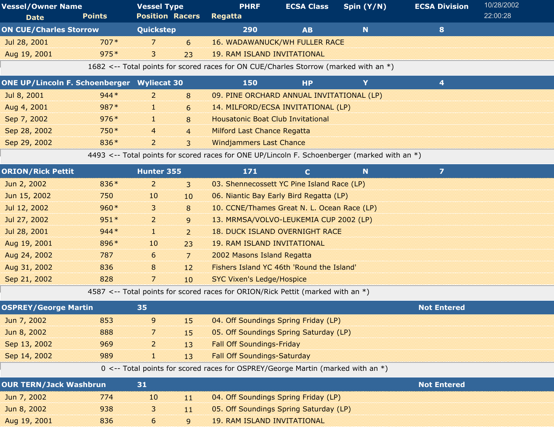| <b>Vessel/Owner Name</b>      |               | <b>Vessel Type</b> |    | <b>PHRF</b>                                                                          | <b>ECSA Class</b> | Spin $(Y/N)$ | <b>ECSA Division</b> | 10/28/2002 |  |
|-------------------------------|---------------|--------------------|----|--------------------------------------------------------------------------------------|-------------------|--------------|----------------------|------------|--|
| <b>Date</b>                   | <b>Points</b> |                    |    | <b>Position Racers Regatta</b>                                                       |                   |              |                      | 22:00:28   |  |
| <b>ON CUE/Charles Storrow</b> |               | Quickstep          |    | 290                                                                                  | AB                |              | 8                    |            |  |
| Jul 28, 2001                  | $707*$        |                    | 67 | <b>16. WADAWANUCK/WH FULLER RACE</b>                                                 |                   |              |                      |            |  |
| Aug 19, 2001                  | $975*$        | 8                  | つろ | 19. RAM ISLAND INVITATIONAL                                                          |                   |              |                      |            |  |
|                               |               |                    |    | 1682 <-- Total points for scored races for ON CUE/Charles Storrow (marked with an *) |                   |              |                      |            |  |

| <b>ONE UP/Lincoln F. Schoenberger Wyliecat 30</b> |        |   |                | 150                                       | НP |  |  |
|---------------------------------------------------|--------|---|----------------|-------------------------------------------|----|--|--|
| Jul 8, 2001                                       | $944*$ |   | 8              | 09. PINE ORCHARD ANNUAL INVITATIONAL (LP) |    |  |  |
| Aug 4, 2001                                       | $987*$ |   | 6              | 14. MILFORD/ECSA INVITATIONAL (LP)        |    |  |  |
| Sep 7, 2002                                       | $976*$ |   | 8              | <b>Housatonic Boat Club Invitational</b>  |    |  |  |
| Sep 28, 2002                                      | $750*$ | 4 | $\overline{a}$ | <b>Milford Last Chance Regatta</b>        |    |  |  |
| Sep 29, 2002                                      | 836 *  |   |                | <b>Windjammers Last Chance</b>            |    |  |  |

4493 <-- Total points for scored races for ONE UP/Lincoln F. Schoenberger (marked with an \*)

| <b>ORION/Rick Pettit</b> |        | Hunter 355     |                 | 171                                         | N | 7 |  |
|--------------------------|--------|----------------|-----------------|---------------------------------------------|---|---|--|
| Jun 2, 2002              | 836 *  | $\overline{2}$ | 3               | 03. Shennecossett YC Pine Island Race (LP)  |   |   |  |
| Jun 15, 2002             | 750    | 10             | 10 <sup>°</sup> | 06. Niantic Bay Early Bird Regatta (LP)     |   |   |  |
| Jul 12, 2002             | $960*$ | 3              | 8               | 10. CCNE/Thames Great N. L. Ocean Race (LP) |   |   |  |
| Jul 27, 2002             | $951*$ | $\overline{2}$ | 9               | 13. MRMSA/VOLVO-LEUKEMIA CUP 2002 (LP)      |   |   |  |
| Jul 28, 2001             | $944*$ | 1              | $\overline{2}$  | 18. DUCK ISLAND OVERNIGHT RACE              |   |   |  |
| Aug 19, 2001             | $896*$ | 10             | 23              | 19. RAM ISLAND INVITATIONAL                 |   |   |  |
| Aug 24, 2002             | 787    | 6              | $\overline{7}$  | 2002 Masons Island Regatta                  |   |   |  |
| Aug 31, 2002             | 836    | 8              | 12              | Fishers Island YC 46th 'Round the Island'   |   |   |  |
| Sep 21, 2002             | 828    | 7              | 10              | <b>SYC Vixen's Ledge/Hospice</b>            |   |   |  |

4587 <-- Total points for scored races for ORION/Rick Pettit (marked with an \*)

| <b>OSPREY/George Martin</b>   |     | 35             |    |                                                                                   | <b>Not Entered</b> |  |
|-------------------------------|-----|----------------|----|-----------------------------------------------------------------------------------|--------------------|--|
| Jun 7, 2002                   | 853 | $\overline{9}$ | 15 | 04. Off Soundings Spring Friday (LP)                                              |                    |  |
| Jun 8, 2002                   | 888 | 7              | 15 | 05. Off Soundings Spring Saturday (LP)                                            |                    |  |
| Sep 13, 2002                  | 969 | 2              | 13 | <b>Fall Off Soundings-Friday</b>                                                  |                    |  |
| Sep 14, 2002                  | 989 | 1.             | 13 | <b>Fall Off Soundings-Saturday</b>                                                |                    |  |
|                               |     |                |    | 0 <-- Total points for scored races for OSPREY/George Martin (marked with an $*)$ |                    |  |
| <b>OUR TERN/Jack Washbrun</b> |     | 31             |    |                                                                                   | <b>Not Entered</b> |  |
| Jun 7, 2002                   | 774 | 10             | 11 | 04. Off Soundings Spring Friday (LP)                                              |                    |  |
| Jun 8, 2002                   | 938 | $\overline{3}$ | 11 | 05. Off Soundings Spring Saturday (LP)                                            |                    |  |
| Aug 19, 2001                  | 836 | 6              | 9  | <b>19. RAM ISLAND INVITATIONAL</b>                                                |                    |  |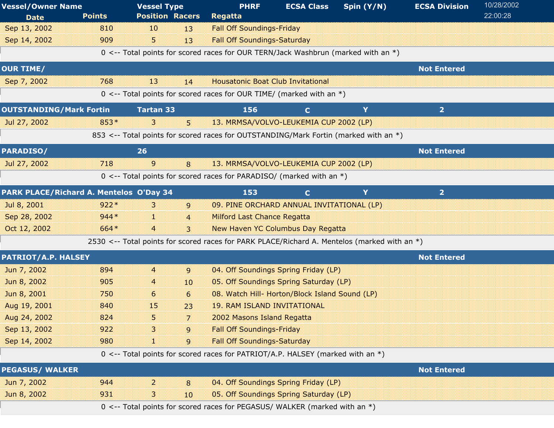| <b>Vessel/Owner Name</b><br><b>Date</b> | <b>Points</b> | <b>Vessel Type</b><br><b>Position Racers</b> |                | <b>PHRF</b><br><b>Regatta</b>                                                                | <b>ECSA Class</b> | Spin (Y/N) | <b>ECSA Division</b> | 10/28/2002<br>22:00:28 |
|-----------------------------------------|---------------|----------------------------------------------|----------------|----------------------------------------------------------------------------------------------|-------------------|------------|----------------------|------------------------|
| Sep 13, 2002                            | 810           | 10                                           | 13             | <b>Fall Off Soundings-Friday</b>                                                             |                   |            |                      |                        |
| Sep 14, 2002                            | 909           | 5.                                           | 13             | <b>Fall Off Soundings-Saturday</b>                                                           |                   |            |                      |                        |
|                                         |               |                                              |                | 0 <-- Total points for scored races for OUR TERN/Jack Washbrun (marked with an *)            |                   |            |                      |                        |
| <b>OUR TIME/</b>                        |               |                                              |                |                                                                                              |                   |            | <b>Not Entered</b>   |                        |
| Sep 7, 2002                             | 768           | 13                                           | 14             | <b>Housatonic Boat Club Invitational</b>                                                     |                   |            |                      |                        |
|                                         |               |                                              |                | $0 \le -$ Total points for scored races for OUR TIME/ (marked with an $*)$                   |                   |            |                      |                        |
| <b>OUTSTANDING/Mark Fortin</b>          |               | <b>Tartan 33</b>                             |                | 156                                                                                          | $\mathbf{C}$      | Y          | $\overline{2}$       |                        |
| Jul 27, 2002                            | 853*          | 3                                            | 5 <sup>5</sup> | 13. MRMSA/VOLVO-LEUKEMIA CUP 2002 (LP)                                                       |                   |            |                      |                        |
|                                         |               |                                              |                | 853 <-- Total points for scored races for OUTSTANDING/Mark Fortin (marked with an *)         |                   |            |                      |                        |
| <b>PARADISO/</b>                        |               | 26                                           |                |                                                                                              |                   |            | <b>Not Entered</b>   |                        |
| Jul 27, 2002                            | 718           | 9                                            | 8              | 13. MRMSA/VOLVO-LEUKEMIA CUP 2002 (LP)                                                       |                   |            |                      |                        |
|                                         |               |                                              |                | $0 \le -5$ Total points for scored races for PARADISO/ (marked with an *)                    |                   |            |                      |                        |
| PARK PLACE/Richard A. Mentelos O'Day 34 |               |                                              |                | 153                                                                                          | $\mathbf{C}$      | Y          | 2 <sub>1</sub>       |                        |
| Jul 8, 2001                             | $922*$        | 3                                            | $\overline{9}$ | 09. PINE ORCHARD ANNUAL INVITATIONAL (LP)                                                    |                   |            |                      |                        |
| Sep 28, 2002                            | $944*$        | m                                            | $\overline{4}$ | <b>Milford Last Chance Regatta</b>                                                           |                   |            |                      |                        |
| Oct 12, 2002                            | 664*          | $\overline{4}$                               | 3              | New Haven YC Columbus Day Regatta                                                            |                   |            |                      |                        |
|                                         |               |                                              |                | 2530 <-- Total points for scored races for PARK PLACE/Richard A. Mentelos (marked with an *) |                   |            |                      |                        |
| <b>PATRIOT/A.P. HALSEY</b>              |               |                                              |                |                                                                                              |                   |            | <b>Not Entered</b>   |                        |
| Jun 7, 2002                             | 894           | 4                                            | 9              | 04. Off Soundings Spring Friday (LP)                                                         |                   |            |                      |                        |
| Jun 8, 2002                             | 905           | 4                                            | 10             | 05. Off Soundings Spring Saturday (LP)                                                       |                   |            |                      |                        |
| Jun 8, 2001                             | 750           | 6                                            | 6              | 08. Watch Hill- Horton/Block Island Sound (LP)                                               |                   |            |                      |                        |
| Aug 19, 2001                            | 840           | 15                                           | 23             | <b>19. RAM ISLAND INVITATIONAL</b>                                                           |                   |            |                      |                        |
| Aug 24, 2002                            | 824           | 5                                            | $\overline{7}$ | 2002 Masons Island Regatta                                                                   |                   |            |                      |                        |
| Sep 13, 2002                            | 922           |                                              | 9              | <b>Fall Off Soundings-Friday</b>                                                             |                   |            |                      |                        |
| Sep 14, 2002                            | 980           | H.                                           | 9              | <b>Fall Off Soundings-Saturday</b>                                                           |                   |            |                      |                        |
|                                         |               |                                              |                | 0 <-- Total points for scored races for PATRIOT/A.P. HALSEY (marked with an $*)$             |                   |            |                      |                        |
| <b>PEGASUS/ WALKER</b>                  |               |                                              |                |                                                                                              |                   |            | <b>Not Entered</b>   |                        |
| Jun 7, 2002                             | 944           | 2                                            | 8              | 04. Off Soundings Spring Friday (LP)                                                         |                   |            |                      |                        |
| Jun 8, 2002                             | 931           | 3                                            | 10             | 05. Off Soundings Spring Saturday (LP)                                                       |                   |            |                      |                        |
|                                         |               |                                              |                | 0 <-- Total points for scored races for PEGASUS/ WALKER (marked with an *)                   |                   |            |                      |                        |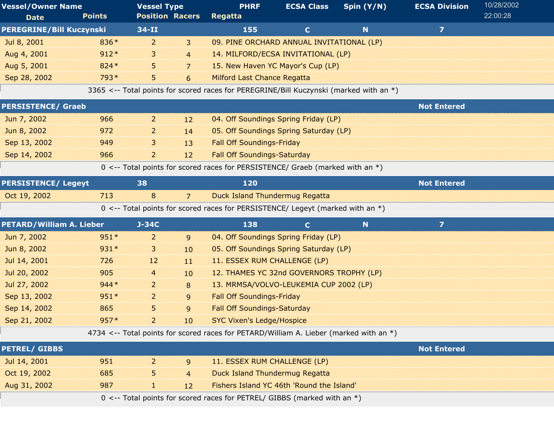| <b>Vessel/Owner Name</b>        |               | <b>Vessel Type</b>     |                  | <b>PHRF</b>                                                                              | <b>ECSA Class</b> | Spin (Y/N)  | <b>ECSA Division</b> | 10/28/2002 |
|---------------------------------|---------------|------------------------|------------------|------------------------------------------------------------------------------------------|-------------------|-------------|----------------------|------------|
| <b>Date</b>                     | <b>Points</b> | <b>Position Racers</b> |                  | Regatta                                                                                  |                   |             |                      | 22:00:28   |
| <b>PEREGRINE/Bill Kuczynski</b> |               | $34 - II$              |                  | 155                                                                                      | $\mathbf{C}$      | $\mathbf N$ | $\overline{z}$       |            |
| Jul 8, 2001                     | 836*          | $\overline{2}$         | $\mathbf{3}$     | 09. PINE ORCHARD ANNUAL INVITATIONAL (LP)                                                |                   |             |                      |            |
| Aug 4, 2001                     | $912*$        | 3                      | $\overline{4}$   | 14. MILFORD/ECSA INVITATIONAL (LP)                                                       |                   |             |                      |            |
| Aug 5, 2001                     | 824 *         | 5                      | $\overline{7}$   | 15. New Haven YC Mayor's Cup (LP)                                                        |                   |             |                      |            |
| Sep 28, 2002                    | 793*          | 5                      | 6                | <b>Milford Last Chance Regatta</b>                                                       |                   |             |                      |            |
|                                 |               |                        |                  | 3365 <-- Total points for scored races for PEREGRINE/Bill Kuczynski (marked with an *)   |                   |             |                      |            |
| <b>PERSISTENCE/ Graeb</b>       |               |                        |                  |                                                                                          |                   |             | <b>Not Entered</b>   |            |
| Jun 7, 2002                     | 966           | 2                      | 12               | 04. Off Soundings Spring Friday (LP)                                                     |                   |             |                      |            |
| Jun 8, 2002                     | 972           | 2                      | 14               | 05. Off Soundings Spring Saturday (LP)                                                   |                   |             |                      |            |
| Sep 13, 2002                    | 949           | 3                      | 13               | <b>Fall Off Soundings-Friday</b>                                                         |                   |             |                      |            |
| Sep 14, 2002                    | 966           | $\overline{a}$         | 12               | <b>Fall Off Soundings-Saturday</b>                                                       |                   |             |                      |            |
|                                 |               |                        |                  | 0 <-- Total points for scored races for PERSISTENCE/ Graeb (marked with an *)            |                   |             |                      |            |
| <b>PERSISTENCE/ Legeyt</b>      |               | 38                     |                  | 120                                                                                      |                   |             | <b>Not Entered</b>   |            |
| Oct 19, 2002                    | 713           | 8                      | $\overline{7}$   | <b>Duck Island Thundermug Regatta</b>                                                    |                   |             |                      |            |
|                                 |               |                        |                  | 0 <-- Total points for scored races for PERSISTENCE/ Legeyt (marked with an *)           |                   |             |                      |            |
| <b>PETARD/William A. Lieber</b> |               | $J-34C$                |                  | 138                                                                                      | $\mathbf C$       | N           | $\overline{z}$       |            |
| Jun 7, 2002                     | $951*$        | 2                      | 9                | 04. Off Soundings Spring Friday (LP)                                                     |                   |             |                      |            |
| Jun 8, 2002                     | 931*          | 3                      | 10 <sup>10</sup> | 05. Off Soundings Spring Saturday (LP)                                                   |                   |             |                      |            |
| Jul 14, 2001                    | 726           | 12                     | 11               | 11. ESSEX RUM CHALLENGE (LP)                                                             |                   |             |                      |            |
| Jul 20, 2002                    | 905           | 4                      | 10               | 12. THAMES YC 32nd GOVERNORS TROPHY (LP)                                                 |                   |             |                      |            |
| Jul 27, 2002                    | $944*$        | $\overline{2}$         | 8                | 13. MRMSA/VOLVO-LEUKEMIA CUP 2002 (LP)                                                   |                   |             |                      |            |
| Sep 13, 2002                    | $951*$        | $\overline{2}$         | 9                | <b>Fall Off Soundings-Friday</b>                                                         |                   |             |                      |            |
| Sep 14, 2002                    | 865           | 5                      | 9                | <b>Fall Off Soundings-Saturday</b>                                                       |                   |             |                      |            |
| Sep 21, 2002                    | 957*          | 2                      | 10               | <b>SYC Vixen's Ledge/Hospice</b>                                                         |                   |             |                      |            |
|                                 |               |                        |                  | 4734 <-- Total points for scored races for PETARD/William A. Lieber (marked with an $*)$ |                   |             |                      |            |
| <b>PETREL/ GIBBS</b>            |               |                        |                  |                                                                                          |                   |             | <b>Not Entered</b>   |            |
| Jul 14, 2001                    | 951           | 2                      | 9                | 11. ESSEX RUM CHALLENGE (LP)                                                             |                   |             |                      |            |
| Oct 19, 2002                    | 685           | 5                      | $\overline{4}$   | <b>Duck Island Thundermug Regatta</b>                                                    |                   |             |                      |            |
| Aug 31, 2002                    | 987           | 1                      | 12               | Fishers Island YC 46th 'Round the Island'                                                |                   |             |                      |            |
|                                 |               |                        |                  | $0 \le -$ Total points for scored races for PETREL/ GIBBS (marked with an $*)$           |                   |             |                      |            |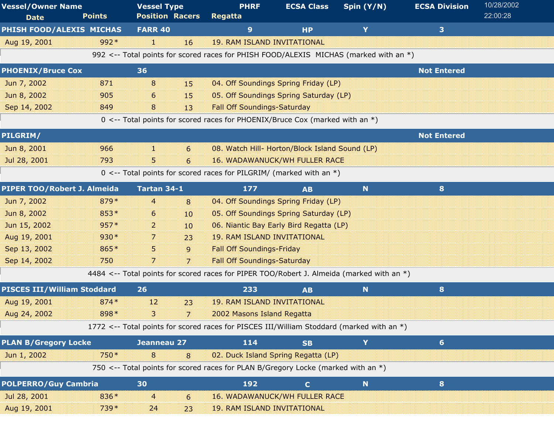| <b>Vessel/Owner Name</b><br><b>Date</b> | <b>Points</b> | <b>Vessel Type</b><br><b>Position Racers</b> | <b>PHRF</b><br><b>Regatta</b>                                                             | <b>ECSA Class</b>                              | Spin (Y/N)  | <b>ECSA Division</b> | 10/28/2002<br>22:00:28 |
|-----------------------------------------|---------------|----------------------------------------------|-------------------------------------------------------------------------------------------|------------------------------------------------|-------------|----------------------|------------------------|
| PHISH FOOD/ALEXIS MICHAS                |               | <b>FARR 40</b>                               | 9                                                                                         | <b>HP</b>                                      | Y           | 3                    |                        |
| Aug 19, 2001                            | $992*$        | H.<br>16                                     | <b>19. RAM ISLAND INVITATIONAL</b>                                                        |                                                |             |                      |                        |
|                                         |               |                                              | 992 <-- Total points for scored races for PHISH FOOD/ALEXIS MICHAS (marked with an *)     |                                                |             |                      |                        |
| <b>PHOENIX/Bruce Cox</b>                |               | 36                                           |                                                                                           |                                                |             | <b>Not Entered</b>   |                        |
| Jun 7, 2002                             | 871           | 8<br>15                                      |                                                                                           | 04. Off Soundings Spring Friday (LP)           |             |                      |                        |
| Jun 8, 2002                             | 905           | 6<br>15                                      |                                                                                           | 05. Off Soundings Spring Saturday (LP)         |             |                      |                        |
| Sep 14, 2002                            | 849           | 8<br>13                                      | <b>Fall Off Soundings-Saturday</b>                                                        |                                                |             |                      |                        |
|                                         |               |                                              | 0 <-- Total points for scored races for PHOENIX/Bruce Cox (marked with an *)              |                                                |             |                      |                        |
| PILGRIM/                                |               |                                              |                                                                                           |                                                |             | <b>Not Entered</b>   |                        |
| Jun 8, 2001                             | 966           | H.<br>6                                      |                                                                                           | 08. Watch Hill- Horton/Block Island Sound (LP) |             |                      |                        |
| Jul 28, 2001                            | 793           | 5.<br>6                                      |                                                                                           | <b>16. WADAWANUCK/WH FULLER RACE</b>           |             |                      |                        |
|                                         |               |                                              | 0 <-- Total points for scored races for PILGRIM/ (marked with an $*)$                     |                                                |             |                      |                        |
| PIPER TOO/Robert J. Almeida             |               | Tartan 34-1                                  | 177                                                                                       | <b>AB</b>                                      | $\mathbf N$ | 8                    |                        |
| Jun 7, 2002                             | 879*          | 4<br>8                                       |                                                                                           | 04. Off Soundings Spring Friday (LP)           |             |                      |                        |
| Jun 8, 2002                             | 853*          | 6<br>10                                      |                                                                                           | 05. Off Soundings Spring Saturday (LP)         |             |                      |                        |
| Jun 15, 2002                            | $957*$        | 2<br>10                                      |                                                                                           | 06. Niantic Bay Early Bird Regatta (LP)        |             |                      |                        |
| Aug 19, 2001                            | 930*          | 7<br>23                                      | <b>19. RAM ISLAND INVITATIONAL</b>                                                        |                                                |             |                      |                        |
| Sep 13, 2002                            | 865*          | 5.<br>9                                      | <b>Fall Off Soundings-Friday</b>                                                          |                                                |             |                      |                        |
| Sep 14, 2002                            | 750           | 7<br>$\overline{7}$                          | <b>Fall Off Soundings-Saturday</b>                                                        |                                                |             |                      |                        |
|                                         |               |                                              | 4484 <-- Total points for scored races for PIPER TOO/Robert J. Almeida (marked with an *) |                                                |             |                      |                        |
| <b>PISCES III/William Stoddard</b>      |               | 26                                           | 233                                                                                       | <b>AB</b>                                      | N           | 8                    |                        |
| Aug 19, 2001                            | $874*$        | 12<br>23                                     | <b>19. RAM ISLAND INVITATIONAL</b>                                                        |                                                |             |                      |                        |
| Aug 24, 2002                            | 898 *         | 3<br>$\overline{7}$                          | 2002 Masons Island Regatta                                                                |                                                |             |                      |                        |
|                                         |               |                                              | 1772 <-- Total points for scored races for PISCES III/William Stoddard (marked with an *) |                                                |             |                      |                        |
| <b>PLAN B/Gregory Locke</b>             |               | Jeanneau 27                                  | 114                                                                                       | <b>SB</b>                                      | Y           | 6 <sup>1</sup>       |                        |
| Jun 1, 2002                             | 750*          | 8<br>8                                       |                                                                                           | 02. Duck Island Spring Regatta (LP)            |             |                      |                        |
|                                         |               |                                              | 750 <-- Total points for scored races for PLAN B/Gregory Locke (marked with an *)         |                                                |             |                      |                        |
| <b>POLPERRO/Guy Cambria</b>             |               | 30                                           | 192                                                                                       | $\mathbf{C}$                                   | N           | 8                    |                        |
| Jul 28, 2001                            | 836*          | 4<br>6                                       |                                                                                           | <b>16. WADAWANUCK/WH FULLER RACE</b>           |             |                      |                        |
| Aug 19, 2001                            | 739 *         | 24<br>23                                     | <b>19. RAM ISLAND INVITATIONAL</b>                                                        |                                                |             |                      |                        |
|                                         |               |                                              |                                                                                           |                                                |             |                      |                        |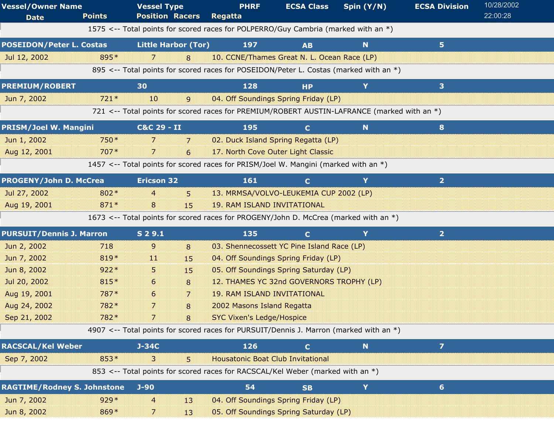| <b>Vessel/Owner Name</b><br><b>Date</b> | <b>Points</b> | <b>Vessel Type</b><br><b>Position Racers</b> |                | <b>PHRF</b><br>Regatta                                                                      | <b>ECSA Class</b> | Spin (Y/N)  | <b>ECSA Division</b> | 10/28/2002<br>22:00:28 |
|-----------------------------------------|---------------|----------------------------------------------|----------------|---------------------------------------------------------------------------------------------|-------------------|-------------|----------------------|------------------------|
|                                         |               |                                              |                | 1575 <-- Total points for scored races for POLPERRO/Guy Cambria (marked with an *)          |                   |             |                      |                        |
| <b>POSEIDON/Peter L. Costas</b>         |               | <b>Little Harbor (Tor)</b>                   |                | 197                                                                                         | <b>AB</b>         | N           | 5 <sup>1</sup>       |                        |
| Jul 12, 2002                            | 895*          | 7                                            | 8              | 10. CCNE/Thames Great N. L. Ocean Race (LP)                                                 |                   |             |                      |                        |
|                                         |               |                                              |                | 895 <-- Total points for scored races for POSEIDON/Peter L. Costas (marked with an *)       |                   |             |                      |                        |
| <b>PREMIUM/ROBERT</b>                   |               | 30                                           |                | 128                                                                                         | <b>HP</b>         | Y           | 3                    |                        |
| Jun 7, 2002                             | $721*$        | 10                                           | 9              | 04. Off Soundings Spring Friday (LP)                                                        |                   |             |                      |                        |
|                                         |               |                                              |                | 721 <-- Total points for scored races for PREMIUM/ROBERT AUSTIN-LAFRANCE (marked with an *) |                   |             |                      |                        |
| <b>PRISM/Joel W. Mangini</b>            |               | C&C 29 - II                                  |                | 195                                                                                         | $\mathbf C$       | N           | 8                    |                        |
| Jun 1, 2002                             | 750*          | 7                                            | $\overline{7}$ | 02. Duck Island Spring Regatta (LP)                                                         |                   |             |                      |                        |
| Aug 12, 2001                            | $707*$        | 7                                            | 6              | 17. North Cove Outer Light Classic                                                          |                   |             |                      |                        |
|                                         |               |                                              |                | 1457 <-- Total points for scored races for PRISM/Joel W. Mangini (marked with an *)         |                   |             |                      |                        |
| <b>PROGENY/John D. McCrea</b>           |               | <b>Ericson 32</b>                            |                | 161                                                                                         | $\mathbf C$       | Y           | $\overline{2}$       |                        |
| Jul 27, 2002                            | 802*          | 4                                            | 5.             | 13. MRMSA/VOLVO-LEUKEMIA CUP 2002 (LP)                                                      |                   |             |                      |                        |
| Aug 19, 2001                            | $871*$        | 8                                            | 15             | <b>19. RAM ISLAND INVITATIONAL</b>                                                          |                   |             |                      |                        |
|                                         |               |                                              |                | 1673 <-- Total points for scored races for PROGENY/John D. McCrea (marked with an *)        |                   |             |                      |                        |
| <b>PURSUIT/Dennis J. Marron</b>         |               | S 2 9.1                                      |                | 135                                                                                         | $\mathbf{C}$      | Y           | 2 <sup>1</sup>       |                        |
| Jun 2, 2002                             | 718           | 9                                            | 8              | 03. Shennecossett YC Pine Island Race (LP)                                                  |                   |             |                      |                        |
| Jun 7, 2002                             | 819*          | $\overline{11}$                              | 15             | 04. Off Soundings Spring Friday (LP)                                                        |                   |             |                      |                        |
| Jun 8, 2002                             | $922*$        | 5.                                           | 15             | 05. Off Soundings Spring Saturday (LP)                                                      |                   |             |                      |                        |
| Jul 20, 2002                            | 815*          | 6                                            | 8              | 12. THAMES YC 32nd GOVERNORS TROPHY (LP)                                                    |                   |             |                      |                        |
| Aug 19, 2001                            | 787*          | 6                                            | 7              | <b>19. RAM ISLAND INVITATIONAL</b>                                                          |                   |             |                      |                        |
| Aug 24, 2002                            | 782*          | 7                                            | 8              | 2002 Masons Island Regatta                                                                  |                   |             |                      |                        |
| Sep 21, 2002                            | 782*          | 7                                            |                | <b>SYC Vixen's Ledge/Hospice</b>                                                            |                   |             |                      |                        |
|                                         |               |                                              |                | 4907 <-- Total points for scored races for PURSUIT/Dennis J. Marron (marked with an *)      |                   |             |                      |                        |
| <b>RACSCAL/Kel Weber</b>                |               | $J-34C$                                      |                | 126                                                                                         | $\mathbf C$       | $\mathbf N$ | $\overline{z}$       |                        |
| Sep 7, 2002                             | 853*          | 3                                            | 5              | <b>Housatonic Boat Club Invitational</b>                                                    |                   |             |                      |                        |
|                                         |               |                                              |                | 853 <-- Total points for scored races for RACSCAL/Kel Weber (marked with an *)              |                   |             |                      |                        |
| <b>RAGTIME/Rodney S. Johnstone</b>      |               | $J-90$                                       |                | 54                                                                                          | <b>SB</b>         | Y           | 6                    |                        |
| Jun 7, 2002                             | $929*$        | $\overline{a}$                               | 13             | 04. Off Soundings Spring Friday (LP)                                                        |                   |             |                      |                        |
| Jun 8, 2002                             | 869*          | 7                                            | 13             | 05. Off Soundings Spring Saturday (LP)                                                      |                   |             |                      |                        |
|                                         |               |                                              |                |                                                                                             |                   |             |                      |                        |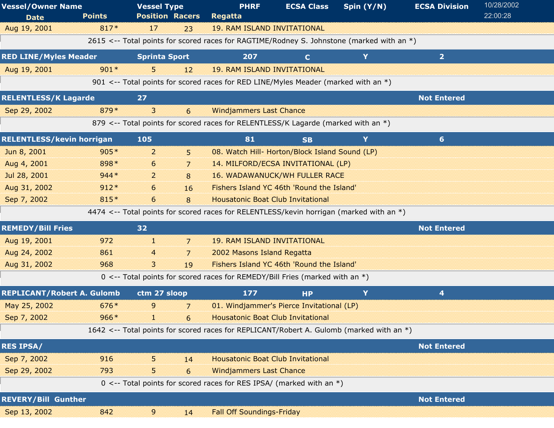| <b>Vessel/Owner Name</b>          |               | <b>Vessel Type</b>         | <b>PHRF</b>                                                                               | <b>ECSA Class</b>                              | Spin $(Y/N)$ | <b>ECSA Division</b> | 10/28/2002 |
|-----------------------------------|---------------|----------------------------|-------------------------------------------------------------------------------------------|------------------------------------------------|--------------|----------------------|------------|
| <b>Date</b>                       | <b>Points</b> | <b>Position Racers</b>     | <b>Regatta</b>                                                                            |                                                |              |                      | 22:00:28   |
| Aug 19, 2001                      | 817*          | 17<br>23                   | <b>19. RAM ISLAND INVITATIONAL</b>                                                        |                                                |              |                      |            |
|                                   |               |                            | 2615 <-- Total points for scored races for RAGTIME/Rodney S. Johnstone (marked with an *) |                                                |              |                      |            |
| <b>RED LINE/Myles Meader</b>      |               | <b>Sprinta Sport</b>       | 207                                                                                       | $\mathbf{C}$                                   | Y            | $\overline{2}$       |            |
| Aug 19, 2001                      | $901*$        | 5<br>12                    | <b>19. RAM ISLAND INVITATIONAL</b>                                                        |                                                |              |                      |            |
|                                   |               |                            | 901 <-- Total points for scored races for RED LINE/Myles Meader (marked with an *)        |                                                |              |                      |            |
| <b>RELENTLESS/K Lagarde</b>       |               | 27                         |                                                                                           |                                                |              | <b>Not Entered</b>   |            |
| Sep 29, 2002                      | 879*          | 3<br>6                     | <b>Windjammers Last Chance</b>                                                            |                                                |              |                      |            |
|                                   |               |                            | 879 <-- Total points for scored races for RELENTLESS/K Lagarde (marked with an *)         |                                                |              |                      |            |
| <b>RELENTLESS/kevin horrigan</b>  |               | 105                        | 81                                                                                        | <b>SB</b>                                      | Y            | $6\phantom{1}$       |            |
| Jun 8, 2001                       | $905*$        | 2<br>5                     |                                                                                           | 08. Watch Hill- Horton/Block Island Sound (LP) |              |                      |            |
| Aug 4, 2001                       | 898*          | 6<br>7                     |                                                                                           | 14. MILFORD/ECSA INVITATIONAL (LP)             |              |                      |            |
| Jul 28, 2001                      | $944*$        | 2<br>8                     |                                                                                           | <b>16. WADAWANUCK/WH FULLER RACE</b>           |              |                      |            |
| Aug 31, 2002                      | $912*$        | 6<br>16                    |                                                                                           | Fishers Island YC 46th 'Round the Island'      |              |                      |            |
| Sep 7, 2002                       | 815*          | 6<br>8                     | <b>Housatonic Boat Club Invitational</b>                                                  |                                                |              |                      |            |
|                                   |               |                            | 4474 <-- Total points for scored races for RELENTLESS/kevin horrigan (marked with an *)   |                                                |              |                      |            |
| <b>REMEDY/Bill Fries</b>          |               | 32                         |                                                                                           |                                                |              | <b>Not Entered</b>   |            |
| Aug 19, 2001                      | 972           | H.<br>$\overline{7}$       | <b>19. RAM ISLAND INVITATIONAL</b>                                                        |                                                |              |                      |            |
| Aug 24, 2002                      | 861           | $\overline{7}$<br>4        | 2002 Masons Island Regatta                                                                |                                                |              |                      |            |
| Aug 31, 2002                      | 968           | 3<br>19                    |                                                                                           | Fishers Island YC 46th 'Round the Island'      |              |                      |            |
|                                   |               |                            | 0 <-- Total points for scored races for REMEDY/Bill Fries (marked with an $*$ )           |                                                |              |                      |            |
| <b>REPLICANT/Robert A. Gulomb</b> |               | ctm 27 sloop               | 177                                                                                       | <b>HP</b>                                      | Y            | 4                    |            |
| May 25, 2002                      | $676*$        | 9<br>7                     |                                                                                           | 01. Windjammer's Pierce Invitational (LP)      |              |                      |            |
| Sep 7, 2002                       | $966*$        | a sa na<br>$6\overline{6}$ |                                                                                           | <b>Housatonic Boat Club Invitational</b>       |              |                      |            |
|                                   |               |                            | 1642 <-- Total points for scored races for REPLICANT/Robert A. Gulomb (marked with an *)  |                                                |              |                      |            |
| <b>RES IPSA/</b>                  |               |                            |                                                                                           |                                                |              | <b>Not Entered</b>   |            |
| Sep 7, 2002                       | 916           | 5<br>14                    | <b>Housatonic Boat Club Invitational</b>                                                  |                                                |              |                      |            |
| Sep 29, 2002                      | 793           | 5<br>6                     | <b>Windjammers Last Chance</b>                                                            |                                                |              |                      |            |
|                                   |               |                            | 0 <-- Total points for scored races for RES IPSA/ (marked with an $*$ )                   |                                                |              |                      |            |
| <b>REVERY/Bill Gunther</b>        |               |                            |                                                                                           |                                                |              | <b>Not Entered</b>   |            |
| Sep 13, 2002                      | 842           | 9<br>14                    | <b>Fall Off Soundings-Friday</b>                                                          |                                                |              |                      |            |
|                                   |               |                            |                                                                                           |                                                |              |                      |            |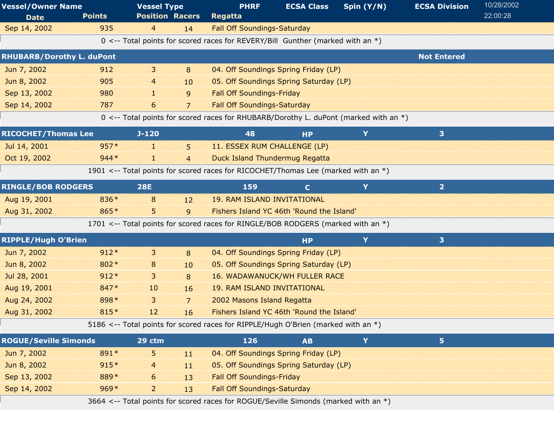| <b>Vessel/Owner Name</b>         |               | <b>Vessel Type</b>     |                | <b>PHRF</b>                                                                            | <b>ECSA Class</b> | Spin (Y/N) | <b>ECSA Division</b> | 10/28/2002 |
|----------------------------------|---------------|------------------------|----------------|----------------------------------------------------------------------------------------|-------------------|------------|----------------------|------------|
| <b>Date</b>                      | <b>Points</b> | <b>Position Racers</b> |                | <b>Regatta</b>                                                                         |                   |            |                      | 22:00:28   |
| Sep 14, 2002                     | 935           | $\overline{4}$         | 14             | <b>Fall Off Soundings-Saturday</b>                                                     |                   |            |                      |            |
|                                  |               |                        |                | 0 <-- Total points for scored races for REVERY/Bill Gunther (marked with an *)         |                   |            |                      |            |
| <b>RHUBARB/Dorothy L. duPont</b> |               |                        |                |                                                                                        |                   |            | <b>Not Entered</b>   |            |
| Jun 7, 2002                      | 912           | 3                      | 8              | 04. Off Soundings Spring Friday (LP)                                                   |                   |            |                      |            |
| Jun 8, 2002                      | 905           | 4                      | 10             | 05. Off Soundings Spring Saturday (LP)                                                 |                   |            |                      |            |
| Sep 13, 2002                     | 980           | 11                     | 9              | <b>Fall Off Soundings-Friday</b>                                                       |                   |            |                      |            |
| Sep 14, 2002                     | 787           | 6                      | $\overline{7}$ | <b>Fall Off Soundings-Saturday</b>                                                     |                   |            |                      |            |
|                                  |               |                        |                | 0 <-- Total points for scored races for RHUBARB/Dorothy L. duPont (marked with an $*)$ |                   |            |                      |            |
| <b>RICOCHET/Thomas Lee</b>       |               | $J-120$                |                | 48                                                                                     | <b>HP</b>         | Y          | 3                    |            |
| Jul 14, 2001                     | $957*$        | H.                     | 5              | 11. ESSEX RUM CHALLENGE (LP)                                                           |                   |            |                      |            |
| Oct 19, 2002                     | $944*$        | 38                     | $\overline{4}$ | <b>Duck Island Thundermug Regatta</b>                                                  |                   |            |                      |            |
|                                  |               |                        |                | 1901 <-- Total points for scored races for RICOCHET/Thomas Lee (marked with an *)      |                   |            |                      |            |
| <b>RINGLE/BOB RODGERS</b>        |               | <b>28E</b>             |                | 159                                                                                    | $\mathbf{C}$      | Y          | 2 <sup>1</sup>       |            |
| Aug 19, 2001                     | 836*          | 8                      | 12             | <b>19. RAM ISLAND INVITATIONAL</b>                                                     |                   |            |                      |            |
| Aug 31, 2002                     | 865*          | 5.                     | 9              | Fishers Island YC 46th 'Round the Island'                                              |                   |            |                      |            |
|                                  |               |                        |                | 1701 <-- Total points for scored races for RINGLE/BOB RODGERS (marked with an *)       |                   |            |                      |            |
| <b>RIPPLE/Hugh O'Brien</b>       |               |                        |                |                                                                                        | <b>HP</b>         | Y          | 3 <sup>1</sup>       |            |
| Jun 7, 2002                      | $912*$        | 3                      | 8              | 04. Off Soundings Spring Friday (LP)                                                   |                   |            |                      |            |
| Jun 8, 2002                      | 802*          | 8                      | 10             | 05. Off Soundings Spring Saturday (LP)                                                 |                   |            |                      |            |
| Jul 28, 2001                     | $912*$        | 3                      | 8              | <b>16. WADAWANUCK/WH FULLER RACE</b>                                                   |                   |            |                      |            |
| Aug 19, 2001                     | 847*          | 10                     | 16             | <b>19. RAM ISLAND INVITATIONAL</b>                                                     |                   |            |                      |            |
| Aug 24, 2002                     | 898*          | 3                      | 7              | 2002 Masons Island Regatta                                                             |                   |            |                      |            |
| Aug 31, 2002                     | 815*          | 12                     | 16             | Fishers Island YC 46th 'Round the Island'                                              |                   |            |                      |            |
|                                  |               |                        |                | 5186 <-- Total points for scored races for RIPPLE/Hugh O'Brien (marked with an *)      |                   |            |                      |            |
| <b>ROGUE/Seville Simonds</b>     |               | 29 ctm                 |                | 126                                                                                    | <b>AB</b>         | Y          | 5 <sub>1</sub>       |            |
| Jun 7, 2002                      | 891*          | 5                      | 11             | 04. Off Soundings Spring Friday (LP)                                                   |                   |            |                      |            |
| Jun 8, 2002                      | $915*$        | $\overline{4}$         | 11             | 05. Off Soundings Spring Saturday (LP)                                                 |                   |            |                      |            |
| Sep 13, 2002                     | 889*          | 6                      | 13             | <b>Fall Off Soundings-Friday</b>                                                       |                   |            |                      |            |
| Sep 14, 2002                     | $969*$        | $\overline{a}$         | 13             | <b>Fall Off Soundings-Saturday</b>                                                     |                   |            |                      |            |
|                                  |               |                        |                | 3664 <-- Total points for scored races for ROGUE/Seville Simonds (marked with an *)    |                   |            |                      |            |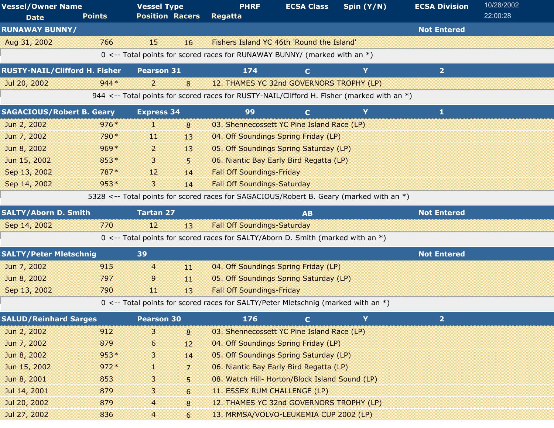| <b>Vessel/Owner Name</b>             |               | <b>Vessel Type</b>                                                                                    | <b>PHRF</b>                        | <b>ECSA Class</b>                              | Spin (Y/N) | <b>ECSA Division</b> | 10/28/2002 |
|--------------------------------------|---------------|-------------------------------------------------------------------------------------------------------|------------------------------------|------------------------------------------------|------------|----------------------|------------|
| <b>Date</b>                          | <b>Points</b> | <b>Position Racers</b>                                                                                | <b>Regatta</b>                     |                                                |            |                      | 22:00:28   |
| <b>RUNAWAY BUNNY/</b>                |               |                                                                                                       |                                    |                                                |            | <b>Not Entered</b>   |            |
| Aug 31, 2002                         | 766           | 15<br>16                                                                                              |                                    | Fishers Island YC 46th 'Round the Island'      |            |                      |            |
|                                      |               | 0 <-- Total points for scored races for RUNAWAY BUNNY/ (marked with an *)                             |                                    |                                                |            |                      |            |
| <b>RUSTY-NAIL/Clifford H. Fisher</b> |               | <b>Pearson 31</b>                                                                                     | 174                                | $\mathbf{C}$                                   | Y          | $\overline{2}$       |            |
| Jul 20, 2002                         | $944*$        | $\overline{2}$<br>8                                                                                   |                                    | 12. THAMES YC 32nd GOVERNORS TROPHY (LP)       |            |                      |            |
|                                      |               | 944 $\lt$ -- Total points for scored races for RUSTY-NAIL/Clifford H. Fisher (marked with an $\ast$ ) |                                    |                                                |            |                      |            |
| <b>SAGACIOUS/Robert B. Geary</b>     |               | <b>Express 34</b>                                                                                     | 99                                 | $\mathbf{C}$                                   | Y          | 1                    |            |
| Jun 2, 2002                          | $976*$        | 11<br>8                                                                                               |                                    | 03. Shennecossett YC Pine Island Race (LP)     |            |                      |            |
| Jun 7, 2002                          | 790 *         | 11<br>13                                                                                              |                                    | 04. Off Soundings Spring Friday (LP)           |            |                      |            |
| Jun 8, 2002                          | $969*$        | $\overline{2}$<br>13                                                                                  |                                    | 05. Off Soundings Spring Saturday (LP)         |            |                      |            |
| Jun 15, 2002                         | $853*$        | 3<br>5                                                                                                |                                    | 06. Niantic Bay Early Bird Regatta (LP)        |            |                      |            |
| Sep 13, 2002                         | 787*          | 12<br>14                                                                                              | <b>Fall Off Soundings-Friday</b>   |                                                |            |                      |            |
| Sep 14, 2002                         | $953*$        | $\overline{\mathbf{3}}$<br>14                                                                         | <b>Fall Off Soundings-Saturday</b> |                                                |            |                      |            |
|                                      |               | 5328 <-- Total points for scored races for SAGACIOUS/Robert B. Geary (marked with an *)               |                                    |                                                |            |                      |            |
| <b>SALTY/Aborn D. Smith</b>          |               | <b>Tartan 27</b>                                                                                      |                                    | <b>AB</b>                                      |            | <b>Not Entered</b>   |            |
| Sep 14, 2002                         | 770           | 12<br>13                                                                                              | <b>Fall Off Soundings-Saturday</b> |                                                |            |                      |            |
|                                      |               | 0 <-- Total points for scored races for SALTY/Aborn D. Smith (marked with an $*)$                     |                                    |                                                |            |                      |            |
| <b>SALTY/Peter Mletschnig</b>        |               | 39                                                                                                    |                                    |                                                |            | <b>Not Entered</b>   |            |
| Jun 7, 2002                          | 915           | $\overline{4}$<br>11                                                                                  |                                    | 04. Off Soundings Spring Friday (LP)           |            |                      |            |
| Jun 8, 2002                          | 797           | 9<br>11                                                                                               |                                    | 05. Off Soundings Spring Saturday (LP)         |            |                      |            |
| Sep 13, 2002                         | 790           | $\overline{11}$<br>13                                                                                 | <b>Fall Off Soundings-Friday</b>   |                                                |            |                      |            |
|                                      |               | 0 <-- Total points for scored races for SALTY/Peter Mletschnig (marked with an *)                     |                                    |                                                |            |                      |            |
| <b>SALUD/Reinhard Sarges</b>         |               | <b>Pearson 30</b>                                                                                     | 176                                | C.                                             |            | 2                    |            |
| Jun 2, 2002                          | 912           | 3<br>8                                                                                                |                                    | 03. Shennecossett YC Pine Island Race (LP)     |            |                      |            |
| Jun 7, 2002                          | 879           | 6<br>12                                                                                               |                                    | 04. Off Soundings Spring Friday (LP)           |            |                      |            |
| Jun 8, 2002                          | $953*$        | 3<br>14                                                                                               |                                    | 05. Off Soundings Spring Saturday (LP)         |            |                      |            |
| Jun 15, 2002                         | $972*$        | 7<br>H.                                                                                               |                                    | 06. Niantic Bay Early Bird Regatta (LP)        |            |                      |            |
| Jun 8, 2001                          | 853           | 3<br>5                                                                                                |                                    | 08. Watch Hill- Horton/Block Island Sound (LP) |            |                      |            |
| Jul 14, 2001                         | 879           | 3<br>6                                                                                                | 11. ESSEX RUM CHALLENGE (LP)       |                                                |            |                      |            |
| Jul 20, 2002                         | 879           | 4<br>8                                                                                                |                                    | 12. THAMES YC 32nd GOVERNORS TROPHY (LP)       |            |                      |            |
| Jul 27, 2002                         | 836           | $\overline{4}$<br>6                                                                                   |                                    | 13. MRMSA/VOLVO-LEUKEMIA CUP 2002 (LP)         |            |                      |            |
|                                      |               |                                                                                                       |                                    |                                                |            |                      |            |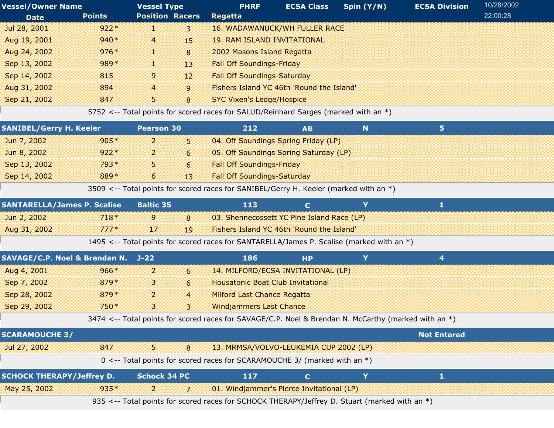| <b>Vessel/Owner Name</b> |               | <b>Vessel Type</b>     |              | <b>PHRF</b>                                                                         | <b>ECSA Class</b> | Spin $(Y/N)$ | <b>ECSA Division</b> | 10/28/2002 |  |
|--------------------------|---------------|------------------------|--------------|-------------------------------------------------------------------------------------|-------------------|--------------|----------------------|------------|--|
| <b>Date</b>              | <b>Points</b> | <b>Position Racers</b> |              | <b>Regatta</b>                                                                      |                   |              |                      | 22:00:28   |  |
| Jul 28, 2001             | $922*$        |                        | $\mathbf{3}$ | <b>16. WADAWANUCK/WH FULLER RACE</b>                                                |                   |              |                      |            |  |
| Aug 19, 2001             | $940*$        | $\overline{4}$         | 15           | <b>19. RAM ISLAND INVITATIONAL</b>                                                  |                   |              |                      |            |  |
| Aug 24, 2002             | $976*$        | 30                     | 8            | 2002 Masons Island Regatta                                                          |                   |              |                      |            |  |
| Sep 13, 2002             | $989*$        | 1                      | 13           | <b>Fall Off Soundings-Friday</b>                                                    |                   |              |                      |            |  |
| Sep 14, 2002             | 815           | 9                      | 12           | <b>Fall Off Soundings-Saturday</b>                                                  |                   |              |                      |            |  |
| Aug 31, 2002             | 894           | $\overline{4}$         | $\mathsf{q}$ | Fishers Island YC 46th 'Round the Island'                                           |                   |              |                      |            |  |
| Sep 21, 2002             | 847           | 5.                     | 8            | <b>SYC Vixen's Ledge/Hospice</b>                                                    |                   |              |                      |            |  |
|                          |               |                        |              | 5752 <-- Total points for scored races for SALUD/Reinhard Sarges (marked with an *) |                   |              |                      |            |  |

| <b>SANIBEL/Gerry H. Keeler</b>                                                        |        | Pearson 30          |                | 212                                                                                                  | N<br>5<br><b>AB</b> |   |                    |  |  |
|---------------------------------------------------------------------------------------|--------|---------------------|----------------|------------------------------------------------------------------------------------------------------|---------------------|---|--------------------|--|--|
| Jun 7, 2002                                                                           | $905*$ | 2                   | 5 <sup>5</sup> | 04. Off Soundings Spring Friday (LP)                                                                 |                     |   |                    |  |  |
| Jun 8, 2002                                                                           | $922*$ | 2                   | 6              | 05. Off Soundings Spring Saturday (LP)                                                               |                     |   |                    |  |  |
| Sep 13, 2002                                                                          | 793*   | 5.                  | 6              | <b>Fall Off Soundings-Friday</b>                                                                     |                     |   |                    |  |  |
| Sep 14, 2002                                                                          | 889*   | 6                   | 13             | <b>Fall Off Soundings-Saturday</b>                                                                   |                     |   |                    |  |  |
| 3509 <-- Total points for scored races for SANIBEL/Gerry H. Keeler (marked with an *) |        |                     |                |                                                                                                      |                     |   |                    |  |  |
| <b>SANTARELLA/James P. Scalise</b>                                                    |        | <b>Baltic 35</b>    |                | 113                                                                                                  | $\mathbf{C}$        | Y | $\mathbf{1}$       |  |  |
| Jun 2, 2002                                                                           | $718*$ | 9                   | 8              | 03. Shennecossett YC Pine Island Race (LP)                                                           |                     |   |                    |  |  |
| Aug 31, 2002                                                                          | $777*$ | 17                  | 19             | Fishers Island YC 46th 'Round the Island'                                                            |                     |   |                    |  |  |
|                                                                                       |        |                     |                | 1495 <-- Total points for scored races for SANTARELLA/James P. Scalise (marked with an *)            |                     |   |                    |  |  |
| SAVAGE/C.P. Noel & Brendan N. J-22                                                    |        |                     |                | 186                                                                                                  | <b>HP</b>           | Y | 4                  |  |  |
| Aug 4, 2001                                                                           | $966*$ | 2                   | 6              | 14. MILFORD/ECSA INVITATIONAL (LP)                                                                   |                     |   |                    |  |  |
| Sep 7, 2002                                                                           | 879*   | 3                   | 6              | <b>Housatonic Boat Club Invitational</b>                                                             |                     |   |                    |  |  |
| Sep 28, 2002                                                                          | 879*   | 2                   | $\overline{4}$ | <b>Milford Last Chance Regatta</b>                                                                   |                     |   |                    |  |  |
| Sep 29, 2002                                                                          | 750*   | 3                   | 3              | <b>Windjammers Last Chance</b>                                                                       |                     |   |                    |  |  |
|                                                                                       |        |                     |                | 3474 <-- Total points for scored races for SAVAGE/C.P. Noel & Brendan N. McCarthy (marked with an *) |                     |   |                    |  |  |
| <b>SCARAMOUCHE 3/</b>                                                                 |        |                     |                |                                                                                                      |                     |   | <b>Not Entered</b> |  |  |
| Jul 27, 2002                                                                          | 847    | 5.                  | 8              | 13. MRMSA/VOLVO-LEUKEMIA CUP 2002 (LP)                                                               |                     |   |                    |  |  |
|                                                                                       |        |                     |                | 0 <-- Total points for scored races for SCARAMOUCHE 3/ (marked with an *)                            |                     |   |                    |  |  |
| <b>SCHOCK THERAPY/Jeffrey D.</b>                                                      |        | <b>Schock 34 PC</b> |                | 117                                                                                                  | $\mathbf C$         | Ÿ | $\mathbf{1}$       |  |  |
| May 25, 2002                                                                          | 935*   | 2                   | 7              | 01. Windjammer's Pierce Invitational (LP)                                                            |                     |   |                    |  |  |
|                                                                                       |        |                     |                | 935 <-- Total points for scored races for SCHOCK THERAPY/Jeffrey D. Stuart (marked with an *)        |                     |   |                    |  |  |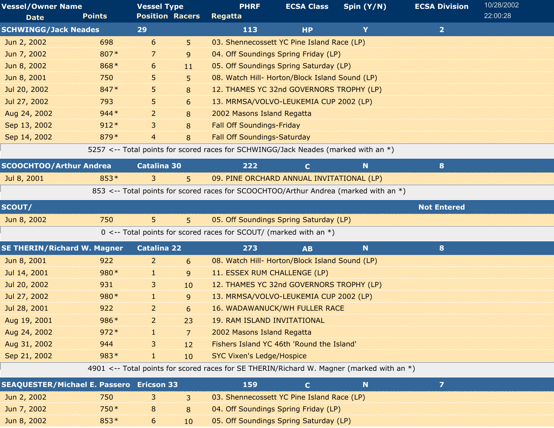| <b>Vessel/Owner Name</b><br><b>Date</b>         | <b>Points</b> | <b>Vessel Type</b><br><b>Position Racers</b> |    | <b>PHRF</b><br><b>Regatta</b>                                                             | <b>ECSA Class</b> | Spin (Y/N) | <b>ECSA Division</b> | 10/28/2002<br>22:00:28 |
|-------------------------------------------------|---------------|----------------------------------------------|----|-------------------------------------------------------------------------------------------|-------------------|------------|----------------------|------------------------|
| <b>SCHWINGG/Jack Neades</b>                     |               | 29                                           |    | 113                                                                                       | <b>HP</b>         | Y          | $\overline{2}$       |                        |
| Jun 2, 2002                                     | 698           | 6                                            | 5. | 03. Shennecossett YC Pine Island Race (LP)                                                |                   |            |                      |                        |
| Jun 7, 2002                                     | 807*          | 7                                            | 9  | 04. Off Soundings Spring Friday (LP)                                                      |                   |            |                      |                        |
| Jun 8, 2002                                     | 868*          | 6                                            | 11 | 05. Off Soundings Spring Saturday (LP)                                                    |                   |            |                      |                        |
| Jun 8, 2001                                     | 750           | 5                                            | 5  | 08. Watch Hill- Horton/Block Island Sound (LP)                                            |                   |            |                      |                        |
| Jul 20, 2002                                    | 847*          | 5                                            | 8  | 12. THAMES YC 32nd GOVERNORS TROPHY (LP)                                                  |                   |            |                      |                        |
| Jul 27, 2002                                    | 793           | 5                                            | 6  | 13. MRMSA/VOLVO-LEUKEMIA CUP 2002 (LP)                                                    |                   |            |                      |                        |
| Aug 24, 2002                                    | $944*$        | $\overline{2}$                               | 8  | 2002 Masons Island Regatta                                                                |                   |            |                      |                        |
| Sep 13, 2002                                    | $912*$        | 3                                            | 8  | <b>Fall Off Soundings-Friday</b>                                                          |                   |            |                      |                        |
| Sep 14, 2002                                    | 879*          | 4                                            | 8  | <b>Fall Off Soundings-Saturday</b>                                                        |                   |            |                      |                        |
|                                                 |               |                                              |    | 5257 <-- Total points for scored races for SCHWINGG/Jack Neades (marked with an *)        |                   |            |                      |                        |
| <b>SCOOCHTOO/Arthur Andrea</b>                  |               | <b>Catalina 30</b>                           |    | 222                                                                                       | $\mathbf C$       | N          | 8                    |                        |
| Jul 8, 2001                                     | $853*$        | 3                                            | 5  | 09. PINE ORCHARD ANNUAL INVITATIONAL (LP)                                                 |                   |            |                      |                        |
|                                                 |               |                                              |    | 853 <-- Total points for scored races for SCOOCHTOO/Arthur Andrea (marked with an *)      |                   |            |                      |                        |
| SCOUT/                                          |               |                                              |    |                                                                                           |                   |            | <b>Not Entered</b>   |                        |
| Jun 8, 2002                                     | 750           | 5 <sup>5</sup>                               | 5  | 05. Off Soundings Spring Saturday (LP)                                                    |                   |            |                      |                        |
|                                                 |               |                                              |    | 0 <-- Total points for scored races for SCOUT/ (marked with an $*)$                       |                   |            |                      |                        |
| <b>SE THERIN/Richard W. Magner</b>              |               | <b>Catalina 22</b>                           |    | 273                                                                                       | <b>AB</b>         | N          | 8                    |                        |
| Jun 8, 2001                                     | 922           | $\overline{2}$                               | 6  | 08. Watch Hill- Horton/Block Island Sound (LP)                                            |                   |            |                      |                        |
| Jul 14, 2001                                    | 980*          | 1                                            | 9  | 11. ESSEX RUM CHALLENGE (LP)                                                              |                   |            |                      |                        |
| Jul 20, 2002                                    | 931           | 3                                            | 10 | 12. THAMES YC 32nd GOVERNORS TROPHY (LP)                                                  |                   |            |                      |                        |
| Jul 27, 2002                                    | 980*          | đ.                                           | 9  | 13. MRMSA/VOLVO-LEUKEMIA CUP 2002 (LP)                                                    |                   |            |                      |                        |
| Jul 28, 2001                                    | 922           | $\overline{2}$                               | 6  | <b>16. WADAWANUCK/WH FULLER RACE</b>                                                      |                   |            |                      |                        |
| Aug 19, 2001                                    | 986*          | $\overline{2}$                               | 23 | <b>19. RAM ISLAND INVITATIONAL</b>                                                        |                   |            |                      |                        |
| Aug 24, 2002                                    | $972*$        | ×.                                           | 7  | 2002 Masons Island Regatta                                                                |                   |            |                      |                        |
| Aug 31, 2002                                    | 944           | 3                                            | 12 | Fishers Island YC 46th 'Round the Island'                                                 |                   |            |                      |                        |
| Sep 21, 2002                                    | 983*          | 1                                            | 10 | <b>SYC Vixen's Ledge/Hospice</b>                                                          |                   |            |                      |                        |
|                                                 |               |                                              |    | 4901 <-- Total points for scored races for SE THERIN/Richard W. Magner (marked with an *) |                   |            |                      |                        |
| <b>SEAQUESTER/Michael E. Passero Ericson 33</b> |               |                                              |    | 159                                                                                       | $\mathbf{C}$      | N          | $\overline{z}$       |                        |
| Jun 2, 2002                                     | 750           | 3                                            | 3  | 03. Shennecossett YC Pine Island Race (LP)                                                |                   |            |                      |                        |
| Jun 7, 2002                                     | 750 *         | 8                                            | 8  | 04. Off Soundings Spring Friday (LP)                                                      |                   |            |                      |                        |

Jun 8, 2002 6 853 05. Off Soundings Spring Saturday (LP) \* 10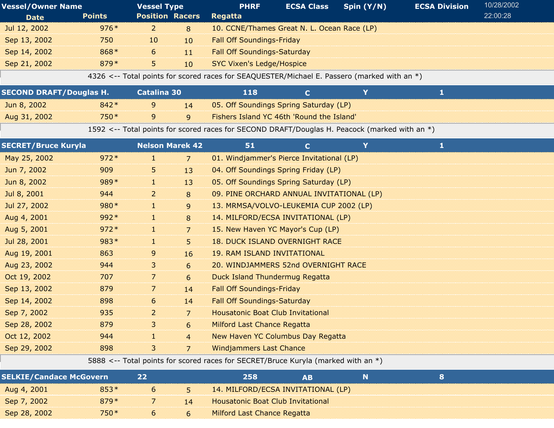| <b>Vessel/Owner Name</b>       |               | <b>Vessel Type</b>     |                | <b>PHRF</b>                                                                                   | <b>ECSA Class</b> | Spin (Y/N) | <b>ECSA Division</b> | 10/28/2002 |
|--------------------------------|---------------|------------------------|----------------|-----------------------------------------------------------------------------------------------|-------------------|------------|----------------------|------------|
| <b>Date</b>                    | <b>Points</b> | <b>Position Racers</b> |                | <b>Regatta</b>                                                                                |                   |            |                      | 22:00:28   |
| Jul 12, 2002                   | $976*$        | $\overline{2}$         | 8              | 10. CCNE/Thames Great N. L. Ocean Race (LP)                                                   |                   |            |                      |            |
| Sep 13, 2002                   | 750           | 10                     | 10             | <b>Fall Off Soundings-Friday</b>                                                              |                   |            |                      |            |
| Sep 14, 2002                   | 868*          | 6                      | 11             | <b>Fall Off Soundings-Saturday</b>                                                            |                   |            |                      |            |
| Sep 21, 2002                   | 879*          | 5                      | 10             | <b>SYC Vixen's Ledge/Hospice</b>                                                              |                   |            |                      |            |
|                                |               |                        |                | 4326 <-- Total points for scored races for SEAQUESTER/Michael E. Passero (marked with an *)   |                   |            |                      |            |
| <b>SECOND DRAFT/Douglas H.</b> |               | <b>Catalina 30</b>     |                | 118                                                                                           | $\mathbf{C}$      | Y          | $\mathbf{1}$         |            |
| Jun 8, 2002                    | $842*$        | 9                      | 14             | 05. Off Soundings Spring Saturday (LP)                                                        |                   |            |                      |            |
| Aug 31, 2002                   | 750*          | 9                      | 9              | Fishers Island YC 46th 'Round the Island'                                                     |                   |            |                      |            |
|                                |               |                        |                | 1592 <-- Total points for scored races for SECOND DRAFT/Douglas H. Peacock (marked with an *) |                   |            |                      |            |
| <b>SECRET/Bruce Kuryla</b>     |               | <b>Nelson Marek 42</b> |                | 51                                                                                            | $\mathbf{C}$      | Y          | $\mathbf{1}$         |            |
| May 25, 2002                   | $972*$        | H.                     | 7              | 01. Windjammer's Pierce Invitational (LP)                                                     |                   |            |                      |            |
| Jun 7, 2002                    | 909           | 5                      | 13             | 04. Off Soundings Spring Friday (LP)                                                          |                   |            |                      |            |
| Jun 8, 2002                    | 989*          | T.                     | 13             | 05. Off Soundings Spring Saturday (LP)                                                        |                   |            |                      |            |
| Jul 8, 2001                    | 944           | $\overline{a}$         | 8              | 09. PINE ORCHARD ANNUAL INVITATIONAL (LP)                                                     |                   |            |                      |            |
| Jul 27, 2002                   | 980*          | T.                     | 9              | 13. MRMSA/VOLVO-LEUKEMIA CUP 2002 (LP)                                                        |                   |            |                      |            |
| Aug 4, 2001                    | 992*          | Œ.                     | 8              | 14. MILFORD/ECSA INVITATIONAL (LP)                                                            |                   |            |                      |            |
| Aug 5, 2001                    | $972*$        | 1                      | $\overline{7}$ | 15. New Haven YC Mayor's Cup (LP)                                                             |                   |            |                      |            |
| Jul 28, 2001                   | $983*$        | 1                      | 5              | <b>18. DUCK ISLAND OVERNIGHT RACE</b>                                                         |                   |            |                      |            |
| Aug 19, 2001                   | 863           | 9                      | 16             | <b>19. RAM ISLAND INVITATIONAL</b>                                                            |                   |            |                      |            |
| Aug 23, 2002                   | 944           | 3                      | 6              | 20. WINDJAMMERS 52nd OVERNIGHT RACE                                                           |                   |            |                      |            |
| Oct 19, 2002                   | 707           | 7                      | 6              | <b>Duck Island Thundermug Regatta</b>                                                         |                   |            |                      |            |
| Sep 13, 2002                   | 879           | 7                      | 14             | <b>Fall Off Soundings-Friday</b>                                                              |                   |            |                      |            |
| Sep 14, 2002                   | 898           | 6                      | 14             | <b>Fall Off Soundings-Saturday</b>                                                            |                   |            |                      |            |
| Sep 7, 2002                    | 935           | $\overline{2}$         | $\overline{7}$ | <b>Housatonic Boat Club Invitational</b>                                                      |                   |            |                      |            |
| Sep 28, 2002                   | 879           | 3                      | 6              | <b>Milford Last Chance Regatta</b>                                                            |                   |            |                      |            |
| Oct 12, 2002                   | 944           | I                      | $\overline{4}$ | <b>New Haven YC Columbus Day Regatta</b>                                                      |                   |            |                      |            |

5888 <-- Total points for scored races for SECRET/Bruce Kuryla (marked with an \*)

Sep 29, 2002 3 898 Windjammers Last Chance 7

| <b>SELKIE/Candace McGovern</b> |        |     |                                          |  |  |
|--------------------------------|--------|-----|------------------------------------------|--|--|
| Aug 4, 2001                    | $853*$ |     | 5 14. MILFORD/ECSA INVITATIONAL (LP)     |  |  |
| Sep 7, 2002                    | $879*$ | 414 | <b>Housatonic Boat Club Invitational</b> |  |  |
| Sep 28, 2002                   | $750*$ |     | <b>Milford Last Chance Regatta</b>       |  |  |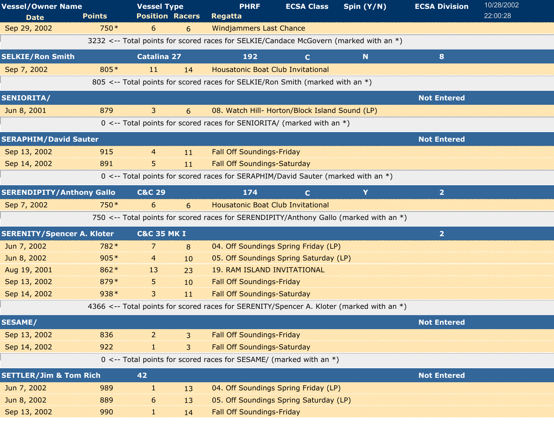| <b>Vessel/Owner Name</b><br><b>Date</b> | <b>Points</b> | <b>Vessel Type</b><br><b>Position Racers</b> |    | <b>PHRF</b><br><b>Regatta</b>                                                            | <b>ECSA Class</b> | Spin (Y/N)  | <b>ECSA Division</b> | 10/28/2002<br>22:00:28 |
|-----------------------------------------|---------------|----------------------------------------------|----|------------------------------------------------------------------------------------------|-------------------|-------------|----------------------|------------------------|
| Sep 29, 2002                            | 750*          | 6                                            | 6  | <b>Windjammers Last Chance</b>                                                           |                   |             |                      |                        |
|                                         |               |                                              |    | 3232 <-- Total points for scored races for SELKIE/Candace McGovern (marked with an *)    |                   |             |                      |                        |
| <b>SELKIE/Ron Smith</b>                 |               | <b>Catalina 27</b>                           |    | 192                                                                                      | $\mathbf{C}$      | $\mathbf N$ | 8                    |                        |
| Sep 7, 2002                             | 805*          | 11                                           | 14 | <b>Housatonic Boat Club Invitational</b>                                                 |                   |             |                      |                        |
|                                         |               |                                              |    | 805 <-- Total points for scored races for SELKIE/Ron Smith (marked with an *)            |                   |             |                      |                        |
| <b>SENIORITA/</b>                       |               |                                              |    |                                                                                          |                   |             | <b>Not Entered</b>   |                        |
| Jun 8, 2001                             | 879           | $\mathbf{3}$                                 | 6  | 08. Watch Hill- Horton/Block Island Sound (LP)                                           |                   |             |                      |                        |
|                                         |               |                                              |    | $0 \le -$ Total points for scored races for SENIORITA/ (marked with an $*)$              |                   |             |                      |                        |
| <b>SERAPHIM/David Sauter</b>            |               |                                              |    |                                                                                          |                   |             | <b>Not Entered</b>   |                        |
| Sep 13, 2002                            | 915           | $\overline{4}$                               | 11 | <b>Fall Off Soundings-Friday</b>                                                         |                   |             |                      |                        |
| Sep 14, 2002                            | 891           | 5                                            | 11 | <b>Fall Off Soundings-Saturday</b>                                                       |                   |             |                      |                        |
|                                         |               |                                              |    | 0 <-- Total points for scored races for SERAPHIM/David Sauter (marked with an *)         |                   |             |                      |                        |
| <b>SERENDIPITY/Anthony Gallo</b>        |               | <b>C&amp;C 29</b>                            |    | 174                                                                                      | $\mathbf{C}$      | Y           | $\overline{2}$       |                        |
| Sep 7, 2002                             | 750 *         | 6                                            | 6  | <b>Housatonic Boat Club Invitational</b>                                                 |                   |             |                      |                        |
|                                         |               |                                              |    | 750 <-- Total points for scored races for SERENDIPITY/Anthony Gallo (marked with an *)   |                   |             |                      |                        |
| <b>SERENITY/Spencer A. Kloter</b>       |               | <b>C&amp;C 35 MK I</b>                       |    |                                                                                          |                   |             | $\overline{2}$       |                        |
| Jun 7, 2002                             | 782*          | 7                                            | 8  | 04. Off Soundings Spring Friday (LP)                                                     |                   |             |                      |                        |
| Jun 8, 2002                             | $905*$        | 4                                            | 10 | 05. Off Soundings Spring Saturday (LP)                                                   |                   |             |                      |                        |
| Aug 19, 2001                            | 862*          | 13                                           | 23 | <b>19. RAM ISLAND INVITATIONAL</b>                                                       |                   |             |                      |                        |
| Sep 13, 2002                            | 879*          | 5.                                           | 10 | <b>Fall Off Soundings-Friday</b>                                                         |                   |             |                      |                        |
| Sep 14, 2002                            | $938*$        | 3                                            | 11 | <b>Fall Off Soundings-Saturday</b>                                                       |                   |             |                      |                        |
|                                         |               |                                              |    | 4366 <-- Total points for scored races for SERENITY/Spencer A. Kloter (marked with an *) |                   |             |                      |                        |
| <b>SESAME/</b>                          |               |                                              |    |                                                                                          |                   |             | <b>Not Entered</b>   |                        |
| Sep 13, 2002                            | 836           | $\overline{2}$                               | 3  | <b>Fall Off Soundings-Friday</b>                                                         |                   |             |                      |                        |
| Sep 14, 2002                            | 922           | 30                                           | 3  | <b>Fall Off Soundings-Saturday</b>                                                       |                   |             |                      |                        |
|                                         |               |                                              |    | 0 <-- Total points for scored races for SESAME/ (marked with an $*)$                     |                   |             |                      |                        |
| <b>SETTLER/Jim &amp; Tom Rich</b>       |               | 42                                           |    |                                                                                          |                   |             | <b>Not Entered</b>   |                        |
| Jun 7, 2002                             | 989           | a.                                           | 13 | 04. Off Soundings Spring Friday (LP)                                                     |                   |             |                      |                        |
| Jun 8, 2002                             | 889           | 6                                            | 13 | 05. Off Soundings Spring Saturday (LP)                                                   |                   |             |                      |                        |
| Sep 13, 2002                            | 990           | T                                            | 14 | <b>Fall Off Soundings-Friday</b>                                                         |                   |             |                      |                        |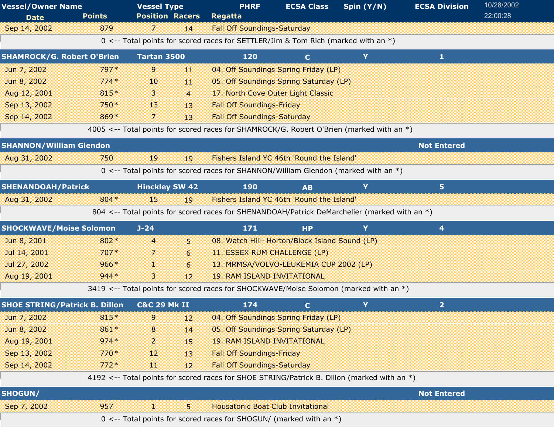| <b>Vessel/Owner Name</b>             |               | <b>Vessel Type</b>      |                | <b>PHRF</b>                                                                                  | <b>ECSA Class</b> | Spin (Y/N) | <b>ECSA Division</b> | 10/28/2002 |
|--------------------------------------|---------------|-------------------------|----------------|----------------------------------------------------------------------------------------------|-------------------|------------|----------------------|------------|
| <b>Date</b>                          | <b>Points</b> | <b>Position Racers</b>  |                | <b>Regatta</b>                                                                               |                   |            |                      | 22:00:28   |
| Sep 14, 2002                         | 879           | 7                       | 14             | <b>Fall Off Soundings-Saturday</b>                                                           |                   |            |                      |            |
|                                      |               |                         |                | 0 <-- Total points for scored races for SETTLER/Jim & Tom Rich (marked with an *)            |                   |            |                      |            |
| <b>SHAMROCK/G. Robert O'Brien</b>    |               | Tartan 3500             |                | 120                                                                                          | $\mathbf{C}$      | Y          | $\mathbf{1}$         |            |
| Jun 7, 2002                          | 797*          | 9                       | 11             | 04. Off Soundings Spring Friday (LP)                                                         |                   |            |                      |            |
| Jun 8, 2002                          | $774*$        | 10                      | 11             | 05. Off Soundings Spring Saturday (LP)                                                       |                   |            |                      |            |
| Aug 12, 2001                         | 815*          | 3.                      | $\overline{4}$ | 17. North Cove Outer Light Classic                                                           |                   |            |                      |            |
| Sep 13, 2002                         | 750*          | 13                      | 13             | <b>Fall Off Soundings-Friday</b>                                                             |                   |            |                      |            |
| Sep 14, 2002                         | 869*          | 7                       | 13             | <b>Fall Off Soundings-Saturday</b>                                                           |                   |            |                      |            |
|                                      |               |                         |                | 4005 <-- Total points for scored races for SHAMROCK/G. Robert O'Brien (marked with an *)     |                   |            |                      |            |
| <b>SHANNON/William Glendon</b>       |               |                         |                |                                                                                              |                   |            | <b>Not Entered</b>   |            |
| Aug 31, 2002                         | 750           | 19                      | 19             | Fishers Island YC 46th 'Round the Island'                                                    |                   |            |                      |            |
|                                      |               |                         |                | 0 <-- Total points for scored races for SHANNON/William Glendon (marked with an *)           |                   |            |                      |            |
| <b>SHENANDOAH/Patrick</b>            |               | <b>Hinckley SW 42</b>   |                | <b>190</b>                                                                                   | <b>AB</b>         | Y          | 5 <sup>1</sup>       |            |
| Aug 31, 2002                         | 804 *         | 15                      | 19             | Fishers Island YC 46th 'Round the Island'                                                    |                   |            |                      |            |
|                                      |               |                         |                | 804 <-- Total points for scored races for SHENANDOAH/Patrick DeMarchelier (marked with an *) |                   |            |                      |            |
| <b>SHOCKWAVE/Moise Solomon</b>       |               | $J - 24$                |                | 171                                                                                          | <b>HP</b>         | Y          | 4                    |            |
| Jun 8, 2001                          | 802*          | $\overline{4}$          | 5              | 08. Watch Hill- Horton/Block Island Sound (LP)                                               |                   |            |                      |            |
| Jul 14, 2001                         | $707*$        | 7                       | 6              | 11. ESSEX RUM CHALLENGE (LP)                                                                 |                   |            |                      |            |
| Jul 27, 2002                         | $966*$        | 50                      | 6              | 13. MRMSA/VOLVO-LEUKEMIA CUP 2002 (LP)                                                       |                   |            |                      |            |
| Aug 19, 2001                         | $944*$        | $\mathbf{3}$            | 12             | <b>19. RAM ISLAND INVITATIONAL</b>                                                           |                   |            |                      |            |
|                                      |               |                         |                | 3419 <-- Total points for scored races for SHOCKWAVE/Moise Solomon (marked with an *)        |                   |            |                      |            |
| <b>SHOE STRING/Patrick B. Dillon</b> |               | <b>C&amp;C 29 Mk II</b> |                | 174                                                                                          | $\mathbf{C}$      | Y          | $\overline{2}$       |            |
| Jun 7, 2002                          | 815*          | 9                       | 12             | 04. Off Soundings Spring Friday (LP)                                                         |                   |            |                      |            |
| Jun 8, 2002                          | 861*          | 8                       | 14             | 05. Off Soundings Spring Saturday (LP)                                                       |                   |            |                      |            |
| Aug 19, 2001                         | $974*$        | 2                       | 15             | <b>19. RAM ISLAND INVITATIONAL</b>                                                           |                   |            |                      |            |
| Sep 13, 2002                         | $770*$        | 12                      | 13             | <b>Fall Off Soundings-Friday</b>                                                             |                   |            |                      |            |
| Sep 14, 2002                         | $772*$        | 11                      | 12             | <b>Fall Off Soundings-Saturday</b>                                                           |                   |            |                      |            |
|                                      |               |                         |                | 4192 <-- Total points for scored races for SHOE STRING/Patrick B. Dillon (marked with an *)  |                   |            |                      |            |
| <b>SHOGUN/</b>                       |               |                         |                |                                                                                              |                   |            | <b>Not Entered</b>   |            |
| Sep 7, 2002                          | 957           | 31                      | 5              | <b>Housatonic Boat Club Invitational</b>                                                     |                   |            |                      |            |
|                                      |               |                         |                | 0 <-- Total points for scored races for SHOGUN/ (marked with an *)                           |                   |            |                      |            |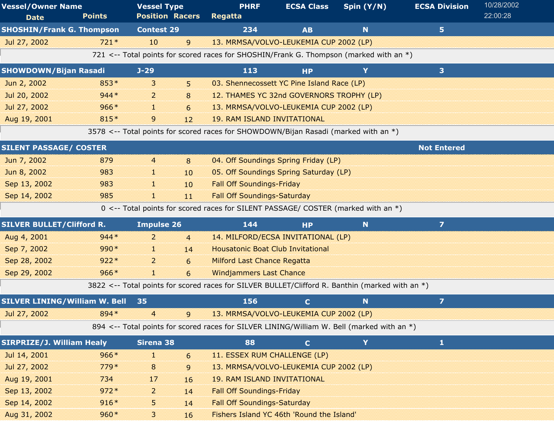| <b>Vessel/Owner Name</b>             |               | <b>Vessel Type</b>     |                  | <b>PHRF</b>                                                                                     | <b>ECSA Class</b> | Spin (Y/N)  | <b>ECSA Division</b> | 10/28/2002 |
|--------------------------------------|---------------|------------------------|------------------|-------------------------------------------------------------------------------------------------|-------------------|-------------|----------------------|------------|
| <b>Date</b>                          | <b>Points</b> | <b>Position Racers</b> |                  | Regatta                                                                                         |                   |             |                      | 22:00:28   |
| <b>SHOSHIN/Frank G. Thompson</b>     |               | <b>Contest 29</b>      |                  | 234                                                                                             | <b>AB</b>         | N           | 5 <sup>1</sup>       |            |
| Jul 27, 2002                         | $721*$        | 10                     | 9                | 13. MRMSA/VOLVO-LEUKEMIA CUP 2002 (LP)                                                          |                   |             |                      |            |
|                                      |               |                        |                  | 721 <-- Total points for scored races for SHOSHIN/Frank G. Thompson (marked with an $*)$        |                   |             |                      |            |
| <b>SHOWDOWN/Bijan Rasadi</b>         |               | $J-29$                 |                  | 113                                                                                             | <b>HP</b>         | Y           | 3 <sup>1</sup>       |            |
| Jun 2, 2002                          | 853*          | 3                      | 5                | 03. Shennecossett YC Pine Island Race (LP)                                                      |                   |             |                      |            |
| Jul 20, 2002                         | $944*$        | 2                      | 8                | 12. THAMES YC 32nd GOVERNORS TROPHY (LP)                                                        |                   |             |                      |            |
| Jul 27, 2002                         | $966*$        | H.                     | 6                | 13. MRMSA/VOLVO-LEUKEMIA CUP 2002 (LP)                                                          |                   |             |                      |            |
| Aug 19, 2001                         | 815*          | 9                      | 12               | <b>19. RAM ISLAND INVITATIONAL</b>                                                              |                   |             |                      |            |
|                                      |               |                        |                  | 3578 <-- Total points for scored races for SHOWDOWN/Bijan Rasadi (marked with an *)             |                   |             |                      |            |
| <b>SILENT PASSAGE/ COSTER</b>        |               |                        |                  |                                                                                                 |                   |             | <b>Not Entered</b>   |            |
| Jun 7, 2002                          | 879           | 4                      | 8                | 04. Off Soundings Spring Friday (LP)                                                            |                   |             |                      |            |
| Jun 8, 2002                          | 983           | 38                     | 10               | 05. Off Soundings Spring Saturday (LP)                                                          |                   |             |                      |            |
| Sep 13, 2002                         | 983           | H.                     | 10 <sup>10</sup> | <b>Fall Off Soundings-Friday</b>                                                                |                   |             |                      |            |
| Sep 14, 2002                         | 985           | H.                     | 11               | <b>Fall Off Soundings-Saturday</b>                                                              |                   |             |                      |            |
|                                      |               |                        |                  | 0 <-- Total points for scored races for SILENT PASSAGE/ COSTER (marked with an *)               |                   |             |                      |            |
| <b>SILVER BULLET/Clifford R.</b>     |               | <b>Impulse 26</b>      |                  | 144                                                                                             | <b>HP</b>         | $\mathbf N$ | $\overline{7}$       |            |
| Aug 4, 2001                          | $944*$        | $\overline{2}$         | $\overline{4}$   | 14. MILFORD/ECSA INVITATIONAL (LP)                                                              |                   |             |                      |            |
| Sep 7, 2002                          | 990*          | a.                     | 14               | <b>Housatonic Boat Club Invitational</b>                                                        |                   |             |                      |            |
| Sep 28, 2002                         | $922*$        | 2                      | 6                | <b>Milford Last Chance Regatta</b>                                                              |                   |             |                      |            |
| Sep 29, 2002                         | $966*$        | 1                      | 6                | <b>Windjammers Last Chance</b>                                                                  |                   |             |                      |            |
|                                      |               |                        |                  | 3822 <-- Total points for scored races for SILVER BULLET/Clifford R. Banthin (marked with an *) |                   |             |                      |            |
| <b>SILVER LINING/William W. Bell</b> |               | 35                     |                  | 156                                                                                             | $\mathbf{C}$      | N           | $\overline{z}$       |            |
| Jul 27, 2002                         | 894 *         | 4                      | 9                | 13. MRMSA/VOLVO-LEUKEMIA CUP 2002 (LP)                                                          |                   |             |                      |            |
|                                      |               |                        |                  | 894 <-- Total points for scored races for SILVER LINING/William W. Bell (marked with an *)      |                   |             |                      |            |
| <b>SIRPRIZE/J. William Healy</b>     |               | Sirena 38              |                  | 88                                                                                              | $\mathbf{C}$      | Y           | $\mathbf{1}$         |            |
| Jul 14, 2001                         | $966*$        | H.                     | 6                | 11. ESSEX RUM CHALLENGE (LP)                                                                    |                   |             |                      |            |
| Jul 27, 2002                         | $779*$        | $\bf 8$                | 9                | 13. MRMSA/VOLVO-LEUKEMIA CUP 2002 (LP)                                                          |                   |             |                      |            |
| Aug 19, 2001                         | 734           | 17                     | 16               | <b>19. RAM ISLAND INVITATIONAL</b>                                                              |                   |             |                      |            |
| Sep 13, 2002                         | $972*$        | 2                      | 14               | <b>Fall Off Soundings-Friday</b>                                                                |                   |             |                      |            |
| Sep 14, 2002                         | $916*$        | 5                      | 14               | <b>Fall Off Soundings-Saturday</b>                                                              |                   |             |                      |            |
| Aug 31, 2002                         | $960*$        | 3                      | 16               | Fishers Island YC 46th 'Round the Island'                                                       |                   |             |                      |            |
|                                      |               |                        |                  |                                                                                                 |                   |             |                      |            |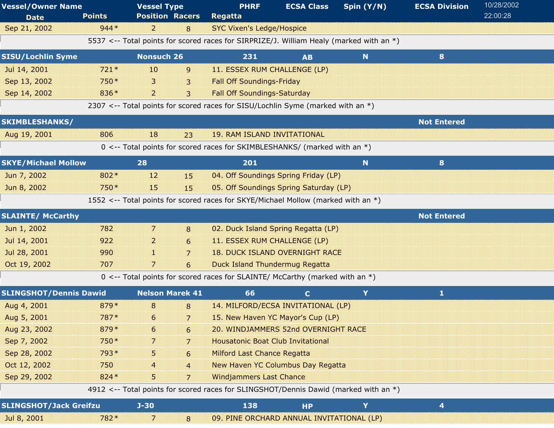| <b>Vessel/Owner Name</b>      |                                                                                      | <b>Vessel Type</b>     |                | <b>PHRF</b>                                                                             | <b>ECSA Class</b> | Spin (Y/N) | <b>ECSA Division</b> | 10/28/2002 |  |  |  |
|-------------------------------|--------------------------------------------------------------------------------------|------------------------|----------------|-----------------------------------------------------------------------------------------|-------------------|------------|----------------------|------------|--|--|--|
| <b>Date</b>                   | <b>Points</b>                                                                        | <b>Position Racers</b> |                | <b>Regatta</b>                                                                          |                   |            |                      | 22:00:28   |  |  |  |
| Sep 21, 2002                  | $944*$                                                                               | $\overline{2}$         | 8              | <b>SYC Vixen's Ledge/Hospice</b>                                                        |                   |            |                      |            |  |  |  |
|                               |                                                                                      |                        |                | 5537 <-- Total points for scored races for SIRPRIZE/J. William Healy (marked with an *) |                   |            |                      |            |  |  |  |
| <b>SISU/Lochlin Syme</b>      |                                                                                      | <b>Nonsuch 26</b>      |                | 231                                                                                     | <b>AB</b>         | N          | 8                    |            |  |  |  |
| Jul 14, 2001                  | $721*$                                                                               | 10                     | $\mathsf{g}$   | 11. ESSEX RUM CHALLENGE (LP)                                                            |                   |            |                      |            |  |  |  |
| Sep 13, 2002                  | 750*                                                                                 | 3                      | 3              | <b>Fall Off Soundings-Friday</b>                                                        |                   |            |                      |            |  |  |  |
| Sep 14, 2002                  | 836*                                                                                 | $\overline{2}$         | 3              | <b>Fall Off Soundings-Saturday</b>                                                      |                   |            |                      |            |  |  |  |
|                               |                                                                                      |                        |                | 2307 <-- Total points for scored races for SISU/Lochlin Syme (marked with an *)         |                   |            |                      |            |  |  |  |
| <b>SKIMBLESHANKS/</b>         |                                                                                      |                        |                |                                                                                         |                   |            | <b>Not Entered</b>   |            |  |  |  |
| Aug 19, 2001                  | 806                                                                                  | 18                     | 23             | <b>19. RAM ISLAND INVITATIONAL</b>                                                      |                   |            |                      |            |  |  |  |
|                               |                                                                                      |                        |                | 0 <-- Total points for scored races for SKIMBLESHANKS/ (marked with an *)               |                   |            |                      |            |  |  |  |
| <b>SKYE/Michael Mollow</b>    |                                                                                      | 28                     |                | 201                                                                                     |                   | N          | 8                    |            |  |  |  |
| Jun 7, 2002                   | 802*                                                                                 | 12                     | 15             | 04. Off Soundings Spring Friday (LP)                                                    |                   |            |                      |            |  |  |  |
| Jun 8, 2002                   | 750*                                                                                 | 15                     | 15             | 05. Off Soundings Spring Saturday (LP)                                                  |                   |            |                      |            |  |  |  |
|                               |                                                                                      |                        |                | 1552 <-- Total points for scored races for SKYE/Michael Mollow (marked with an *)       |                   |            |                      |            |  |  |  |
| <b>SLAINTE/ McCarthy</b>      |                                                                                      |                        |                |                                                                                         |                   |            | <b>Not Entered</b>   |            |  |  |  |
| Jun 1, 2002                   | 782                                                                                  | 7                      | 8              | 02. Duck Island Spring Regatta (LP)                                                     |                   |            |                      |            |  |  |  |
| Jul 14, 2001                  | 922                                                                                  | $\overline{2}$         | 6              | 11. ESSEX RUM CHALLENGE (LP)                                                            |                   |            |                      |            |  |  |  |
| Jul 28, 2001                  | 990                                                                                  | n.                     | $\overline{7}$ | <b>18. DUCK ISLAND OVERNIGHT RACE</b>                                                   |                   |            |                      |            |  |  |  |
| Oct 19, 2002                  | 707                                                                                  | 7                      | 6              | <b>Duck Island Thundermug Regatta</b>                                                   |                   |            |                      |            |  |  |  |
|                               |                                                                                      |                        |                | $0 \le -$ Total points for scored races for SLAINTE/ McCarthy (marked with an $*)$      |                   |            |                      |            |  |  |  |
| <b>SLINGSHOT/Dennis Dawid</b> |                                                                                      | <b>Nelson Marek 41</b> |                | 66                                                                                      | $\mathbf{C}$      | Y          | 1                    |            |  |  |  |
| Aug 4, 2001                   | 879*                                                                                 | 8                      | 8              | 14. MILFORD/ECSA INVITATIONAL (LP)                                                      |                   |            |                      |            |  |  |  |
| Aug 5, 2001                   | $787*$                                                                               | $6\degree$             | $\overline{7}$ | 15. New Haven YC Mayor's Cup (LP)                                                       |                   |            |                      |            |  |  |  |
| Aug 23, 2002                  | 879*                                                                                 | 6                      | 6              | 20. WINDJAMMERS 52nd OVERNIGHT RACE                                                     |                   |            |                      |            |  |  |  |
| Sep 7, 2002                   | 750*                                                                                 | 7                      | $\overline{7}$ | <b>Housatonic Boat Club Invitational</b>                                                |                   |            |                      |            |  |  |  |
| Sep 28, 2002                  | 793*                                                                                 | 5                      | 6              | <b>Milford Last Chance Regatta</b>                                                      |                   |            |                      |            |  |  |  |
| Oct 12, 2002                  | 750                                                                                  | 4                      | $\overline{4}$ | <b>New Haven YC Columbus Day Regatta</b>                                                |                   |            |                      |            |  |  |  |
| Sep 29, 2002                  | 824 *                                                                                | 5                      | $\overline{7}$ | <b>Windjammers Last Chance</b>                                                          |                   |            |                      |            |  |  |  |
|                               | 4912 <-- Total points for scored races for SLINGSHOT/Dennis Dawid (marked with an *) |                        |                |                                                                                         |                   |            |                      |            |  |  |  |
| <b>SLINGSHOT/Jack Greifzu</b> |                                                                                      | $J - 30$               |                | 138                                                                                     | <b>HP</b>         | Y          | 4                    |            |  |  |  |
| Jul 8, 2001                   | 782 *                                                                                | 7                      | 8              | 09. PINE ORCHARD ANNUAL INVITATIONAL (LP)                                               |                   |            |                      |            |  |  |  |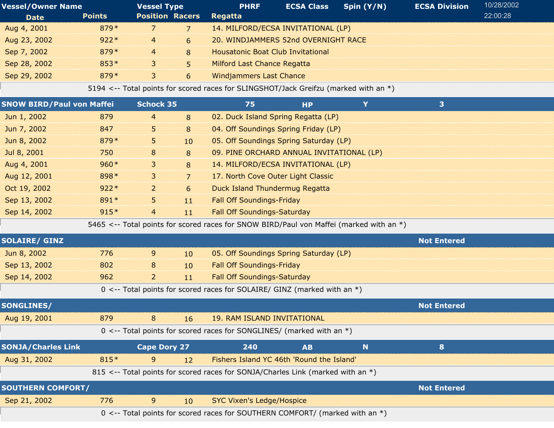| <b>Vessel/Owner Name</b>         |               | <b>Vessel Type</b>     |    | <b>PHRF</b>                                                                             | <b>ECSA Class</b> | Spin (Y/N) | <b>ECSA Division</b> | 10/28/2002 |
|----------------------------------|---------------|------------------------|----|-----------------------------------------------------------------------------------------|-------------------|------------|----------------------|------------|
| <b>Date</b>                      | <b>Points</b> | <b>Position Racers</b> |    | Regatta                                                                                 |                   |            |                      | 22:00:28   |
| Aug 4, 2001                      | 879*          | 7.                     | 7  | 14. MILFORD/ECSA INVITATIONAL (LP)                                                      |                   |            |                      |            |
| Aug 23, 2002                     | $922*$        | 4                      | 6  | 20. WINDJAMMERS 52nd OVERNIGHT RACE                                                     |                   |            |                      |            |
| Sep 7, 2002                      | 879*          | $\overline{4}$         | 8  | <b>Housatonic Boat Club Invitational</b>                                                |                   |            |                      |            |
| Sep 28, 2002                     | 853*          | 3                      | 5  | <b>Milford Last Chance Regatta</b>                                                      |                   |            |                      |            |
| Sep 29, 2002                     | 879*          | 3                      | 6  | <b>Windjammers Last Chance</b>                                                          |                   |            |                      |            |
|                                  |               |                        |    | 5194 <-- Total points for scored races for SLINGSHOT/Jack Greifzu (marked with an *)    |                   |            |                      |            |
| <b>SNOW BIRD/Paul von Maffei</b> |               | <b>Schock 35</b>       |    | 75                                                                                      | <b>HP</b>         | Y          | 3                    |            |
| Jun 1, 2002                      | 879           | $\overline{4}$         | 8  | 02. Duck Island Spring Regatta (LP)                                                     |                   |            |                      |            |
| Jun 7, 2002                      | 847           | 5.                     | 8  | 04. Off Soundings Spring Friday (LP)                                                    |                   |            |                      |            |
| Jun 8, 2002                      | 879*          | 5.                     | 10 | 05. Off Soundings Spring Saturday (LP)                                                  |                   |            |                      |            |
| Jul 8, 2001                      | 750           | 8                      | 8  | 09. PINE ORCHARD ANNUAL INVITATIONAL (LP)                                               |                   |            |                      |            |
| Aug 4, 2001                      | $960*$        | 3                      | 8  | 14. MILFORD/ECSA INVITATIONAL (LP)                                                      |                   |            |                      |            |
| Aug 12, 2001                     | 898*          | 3                      | 7  | 17. North Cove Outer Light Classic                                                      |                   |            |                      |            |
| Oct 19, 2002                     | $922*$        | $\overline{a}$         | 6  | <b>Duck Island Thundermug Regatta</b>                                                   |                   |            |                      |            |
| Sep 13, 2002                     | 891*          | 5.                     | 11 | <b>Fall Off Soundings-Friday</b>                                                        |                   |            |                      |            |
| Sep 14, 2002                     | $915*$        | $\overline{4}$         | 11 | <b>Fall Off Soundings-Saturday</b>                                                      |                   |            |                      |            |
|                                  |               |                        |    | 5465 <-- Total points for scored races for SNOW BIRD/Paul von Maffei (marked with an *) |                   |            |                      |            |
| <b>SOLAIRE/ GINZ</b>             |               |                        |    |                                                                                         |                   |            | <b>Not Entered</b>   |            |
| Jun 8, 2002                      | 776           | 9                      | 10 | 05. Off Soundings Spring Saturday (LP)                                                  |                   |            |                      |            |
| Sep 13, 2002                     | 802           | 8                      | 10 | <b>Fall Off Soundings-Friday</b>                                                        |                   |            |                      |            |
| Sep 14, 2002                     | 962           | $\overline{a}$         | 11 | <b>Fall Off Soundings-Saturday</b>                                                      |                   |            |                      |            |
|                                  |               |                        |    | 0 <-- Total points for scored races for SOLAIRE/ GINZ (marked with an *)                |                   |            |                      |            |
| <b>SONGLINES/</b>                |               |                        |    |                                                                                         |                   |            | <b>Not Entered</b>   |            |
| Aug 19, 2001                     | 879           |                        | 16 | <b>19. RAM ISLAND INVITATIONAL</b>                                                      |                   |            |                      |            |
|                                  |               |                        |    | 0 <-- Total points for scored races for SONGLINES/ (marked with an *)                   |                   |            |                      |            |
| <b>SONJA/Charles Link</b>        |               | <b>Cape Dory 27</b>    |    | 240                                                                                     | <b>AB</b>         | N          | 8                    |            |
| Aug 31, 2002                     | 815*          | 9                      | 12 | Fishers Island YC 46th 'Round the Island'                                               |                   |            |                      |            |
|                                  |               |                        |    | 815 <-- Total points for scored races for SONJA/Charles Link (marked with an *)         |                   |            |                      |            |
| <b>SOUTHERN COMFORT/</b>         |               |                        |    |                                                                                         |                   |            | <b>Not Entered</b>   |            |
| Sep 21, 2002                     | 776           | 9                      | 10 | <b>SYC Vixen's Ledge/Hospice</b>                                                        |                   |            |                      |            |
|                                  |               |                        |    | 0 <-- Total points for scored races for SOUTHERN COMFORT/ (marked with an *)            |                   |            |                      |            |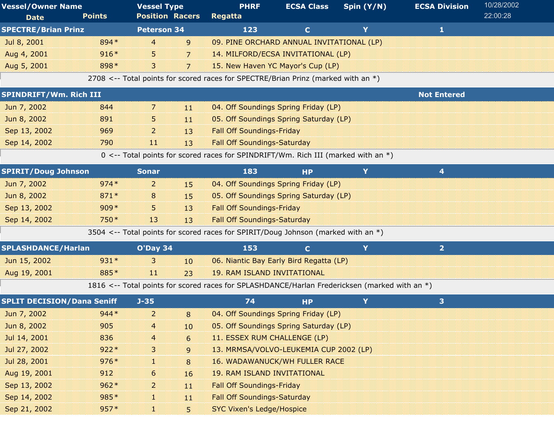| <b>Vessel/Owner Name</b><br><b>Date</b> | <b>Points</b> | <b>Vessel Type</b><br><b>Position Racers</b> |                | <b>PHRF</b><br><b>Regatta</b>                                                                 | <b>ECSA Class</b> | Spin $(Y/N)$ | <b>ECSA Division</b> | 10/28/2002<br>22:00:28 |
|-----------------------------------------|---------------|----------------------------------------------|----------------|-----------------------------------------------------------------------------------------------|-------------------|--------------|----------------------|------------------------|
| <b>SPECTRE/Brian Prinz</b>              |               | <b>Peterson 34</b>                           |                | 123                                                                                           | $\mathbf{C}$      | Y            | $\mathbf{1}$         |                        |
| Jul 8, 2001                             | 894 *         | 4                                            | 9              | 09. PINE ORCHARD ANNUAL INVITATIONAL (LP)                                                     |                   |              |                      |                        |
| Aug 4, 2001                             | $916*$        | 5.                                           | $\overline{7}$ | 14. MILFORD/ECSA INVITATIONAL (LP)                                                            |                   |              |                      |                        |
| Aug 5, 2001                             | 898*          | 3                                            | 7              | 15. New Haven YC Mayor's Cup (LP)                                                             |                   |              |                      |                        |
|                                         |               |                                              |                | 2708 <-- Total points for scored races for SPECTRE/Brian Prinz (marked with an $*)$           |                   |              |                      |                        |
| SPINDRIFT/Wm. Rich III                  |               |                                              |                |                                                                                               |                   |              | <b>Not Entered</b>   |                        |
| Jun 7, 2002                             | 844           | 7                                            | 11             | 04. Off Soundings Spring Friday (LP)                                                          |                   |              |                      |                        |
| Jun 8, 2002                             | 891           | 5.                                           | 11             | 05. Off Soundings Spring Saturday (LP)                                                        |                   |              |                      |                        |
| Sep 13, 2002                            | 969           | 2                                            | 13             | <b>Fall Off Soundings-Friday</b>                                                              |                   |              |                      |                        |
| Sep 14, 2002                            | 790           | 11                                           | 13             | <b>Fall Off Soundings-Saturday</b>                                                            |                   |              |                      |                        |
|                                         |               |                                              |                | 0 <-- Total points for scored races for SPINDRIFT/Wm. Rich III (marked with an *)             |                   |              |                      |                        |
| <b>SPIRIT/Doug Johnson</b>              |               | <b>Sonar</b>                                 |                | 183                                                                                           | <b>HP</b>         | Y            | 4                    |                        |
| Jun 7, 2002                             | $974*$        | $\overline{2}$                               | 15             | 04. Off Soundings Spring Friday (LP)                                                          |                   |              |                      |                        |
| Jun 8, 2002                             | $871*$        | 8                                            | 15             | 05. Off Soundings Spring Saturday (LP)                                                        |                   |              |                      |                        |
| Sep 13, 2002                            | $909*$        | 5                                            | 13             | <b>Fall Off Soundings-Friday</b>                                                              |                   |              |                      |                        |
| Sep 14, 2002                            | 750 *         | 13                                           | 13             | <b>Fall Off Soundings-Saturday</b>                                                            |                   |              |                      |                        |
|                                         |               |                                              |                | 3504 <-- Total points for scored races for SPIRIT/Doug Johnson (marked with an *)             |                   |              |                      |                        |
| <b>SPLASHDANCE/Harlan</b>               |               | O'Day 34                                     |                | 153                                                                                           | $\mathbf C$       | Y            | $\overline{2}$       |                        |
| Jun 15, 2002                            | $931*$        | 3                                            | 10             | 06. Niantic Bay Early Bird Regatta (LP)                                                       |                   |              |                      |                        |
| Aug 19, 2001                            | 885*          | $\mathbf{11}$                                | 23             | <b>19. RAM ISLAND INVITATIONAL</b>                                                            |                   |              |                      |                        |
|                                         |               |                                              |                | 1816 <-- Total points for scored races for SPLASHDANCE/Harlan Fredericksen (marked with an *) |                   |              |                      |                        |
| <b>SPLIT DECISION/Dana Seniff</b>       |               | $J - 35$                                     |                | 74                                                                                            | <b>HP</b>         | Y            | 3                    |                        |
| Jun 7, 2002                             | $944*$        | $\overline{2}$                               | 8              | 04. Off Soundings Spring Friday (LP)                                                          |                   |              |                      |                        |
| Jun 8, 2002                             | 905           | $\overline{4}$                               | 10             | 05. Off Soundings Spring Saturday (LP)                                                        |                   |              |                      |                        |
| Jul 14, 2001                            | 836           | 4                                            | 6              | 11. ESSEX RUM CHALLENGE (LP)                                                                  |                   |              |                      |                        |
| Jul 27, 2002                            | $922*$        | 3                                            | 9              | 13. MRMSA/VOLVO-LEUKEMIA CUP 2002 (LP)                                                        |                   |              |                      |                        |
| Jul 28, 2001                            | $976*$        | 1                                            | 8              | <b>16. WADAWANUCK/WH FULLER RACE</b>                                                          |                   |              |                      |                        |
| Aug 19, 2001                            | 912           | 6                                            | 16             | <b>19. RAM ISLAND INVITATIONAL</b>                                                            |                   |              |                      |                        |
| Sep 13, 2002                            | $962*$        | $\overline{a}$                               | 11             | <b>Fall Off Soundings-Friday</b>                                                              |                   |              |                      |                        |
| Sep 14, 2002                            | 985*          | ×.                                           | 11             | <b>Fall Off Soundings-Saturday</b>                                                            |                   |              |                      |                        |
| Sep 21, 2002                            | $957*$        | u                                            | 5              | <b>SYC Vixen's Ledge/Hospice</b>                                                              |                   |              |                      |                        |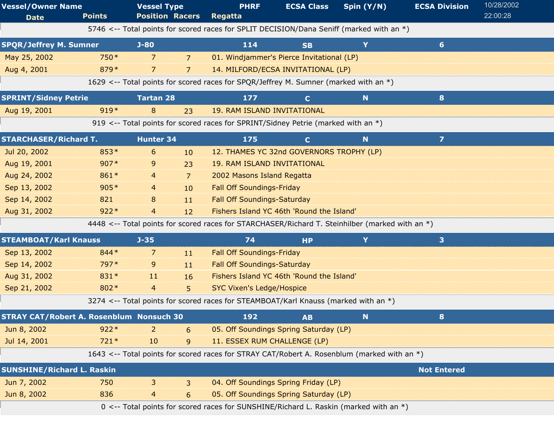| <b>Vessel/Owner Name</b><br><b>Date</b>         | <b>Points</b> | <b>Vessel Type</b><br><b>Position Racers</b> |                 | <b>PHRF</b><br>Regatta                                                                          | <b>ECSA Class</b> | Spin $(Y/N)$ | <b>ECSA Division</b>    | 10/28/2002<br>22:00:28 |
|-------------------------------------------------|---------------|----------------------------------------------|-----------------|-------------------------------------------------------------------------------------------------|-------------------|--------------|-------------------------|------------------------|
|                                                 |               |                                              |                 | 5746 <-- Total points for scored races for SPLIT DECISION/Dana Seniff (marked with an *)        |                   |              |                         |                        |
| <b>SPQR/Jeffrey M. Sumner</b>                   |               | $J-80$                                       |                 | 114                                                                                             | <b>SB</b>         | Y            | $6 \nightharpoonup$     |                        |
| May 25, 2002                                    | 750*          | 7                                            | $\overline{7}$  | 01. Windjammer's Pierce Invitational (LP)                                                       |                   |              |                         |                        |
| Aug 4, 2001                                     | 879*          | 7                                            | 7               | 14. MILFORD/ECSA INVITATIONAL (LP)                                                              |                   |              |                         |                        |
|                                                 |               |                                              |                 | 1629 <-- Total points for scored races for SPQR/Jeffrey M. Sumner (marked with an *)            |                   |              |                         |                        |
| <b>SPRINT/Sidney Petrie</b>                     |               | <b>Tartan 28</b>                             |                 | 177                                                                                             | $\mathbf{C}$      | N.           | 8                       |                        |
| Aug 19, 2001                                    | $919*$        | 8                                            | 23              | <b>19. RAM ISLAND INVITATIONAL</b>                                                              |                   |              |                         |                        |
|                                                 |               |                                              |                 | 919 <-- Total points for scored races for SPRINT/Sidney Petrie (marked with an *)               |                   |              |                         |                        |
| <b>STARCHASER/Richard T.</b>                    |               | <b>Hunter 34</b>                             |                 | 175                                                                                             | $\mathbf{C}$      | N.           | $\overline{\mathbf{z}}$ |                        |
| Jul 20, 2002                                    | $853*$        | 6                                            | 10 <sup>°</sup> | 12. THAMES YC 32nd GOVERNORS TROPHY (LP)                                                        |                   |              |                         |                        |
| Aug 19, 2001                                    | $907*$        | 9                                            | 23              | <b>19. RAM ISLAND INVITATIONAL</b>                                                              |                   |              |                         |                        |
| Aug 24, 2002                                    | 861*          | $\overline{a}$                               | $\overline{7}$  | 2002 Masons Island Regatta                                                                      |                   |              |                         |                        |
| Sep 13, 2002                                    | $905*$        | 4                                            | 10              | <b>Fall Off Soundings-Friday</b>                                                                |                   |              |                         |                        |
| Sep 14, 2002                                    | 821           | 8                                            | 11              | <b>Fall Off Soundings-Saturday</b>                                                              |                   |              |                         |                        |
| Aug 31, 2002                                    | $922*$        | $\overline{4}$                               | 12              | Fishers Island YC 46th 'Round the Island'                                                       |                   |              |                         |                        |
|                                                 |               |                                              |                 | 4448 <-- Total points for scored races for STARCHASER/Richard T. Steinhilber (marked with an *) |                   |              |                         |                        |
| <b>STEAMBOAT/Karl Knauss</b>                    |               | $J - 35$                                     |                 | 74                                                                                              | <b>HP</b>         | Y            | 3 <sup>1</sup>          |                        |
| Sep 13, 2002                                    | 844 *         | 7                                            | 11              | <b>Fall Off Soundings-Friday</b>                                                                |                   |              |                         |                        |
| Sep 14, 2002                                    | 797*          | 9                                            | 11              | <b>Fall Off Soundings-Saturday</b>                                                              |                   |              |                         |                        |
| Aug 31, 2002                                    | 831*          | $\mathbf{11}$                                | 16              | Fishers Island YC 46th 'Round the Island'                                                       |                   |              |                         |                        |
| Sep 21, 2002                                    | 802*          | $\overline{4}$                               | 5               | <b>SYC Vixen's Ledge/Hospice</b>                                                                |                   |              |                         |                        |
|                                                 |               |                                              |                 | 3274 <-- Total points for scored races for STEAMBOAT/Karl Knauss (marked with an *)             |                   |              |                         |                        |
| <b>STRAY CAT/Robert A. Rosenblum Nonsuch 30</b> |               |                                              |                 | 192                                                                                             | <b>AB</b>         | N            | 8                       |                        |
| Jun 8, 2002                                     | $922*$        | 2                                            | 6               | 05. Off Soundings Spring Saturday (LP)                                                          |                   |              |                         |                        |
| Jul 14, 2001                                    | $721*$        | 10                                           | 9               | 11. ESSEX RUM CHALLENGE (LP)                                                                    |                   |              |                         |                        |
|                                                 |               |                                              |                 | 1643 <-- Total points for scored races for STRAY CAT/Robert A. Rosenblum (marked with an *)     |                   |              |                         |                        |
| <b>SUNSHINE/Richard L. Raskin</b>               |               |                                              |                 |                                                                                                 |                   |              | <b>Not Entered</b>      |                        |
| Jun 7, 2002                                     | 750           | 3                                            | 3               | 04. Off Soundings Spring Friday (LP)                                                            |                   |              |                         |                        |
| Jun 8, 2002                                     | 836           | 4                                            | 6               | 05. Off Soundings Spring Saturday (LP)                                                          |                   |              |                         |                        |
|                                                 |               |                                              |                 | 0 <-- Total points for scored races for SUNSHINE/Richard L. Raskin (marked with an *)           |                   |              |                         |                        |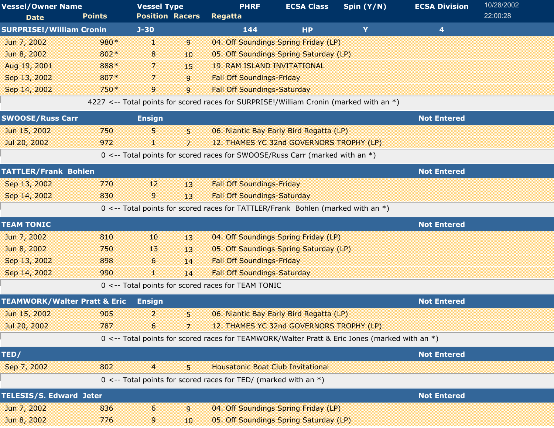| <b>Vessel/Owner Name</b>                |               | <b>Vessel Type</b>     |    | <b>PHRF</b>                                                                                   | <b>ECSA Class</b>                        | Spin (Y/N) | <b>ECSA Division</b> | 10/28/2002 |
|-----------------------------------------|---------------|------------------------|----|-----------------------------------------------------------------------------------------------|------------------------------------------|------------|----------------------|------------|
| <b>Date</b>                             | <b>Points</b> | <b>Position Racers</b> |    | <b>Regatta</b>                                                                                |                                          |            |                      | 22:00:28   |
| <b>SURPRISE!/William Cronin</b>         |               | $J-30$                 |    | 144                                                                                           | <b>HP</b>                                | Y          | 4                    |            |
| Jun 7, 2002                             | 980*          | H.                     | 9  |                                                                                               | 04. Off Soundings Spring Friday (LP)     |            |                      |            |
| Jun 8, 2002                             | 802*          | 8                      | 10 |                                                                                               | 05. Off Soundings Spring Saturday (LP)   |            |                      |            |
| Aug 19, 2001                            | 888*          | 7                      | 15 | <b>19. RAM ISLAND INVITATIONAL</b>                                                            |                                          |            |                      |            |
| Sep 13, 2002                            | 807*          | 7                      | 9  | <b>Fall Off Soundings-Friday</b>                                                              |                                          |            |                      |            |
| Sep 14, 2002                            | 750*          | 9                      | 9  | <b>Fall Off Soundings-Saturday</b>                                                            |                                          |            |                      |            |
|                                         |               |                        |    | 4227 <-- Total points for scored races for SURPRISE!/William Cronin (marked with an *)        |                                          |            |                      |            |
| <b>SWOOSE/Russ Carr</b>                 |               | <b>Ensign</b>          |    |                                                                                               |                                          |            | <b>Not Entered</b>   |            |
| Jun 15, 2002                            | 750           | 5                      | 5  |                                                                                               | 06. Niantic Bay Early Bird Regatta (LP)  |            |                      |            |
| Jul 20, 2002                            | 972           | T.                     | 7  |                                                                                               | 12. THAMES YC 32nd GOVERNORS TROPHY (LP) |            |                      |            |
|                                         |               |                        |    | 0 <-- Total points for scored races for SWOOSE/Russ Carr (marked with an *)                   |                                          |            |                      |            |
| <b>TATTLER/Frank Bohlen</b>             |               |                        |    |                                                                                               |                                          |            | <b>Not Entered</b>   |            |
| Sep 13, 2002                            | 770           | 12                     | 13 | <b>Fall Off Soundings-Friday</b>                                                              |                                          |            |                      |            |
| Sep 14, 2002                            | 830           | 9                      | 13 | <b>Fall Off Soundings-Saturday</b>                                                            |                                          |            |                      |            |
|                                         |               |                        |    | 0 <-- Total points for scored races for TATTLER/Frank Bohlen (marked with an *)               |                                          |            |                      |            |
| <b>TEAM TONIC</b>                       |               |                        |    |                                                                                               |                                          |            | <b>Not Entered</b>   |            |
| Jun 7, 2002                             | 810           | 10                     | 13 |                                                                                               | 04. Off Soundings Spring Friday (LP)     |            |                      |            |
| Jun 8, 2002                             | 750           | 13                     | 13 |                                                                                               | 05. Off Soundings Spring Saturday (LP)   |            |                      |            |
| Sep 13, 2002                            | 898           | 6                      | 14 | <b>Fall Off Soundings-Friday</b>                                                              |                                          |            |                      |            |
| Sep 14, 2002                            | 990           | d.                     | 14 | <b>Fall Off Soundings-Saturday</b>                                                            |                                          |            |                      |            |
|                                         |               |                        |    | 0 <-- Total points for scored races for TEAM TONIC                                            |                                          |            |                      |            |
| <b>TEAMWORK/Walter Pratt &amp; Eric</b> |               | <b>Ensign</b>          |    |                                                                                               |                                          |            | <b>Not Entered</b>   |            |
| Jun 15, 2002                            | 905           | 2                      | 5. |                                                                                               | 06. Niantic Bay Early Bird Regatta (LP)  |            |                      |            |
| Jul 20, 2002                            | 787           | 6                      | 7  |                                                                                               | 12. THAMES YC 32nd GOVERNORS TROPHY (LP) |            |                      |            |
|                                         |               |                        |    | 0 <-- Total points for scored races for TEAMWORK/Walter Pratt & Eric Jones (marked with an *) |                                          |            |                      |            |
| TED/                                    |               |                        |    |                                                                                               |                                          |            | <b>Not Entered</b>   |            |
| Sep 7, 2002                             | 802           | $\overline{4}$         | 5  | <b>Housatonic Boat Club Invitational</b>                                                      |                                          |            |                      |            |
|                                         |               |                        |    | 0 <-- Total points for scored races for TED/ (marked with an $*)$                             |                                          |            |                      |            |
| <b>TELESIS/S. Edward Jeter</b>          |               |                        |    |                                                                                               |                                          |            | <b>Not Entered</b>   |            |
| Jun 7, 2002                             | 836           | 6                      | 9  |                                                                                               | 04. Off Soundings Spring Friday (LP)     |            |                      |            |
| Jun 8, 2002                             | 776           | 9                      | 10 |                                                                                               | 05. Off Soundings Spring Saturday (LP)   |            |                      |            |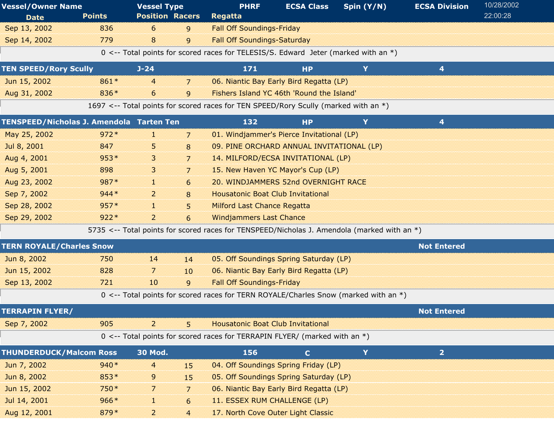| <b>Vessel/Owner Name</b>                 |               | <b>Vessel Type</b>     |                | <b>PHRF</b>                                                                                   | <b>ECSA Class</b> | Spin $(Y/N)$ | <b>ECSA Division</b> | 10/28/2002 |
|------------------------------------------|---------------|------------------------|----------------|-----------------------------------------------------------------------------------------------|-------------------|--------------|----------------------|------------|
| <b>Date</b>                              | <b>Points</b> | <b>Position Racers</b> |                | Regatta                                                                                       |                   |              |                      | 22:00:28   |
| Sep 13, 2002                             | 836           | 6                      | 9              | <b>Fall Off Soundings-Friday</b>                                                              |                   |              |                      |            |
| Sep 14, 2002                             | 779           | 8                      | 9              | <b>Fall Off Soundings-Saturday</b>                                                            |                   |              |                      |            |
|                                          |               |                        |                | 0 <-- Total points for scored races for TELESIS/S. Edward Jeter (marked with an *)            |                   |              |                      |            |
| <b>TEN SPEED/Rory Scully</b>             |               | $J - 24$               |                | 171                                                                                           | <b>HP</b>         | Y            | 4                    |            |
| Jun 15, 2002                             | 861*          | 4                      | 7              | 06. Niantic Bay Early Bird Regatta (LP)                                                       |                   |              |                      |            |
| Aug 31, 2002                             | 836*          | 6                      | 9              | Fishers Island YC 46th 'Round the Island'                                                     |                   |              |                      |            |
|                                          |               |                        |                | 1697 <-- Total points for scored races for TEN SPEED/Rory Scully (marked with an *)           |                   |              |                      |            |
| TENSPEED/Nicholas J. Amendola Tarten Ten |               |                        |                | 132                                                                                           | <b>HP</b>         | Y            | 4                    |            |
| May 25, 2002                             | $972*$        | H.                     | $\overline{7}$ | 01. Windjammer's Pierce Invitational (LP)                                                     |                   |              |                      |            |
| Jul 8, 2001                              | 847           | 5                      | 8              | 09. PINE ORCHARD ANNUAL INVITATIONAL (LP)                                                     |                   |              |                      |            |
| Aug 4, 2001                              | $953*$        | 3                      | 7              | 14. MILFORD/ECSA INVITATIONAL (LP)                                                            |                   |              |                      |            |
| Aug 5, 2001                              | 898           | 3                      | 7              | 15. New Haven YC Mayor's Cup (LP)                                                             |                   |              |                      |            |
| Aug 23, 2002                             | 987*          | 11                     | 6              | 20. WINDJAMMERS 52nd OVERNIGHT RACE                                                           |                   |              |                      |            |
| Sep 7, 2002                              | $944*$        | $\overline{2}$         | 8              | <b>Housatonic Boat Club Invitational</b>                                                      |                   |              |                      |            |
| Sep 28, 2002                             | $957*$        | 11                     | 5              | <b>Milford Last Chance Regatta</b>                                                            |                   |              |                      |            |
| Sep 29, 2002                             | $922*$        | $\overline{a}$         | 6              | <b>Windjammers Last Chance</b>                                                                |                   |              |                      |            |
|                                          |               |                        |                | 5735 <-- Total points for scored races for TENSPEED/Nicholas J. Amendola (marked with an $*)$ |                   |              |                      |            |
| <b>TERN ROYALE/Charles Snow</b>          |               |                        |                |                                                                                               |                   |              | <b>Not Entered</b>   |            |
| Jun 8, 2002                              | 750           | 14                     | 14             | 05. Off Soundings Spring Saturday (LP)                                                        |                   |              |                      |            |
| Jun 15, 2002                             | 828           | 7                      | 10             | 06. Niantic Bay Early Bird Regatta (LP)                                                       |                   |              |                      |            |
| Sep 13, 2002                             | 721           | 10                     | 9              | <b>Fall Off Soundings-Friday</b>                                                              |                   |              |                      |            |
|                                          |               |                        |                | 0 <-- Total points for scored races for TERN ROYALE/Charles Snow (marked with an *)           |                   |              |                      |            |
| <b>TERRAPIN FLYER/</b>                   |               |                        |                |                                                                                               |                   |              | <b>Not Entered</b>   |            |
| Sep 7, 2002                              | 905           | $\overline{2}$         | 5              | <b>Housatonic Boat Club Invitational</b>                                                      |                   |              |                      |            |
|                                          |               |                        |                | 0 <-- Total points for scored races for TERRAPIN FLYER/ (marked with an *)                    |                   |              |                      |            |
| <b>THUNDERDUCK/Malcom Ross</b>           |               | <b>30 Mod.</b>         |                | 156                                                                                           | $\mathbf{C}$      | Y            | $\overline{2}$       |            |
| Jun 7, 2002                              | $940*$        | $\overline{4}$         | 15             | 04. Off Soundings Spring Friday (LP)                                                          |                   |              |                      |            |
| Jun 8, 2002                              | 853*          | 9                      | 15             | 05. Off Soundings Spring Saturday (LP)                                                        |                   |              |                      |            |
| Jun 15, 2002                             | 750*          | 7                      | 7              | 06. Niantic Bay Early Bird Regatta (LP)                                                       |                   |              |                      |            |
| Jul 14, 2001                             | $966*$        | H.                     | 6              | 11. ESSEX RUM CHALLENGE (LP)                                                                  |                   |              |                      |            |
| Aug 12, 2001                             | 879*          | $\overline{a}$         | $\overline{4}$ | 17. North Cove Outer Light Classic                                                            |                   |              |                      |            |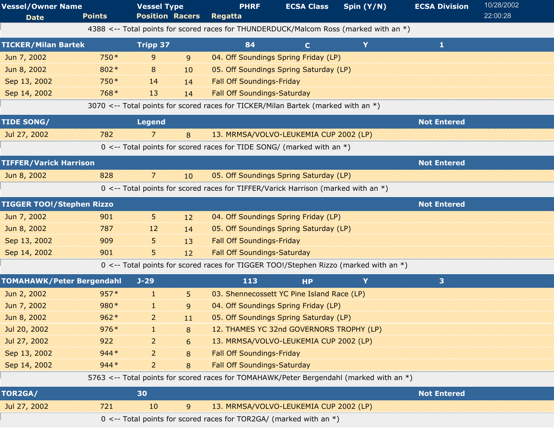| <b>Vessel/Owner Name</b><br><b>Date</b> | <b>Points</b> | <b>Vessel Type</b><br><b>Position Racers</b> |    | <b>PHRF</b><br>Regatta                                                                  | <b>ECSA Class</b>                        | Spin (Y/N) | <b>ECSA Division</b> | 10/28/2002<br>22:00:28 |
|-----------------------------------------|---------------|----------------------------------------------|----|-----------------------------------------------------------------------------------------|------------------------------------------|------------|----------------------|------------------------|
|                                         |               |                                              |    | 4388 <-- Total points for scored races for THUNDERDUCK/Malcom Ross (marked with an *)   |                                          |            |                      |                        |
| <b>TICKER/Milan Bartek</b>              |               | <b>Tripp 37</b>                              |    | 84                                                                                      | $\mathbf{C}$                             | Y          | 1                    |                        |
| Jun 7, 2002                             | 750 *         | 9                                            | 9  |                                                                                         | 04. Off Soundings Spring Friday (LP)     |            |                      |                        |
| Jun 8, 2002                             | 802*          | 8                                            | 10 |                                                                                         | 05. Off Soundings Spring Saturday (LP)   |            |                      |                        |
| Sep 13, 2002                            | 750*          | 14                                           | 14 | <b>Fall Off Soundings-Friday</b>                                                        |                                          |            |                      |                        |
| Sep 14, 2002                            | 768*          | 13                                           | 14 | <b>Fall Off Soundings-Saturday</b>                                                      |                                          |            |                      |                        |
|                                         |               |                                              |    | 3070 <-- Total points for scored races for TICKER/Milan Bartek (marked with an *)       |                                          |            |                      |                        |
| <b>TIDE SONG/</b>                       |               | <b>Legend</b>                                |    |                                                                                         |                                          |            | <b>Not Entered</b>   |                        |
| Jul 27, 2002                            | 782           | 7                                            | 8  |                                                                                         | 13. MRMSA/VOLVO-LEUKEMIA CUP 2002 (LP)   |            |                      |                        |
|                                         |               |                                              |    | 0 <-- Total points for scored races for TIDE SONG/ (marked with an $*)$                 |                                          |            |                      |                        |
| <b>TIFFER/Varick Harrison</b>           |               |                                              |    |                                                                                         |                                          |            | <b>Not Entered</b>   |                        |
| Jun 8, 2002                             | 828           | 7                                            | 10 | 05. Off Soundings Spring Saturday (LP)                                                  |                                          |            |                      |                        |
|                                         |               |                                              |    | 0 <-- Total points for scored races for TIFFER/Varick Harrison (marked with an *)       |                                          |            |                      |                        |
| <b>TIGGER TOO!/Stephen Rizzo</b>        |               |                                              |    |                                                                                         |                                          |            | <b>Not Entered</b>   |                        |
| Jun 7, 2002                             | 901           | 5.                                           | 12 |                                                                                         | 04. Off Soundings Spring Friday (LP)     |            |                      |                        |
| Jun 8, 2002                             | 787           | 12                                           | 14 | 05. Off Soundings Spring Saturday (LP)                                                  |                                          |            |                      |                        |
| Sep 13, 2002                            | 909           | 5                                            | 13 | <b>Fall Off Soundings-Friday</b>                                                        |                                          |            |                      |                        |
| Sep 14, 2002                            | 901           | 5.                                           | 12 | <b>Fall Off Soundings-Saturday</b>                                                      |                                          |            |                      |                        |
|                                         |               |                                              |    | 0 <-- Total points for scored races for TIGGER TOO!/Stephen Rizzo (marked with an *)    |                                          |            |                      |                        |
| <b>TOMAHAWK/Peter Bergendahl</b>        |               | $J-29$                                       |    | 113                                                                                     | <b>HP</b>                                | Y          | 3                    |                        |
| Jun 2, 2002                             | $957*$        | H.                                           | 5. | 03. Shennecossett YC Pine Island Race (LP)                                              |                                          |            |                      |                        |
| Jun 7, 2002                             | 980*          | H.                                           | 9  |                                                                                         | 04. Off Soundings Spring Friday (LP)     |            |                      |                        |
| Jun 8, 2002                             | $962*$        | $\overline{a}$                               | 11 |                                                                                         | 05. Off Soundings Spring Saturday (LP)   |            |                      |                        |
| Jul 20, 2002                            | $976*$        | đ.                                           | 8  |                                                                                         | 12. THAMES YC 32nd GOVERNORS TROPHY (LP) |            |                      |                        |
| Jul 27, 2002                            | 922           | 2                                            | 6  |                                                                                         | 13. MRMSA/VOLVO-LEUKEMIA CUP 2002 (LP)   |            |                      |                        |
| Sep 13, 2002                            | $944*$        | 2                                            | 8  | <b>Fall Off Soundings-Friday</b>                                                        |                                          |            |                      |                        |
| Sep 14, 2002                            | $944*$        | $\overline{2}$                               | 8  | <b>Fall Off Soundings-Saturday</b>                                                      |                                          |            |                      |                        |
|                                         |               |                                              |    | 5763 <-- Total points for scored races for TOMAHAWK/Peter Bergendahl (marked with an *) |                                          |            |                      |                        |
| TOR2GA/                                 |               | 30                                           |    |                                                                                         |                                          |            | <b>Not Entered</b>   |                        |
| Jul 27, 2002                            | 721           | 10                                           | 9  |                                                                                         | 13. MRMSA/VOLVO-LEUKEMIA CUP 2002 (LP)   |            |                      |                        |
|                                         |               |                                              |    | 0 <-- Total points for scored races for TOR2GA/ (marked with an $*)$                    |                                          |            |                      |                        |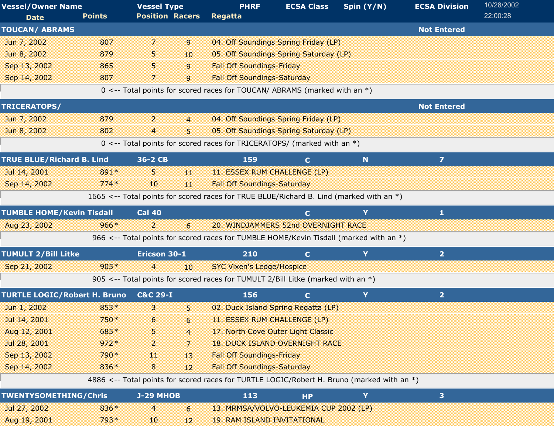| <b>Vessel/Owner Name</b>            |               | <b>Vessel Type</b>       |                | <b>PHRF</b>                                                                                | <b>ECSA Class</b> | Spin (Y/N) | <b>ECSA Division</b>    | 10/28/2002 |
|-------------------------------------|---------------|--------------------------|----------------|--------------------------------------------------------------------------------------------|-------------------|------------|-------------------------|------------|
| <b>Date</b>                         | <b>Points</b> | <b>Position Racers</b>   |                | Regatta                                                                                    |                   |            |                         | 22:00:28   |
| <b>TOUCAN/ ABRAMS</b>               |               |                          |                |                                                                                            |                   |            | <b>Not Entered</b>      |            |
| Jun 7, 2002                         | 807           | $\overline{\phantom{a}}$ | 9              | 04. Off Soundings Spring Friday (LP)                                                       |                   |            |                         |            |
| Jun 8, 2002                         | 879           | 5.                       | 10             | 05. Off Soundings Spring Saturday (LP)                                                     |                   |            |                         |            |
| Sep 13, 2002                        | 865           | 5.                       | 9              | <b>Fall Off Soundings-Friday</b>                                                           |                   |            |                         |            |
| Sep 14, 2002                        | 807           | 7                        | 9              | <b>Fall Off Soundings-Saturday</b>                                                         |                   |            |                         |            |
|                                     |               |                          |                | 0 <-- Total points for scored races for TOUCAN/ ABRAMS (marked with an *)                  |                   |            |                         |            |
| TRICERATOPS/                        |               |                          |                |                                                                                            |                   |            | <b>Not Entered</b>      |            |
| Jun 7, 2002                         | 879           | $\overline{2}$           | $\overline{4}$ | 04. Off Soundings Spring Friday (LP)                                                       |                   |            |                         |            |
| Jun 8, 2002                         | 802           | 4                        | 5              | 05. Off Soundings Spring Saturday (LP)                                                     |                   |            |                         |            |
|                                     |               |                          |                | 0 <-- Total points for scored races for TRICERATOPS/ (marked with an *)                    |                   |            |                         |            |
| <b>TRUE BLUE/Richard B. Lind</b>    |               | 36-2 CB                  |                | 159                                                                                        | $\mathbf C$       | N          | $\overline{\mathbf{z}}$ |            |
| Jul 14, 2001                        | 891*          | 5                        | 11             | 11. ESSEX RUM CHALLENGE (LP)                                                               |                   |            |                         |            |
| Sep 14, 2002                        | $774*$        | 10                       | 11             | <b>Fall Off Soundings-Saturday</b>                                                         |                   |            |                         |            |
|                                     |               |                          |                | 1665 <-- Total points for scored races for TRUE BLUE/Richard B. Lind (marked with an *)    |                   |            |                         |            |
| <b>TUMBLE HOME/Kevin Tisdall</b>    |               | <b>Cal 40</b>            |                |                                                                                            | $\mathbf{C}$      | Y          | $\mathbf{1}$            |            |
| Aug 23, 2002                        | $966*$        | $\overline{2}$           | 6              | 20. WINDJAMMERS 52nd OVERNIGHT RACE                                                        |                   |            |                         |            |
|                                     |               |                          |                | 966 <-- Total points for scored races for TUMBLE HOME/Kevin Tisdall (marked with an *)     |                   |            |                         |            |
| <b>TUMULT 2/Bill Litke</b>          |               | Ericson 30-1             |                | 210                                                                                        | $\mathbf{C}$      | Y          | $\overline{2}$          |            |
| Sep 21, 2002                        | $905*$        | $\overline{4}$           | 10             | <b>SYC Vixen's Ledge/Hospice</b>                                                           |                   |            |                         |            |
|                                     |               |                          |                | 905 <-- Total points for scored races for TUMULT 2/Bill Litke (marked with an *)           |                   |            |                         |            |
| <b>TURTLE LOGIC/Robert H. Bruno</b> |               | <b>C&amp;C 29-I</b>      |                | 156                                                                                        | $\mathbf{C}$      | Y          | $\overline{2}$          |            |
| Jun 1, 2002                         | 853*          | 3                        | 5              | 02. Duck Island Spring Regatta (LP)                                                        |                   |            |                         |            |
| Jul 14, 2001                        | 750*          | 6                        | 6              | 11. ESSEX RUM CHALLENGE (LP)                                                               |                   |            |                         |            |
| Aug 12, 2001                        | 685*          | 5                        | $\overline{4}$ | 17. North Cove Outer Light Classic                                                         |                   |            |                         |            |
| Jul 28, 2001                        | $972*$        | 2                        | 7              | <b>18. DUCK ISLAND OVERNIGHT RACE</b>                                                      |                   |            |                         |            |
| Sep 13, 2002                        | 790 *         | 11                       | 13             | <b>Fall Off Soundings-Friday</b>                                                           |                   |            |                         |            |
| Sep 14, 2002                        | 836*          | 8                        | 12             | <b>Fall Off Soundings-Saturday</b>                                                         |                   |            |                         |            |
|                                     |               |                          |                | 4886 <-- Total points for scored races for TURTLE LOGIC/Robert H. Bruno (marked with an *) |                   |            |                         |            |
| <b>TWENTYSOMETHING/Chris</b>        |               | <b>J-29 MHOB</b>         |                | 113                                                                                        | <b>HP</b>         | Y          | 3                       |            |
| Jul 27, 2002                        | 836*          | 4                        | 6              | 13. MRMSA/VOLVO-LEUKEMIA CUP 2002 (LP)                                                     |                   |            |                         |            |
| Aug 19, 2001                        | 793*          | 10                       | 12             | <b>19. RAM ISLAND INVITATIONAL</b>                                                         |                   |            |                         |            |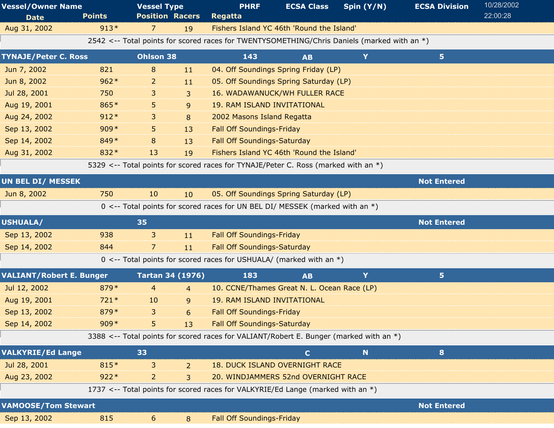| <b>Vessel/Owner Name</b>        |               | <b>Vessel Type</b>      |                | <b>PHRF</b>                                                                                 | <b>ECSA Class</b> | Spin (Y/N) | <b>ECSA Division</b> | 10/28/2002 |
|---------------------------------|---------------|-------------------------|----------------|---------------------------------------------------------------------------------------------|-------------------|------------|----------------------|------------|
| <b>Date</b>                     | <b>Points</b> | <b>Position Racers</b>  |                | <b>Regatta</b>                                                                              |                   |            |                      | 22:00:28   |
| Aug 31, 2002                    | $913*$        | 7                       | 19             | Fishers Island YC 46th 'Round the Island'                                                   |                   |            |                      |            |
|                                 |               |                         |                | 2542 <-- Total points for scored races for TWENTYSOMETHING/Chris Daniels (marked with an *) |                   |            |                      |            |
| <b>TYNAJE/Peter C. Ross</b>     |               | <b>Ohlson 38</b>        |                | 143                                                                                         | <b>AB</b>         | Y          | 5                    |            |
| Jun 7, 2002                     | 821           | 8                       | $\mathbf{11}$  | 04. Off Soundings Spring Friday (LP)                                                        |                   |            |                      |            |
| Jun 8, 2002                     | $962*$        | $\overline{a}$          | 11             | 05. Off Soundings Spring Saturday (LP)                                                      |                   |            |                      |            |
| Jul 28, 2001                    | 750           | 3.                      | 3              | <b>16. WADAWANUCK/WH FULLER RACE</b>                                                        |                   |            |                      |            |
| Aug 19, 2001                    | 865*          | 5                       | 9              | <b>19. RAM ISLAND INVITATIONAL</b>                                                          |                   |            |                      |            |
| Aug 24, 2002                    | $912*$        | 3.                      | 8              | 2002 Masons Island Regatta                                                                  |                   |            |                      |            |
| Sep 13, 2002                    | $909*$        | 5                       | 13             | <b>Fall Off Soundings-Friday</b>                                                            |                   |            |                      |            |
| Sep 14, 2002                    | 849 *         | 8                       | 13             | <b>Fall Off Soundings-Saturday</b>                                                          |                   |            |                      |            |
| Aug 31, 2002                    | 832*          | 13                      | 19             | Fishers Island YC 46th 'Round the Island'                                                   |                   |            |                      |            |
|                                 |               |                         |                | 5329 <-- Total points for scored races for TYNAJE/Peter C. Ross (marked with an *)          |                   |            |                      |            |
| <b>UN BEL DI/ MESSEK</b>        |               |                         |                |                                                                                             |                   |            | <b>Not Entered</b>   |            |
| Jun 8, 2002                     | 750           | 10                      | 10             | 05. Off Soundings Spring Saturday (LP)                                                      |                   |            |                      |            |
|                                 |               |                         |                | 0 <-- Total points for scored races for UN BEL DI/ MESSEK (marked with an *)                |                   |            |                      |            |
| <b>USHUALA/</b>                 |               | 35                      |                |                                                                                             |                   |            | <b>Not Entered</b>   |            |
| Sep 13, 2002                    | 938           | 3                       | 11             | <b>Fall Off Soundings-Friday</b>                                                            |                   |            |                      |            |
| Sep 14, 2002                    | 844           | 7                       | 11             | <b>Fall Off Soundings-Saturday</b>                                                          |                   |            |                      |            |
|                                 |               |                         |                | $0 \le -5$ Total points for scored races for USHUALA/ (marked with an *)                    |                   |            |                      |            |
| <b>VALIANT/Robert E. Bunger</b> |               | <b>Tartan 34 (1976)</b> |                | 183                                                                                         | <b>AB</b>         | Y          | 5                    |            |
| Jul 12, 2002                    | 879*          | $\overline{4}$          | $\overline{4}$ | 10. CCNE/Thames Great N. L. Ocean Race (LP)                                                 |                   |            |                      |            |
| Aug 19, 2001                    | $721*$        | 10                      | 9              | <b>19. RAM ISLAND INVITATIONAL</b>                                                          |                   |            |                      |            |
| Sep 13, 2002                    | 879*          | 3                       | 6              | <b>Fall Off Soundings-Friday</b>                                                            |                   |            |                      |            |
| Sep 14, 2002                    | $909*$        | 5.                      | 13             | <b>Fall Off Soundings-Saturday</b>                                                          |                   |            |                      |            |
|                                 |               |                         |                | 3388 <-- Total points for scored races for VALIANT/Robert E. Bunger (marked with an *)      |                   |            |                      |            |
| <b>VALKYRIE/Ed Lange</b>        |               | 33                      |                |                                                                                             | $\mathbf{C}$      | N.         | 8                    |            |
| Jul 28, 2001                    | 815*          | 3                       | 2              | <b>18. DUCK ISLAND OVERNIGHT RACE</b>                                                       |                   |            |                      |            |
| Aug 23, 2002                    | $922*$        | $\overline{2}$          | 3              | 20. WINDJAMMERS 52nd OVERNIGHT RACE                                                         |                   |            |                      |            |
|                                 |               |                         |                | 1737 <-- Total points for scored races for VALKYRIE/Ed Lange (marked with an *)             |                   |            |                      |            |
| <b>VAMOOSE/Tom Stewart</b>      |               |                         |                |                                                                                             |                   |            | <b>Not Entered</b>   |            |
| Sep 13, 2002                    | 815           | 6                       | 8              | <b>Fall Off Soundings-Friday</b>                                                            |                   |            |                      |            |
|                                 |               |                         |                |                                                                                             |                   |            |                      |            |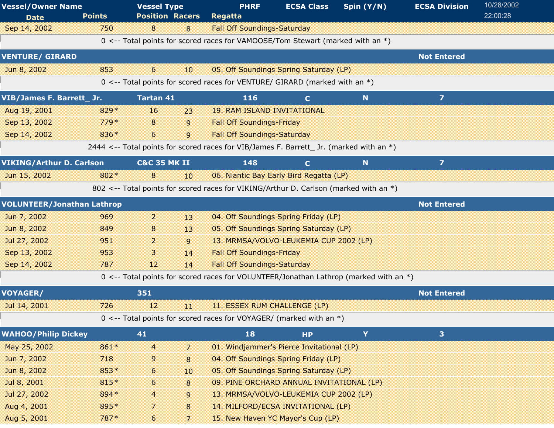| <b>Vessel/Owner Name</b>          |               | <b>Vessel Type</b>      |                  | <b>PHRF</b>                                                                             | <b>ECSA Class</b> | Spin (Y/N)  | <b>ECSA Division</b>    | 10/28/2002 |
|-----------------------------------|---------------|-------------------------|------------------|-----------------------------------------------------------------------------------------|-------------------|-------------|-------------------------|------------|
| <b>Date</b>                       | <b>Points</b> | <b>Position Racers</b>  |                  | <b>Regatta</b>                                                                          |                   |             |                         | 22:00:28   |
| Sep 14, 2002                      | 750           | 8                       | 8                | <b>Fall Off Soundings-Saturday</b>                                                      |                   |             |                         |            |
|                                   |               |                         |                  | 0 <-- Total points for scored races for VAMOOSE/Tom Stewart (marked with an *)          |                   |             |                         |            |
| <b>VENTURE/ GIRARD</b>            |               |                         |                  |                                                                                         |                   |             | <b>Not Entered</b>      |            |
| Jun 8, 2002                       | 853           | $6\overline{6}$         | 10               | 05. Off Soundings Spring Saturday (LP)                                                  |                   |             |                         |            |
|                                   |               |                         |                  | 0 <-- Total points for scored races for VENTURE/ GIRARD (marked with an *)              |                   |             |                         |            |
| VIB/James F. Barrett_ Jr.         |               | <b>Tartan 41</b>        |                  | 116                                                                                     | $\mathbf{C}$      | $\mathbf N$ | $\overline{z}$          |            |
| Aug 19, 2001                      | 829*          | 16                      | 23               | <b>19. RAM ISLAND INVITATIONAL</b>                                                      |                   |             |                         |            |
| Sep 13, 2002                      | $779*$        | 8                       | 9                | <b>Fall Off Soundings-Friday</b>                                                        |                   |             |                         |            |
| Sep 14, 2002                      | 836*          | 6                       | 9                | <b>Fall Off Soundings-Saturday</b>                                                      |                   |             |                         |            |
|                                   |               |                         |                  | 2444 <-- Total points for scored races for VIB/James F. Barrett_ Jr. (marked with an *) |                   |             |                         |            |
| <b>VIKING/Arthur D. Carlson</b>   |               | <b>C&amp;C 35 MK II</b> |                  | 148                                                                                     | $\mathbf{C}$      | N           | $\overline{\mathbf{z}}$ |            |
| Jun 15, 2002                      | 802 *         | 8                       | 10 <sup>10</sup> | 06. Niantic Bay Early Bird Regatta (LP)                                                 |                   |             |                         |            |
|                                   |               |                         |                  | 802 <-- Total points for scored races for VIKING/Arthur D. Carlson (marked with an *)   |                   |             |                         |            |
| <b>VOLUNTEER/Jonathan Lathrop</b> |               |                         |                  |                                                                                         |                   |             | <b>Not Entered</b>      |            |
| Jun 7, 2002                       | 969           | $\overline{2}$          | 13               | 04. Off Soundings Spring Friday (LP)                                                    |                   |             |                         |            |
| Jun 8, 2002                       | 849           | 8                       | 13               | 05. Off Soundings Spring Saturday (LP)                                                  |                   |             |                         |            |
| Jul 27, 2002                      | 951           | $\overline{2}$          | 9                | 13. MRMSA/VOLVO-LEUKEMIA CUP 2002 (LP)                                                  |                   |             |                         |            |
| Sep 13, 2002                      | 953           | 3                       | 14               | <b>Fall Off Soundings-Friday</b>                                                        |                   |             |                         |            |
| Sep 14, 2002                      | 787           | 12                      | 14               | <b>Fall Off Soundings-Saturday</b>                                                      |                   |             |                         |            |
|                                   |               |                         |                  | 0 <-- Total points for scored races for VOLUNTEER/Jonathan Lathrop (marked with an *)   |                   |             |                         |            |
| <b>VOYAGER/</b>                   |               | 351                     |                  |                                                                                         |                   |             | <b>Not Entered</b>      |            |
| Jul 14, 2001                      | 726           | 12                      | 11               | 11. ESSEX RUM CHALLENGE (LP)                                                            |                   |             |                         |            |
|                                   |               |                         |                  | 0 <-- Total points for scored races for VOYAGER/ (marked with an *)                     |                   |             |                         |            |
| <b>WAHOO/Philip Dickey</b>        |               | 41                      |                  | 18                                                                                      | <b>HP</b>         | Y           | 3                       |            |
| May 25, 2002                      | 861*          | $\overline{4}$          | 7                | 01. Windjammer's Pierce Invitational (LP)                                               |                   |             |                         |            |
| Jun 7, 2002                       | 718           | 9                       | 8                | 04. Off Soundings Spring Friday (LP)                                                    |                   |             |                         |            |
| Jun 8, 2002                       | 853*          | 6                       | 10               | 05. Off Soundings Spring Saturday (LP)                                                  |                   |             |                         |            |
| Jul 8, 2001                       | 815*          | 6                       | 8                | 09. PINE ORCHARD ANNUAL INVITATIONAL (LP)                                               |                   |             |                         |            |
| Jul 27, 2002                      | 894 *         | $\overline{4}$          | 9                | 13. MRMSA/VOLVO-LEUKEMIA CUP 2002 (LP)                                                  |                   |             |                         |            |
| Aug 4, 2001                       | 895*          | 7                       | 8                | 14. MILFORD/ECSA INVITATIONAL (LP)                                                      |                   |             |                         |            |
| Aug 5, 2001                       | 787*          | 6                       | 7                | 15. New Haven YC Mayor's Cup (LP)                                                       |                   |             |                         |            |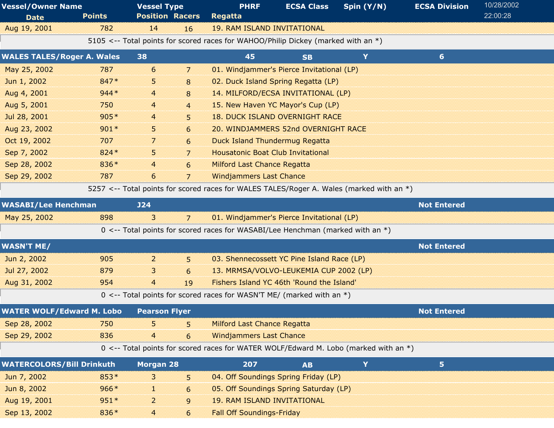| <b>Vessel/Owner Name</b>          |               | <b>Vessel Type</b>     |                | <b>PHRF</b>                                                                              | <b>ECSA Class</b> | Spin (Y/N) | <b>ECSA Division</b> | 10/28/2002 |  |
|-----------------------------------|---------------|------------------------|----------------|------------------------------------------------------------------------------------------|-------------------|------------|----------------------|------------|--|
| <b>Date</b>                       | <b>Points</b> | <b>Position Racers</b> |                | Regatta                                                                                  |                   |            |                      | 22:00:28   |  |
| Aug 19, 2001                      | 782           | 14                     | 16             | <b>19. RAM ISLAND INVITATIONAL</b>                                                       |                   |            |                      |            |  |
|                                   |               |                        |                | 5105 <-- Total points for scored races for WAHOO/Philip Dickey (marked with an *)        |                   |            |                      |            |  |
| <b>WALES TALES/Roger A. Wales</b> |               | 38                     |                | 45                                                                                       | <b>SB</b>         | Y          | 6 <sup>1</sup>       |            |  |
| May 25, 2002                      | 787           | 6                      | 7              | 01. Windjammer's Pierce Invitational (LP)                                                |                   |            |                      |            |  |
| Jun 1, 2002                       | 847*          | 5                      | 8              | 02. Duck Island Spring Regatta (LP)                                                      |                   |            |                      |            |  |
| Aug 4, 2001                       | $944*$        | 4                      | 8              | 14. MILFORD/ECSA INVITATIONAL (LP)                                                       |                   |            |                      |            |  |
| Aug 5, 2001                       | 750           | 4                      | $\overline{4}$ | 15. New Haven YC Mayor's Cup (LP)                                                        |                   |            |                      |            |  |
| Jul 28, 2001                      | $905*$        | 4                      | 5              | <b>18. DUCK ISLAND OVERNIGHT RACE</b>                                                    |                   |            |                      |            |  |
| Aug 23, 2002                      | $901*$        | 5                      | 6              | 20. WINDJAMMERS 52nd OVERNIGHT RACE                                                      |                   |            |                      |            |  |
| Oct 19, 2002                      | 707           | $\overline{7}$         | 6              | <b>Duck Island Thundermug Regatta</b>                                                    |                   |            |                      |            |  |
| Sep 7, 2002                       | 824 *         | 5                      | $\overline{7}$ | <b>Housatonic Boat Club Invitational</b>                                                 |                   |            |                      |            |  |
| Sep 28, 2002                      | 836*          | 4                      | 6              | <b>Milford Last Chance Regatta</b>                                                       |                   |            |                      |            |  |
| Sep 29, 2002                      | 787           | 6                      | $\overline{7}$ | <b>Windjammers Last Chance</b>                                                           |                   |            |                      |            |  |
|                                   |               |                        |                | 5257 <-- Total points for scored races for WALES TALES/Roger A. Wales (marked with an *) |                   |            |                      |            |  |
| <b>WASABI/Lee Henchman</b>        |               | J24                    |                |                                                                                          |                   |            | <b>Not Entered</b>   |            |  |
| May 25, 2002                      | 898           | $\overline{3}$         | 7              | 01. Windjammer's Pierce Invitational (LP)                                                |                   |            |                      |            |  |
|                                   |               |                        |                | 0 <-- Total points for scored races for WASABI/Lee Henchman (marked with an $*)$         |                   |            |                      |            |  |
| <b>WASN'T ME/</b>                 |               |                        |                |                                                                                          |                   |            | <b>Not Entered</b>   |            |  |
| Jun 2, 2002                       | 905           | $\overline{2}$         | 5              | 03. Shennecossett YC Pine Island Race (LP)                                               |                   |            |                      |            |  |
| Jul 27, 2002                      | 879           | 3                      | 6              | 13. MRMSA/VOLVO-LEUKEMIA CUP 2002 (LP)                                                   |                   |            |                      |            |  |
| Aug 31, 2002                      | 954           | $\overline{4}$         | 19             | Fishers Island YC 46th 'Round the Island'                                                |                   |            |                      |            |  |
|                                   |               |                        |                | $0 \le -$ Total points for scored races for WASN'T ME/ (marked with an $*)$              |                   |            |                      |            |  |
| <b>WATER WOLF/Edward M. Lobo</b>  |               | <b>Pearson Flyer</b>   |                |                                                                                          |                   |            | <b>Not Entered</b>   |            |  |
| Sep 28, 2002                      | 750           | 5                      | 5              | <b>Milford Last Chance Regatta</b>                                                       |                   |            |                      |            |  |
| Sep 29, 2002                      | 836           | $\overline{4}$         | 6              | <b>Windjammers Last Chance</b>                                                           |                   |            |                      |            |  |
|                                   |               |                        |                | 0 <-- Total points for scored races for WATER WOLF/Edward M. Lobo (marked with an *)     |                   |            |                      |            |  |
| <b>WATERCOLORS/Bill Drinkuth</b>  |               | <b>Morgan 28</b>       |                | 207                                                                                      | <b>AB</b>         | Y          | 5 <sub>1</sub>       |            |  |
| Jun 7, 2002                       | $853*$        | 3                      | 5.             | 04. Off Soundings Spring Friday (LP)                                                     |                   |            |                      |            |  |
| Jun 8, 2002                       | $966*$        | 11                     | 6              | 05. Off Soundings Spring Saturday (LP)                                                   |                   |            |                      |            |  |
| Aug 19, 2001                      | $951*$        | $\overline{2}$         | $\mathsf{g}$   | <b>19. RAM ISLAND INVITATIONAL</b>                                                       |                   |            |                      |            |  |
| Sep 13, 2002                      | 836*          | $\overline{4}$         | 6              | <b>Fall Off Soundings-Friday</b>                                                         |                   |            |                      |            |  |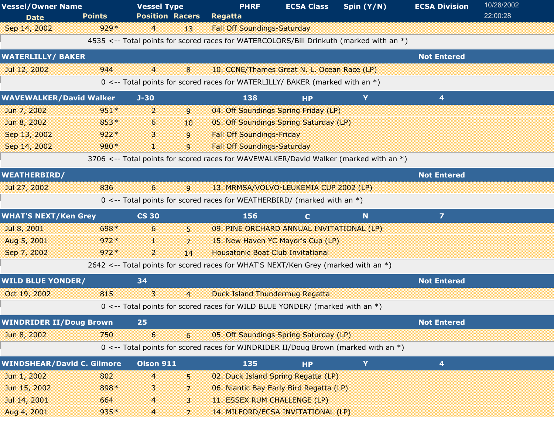| <b>Vessel/Owner Name</b>          |               | <b>Vessel Type</b>     | <b>PHRF</b>                                                                             | <b>ECSA Class</b> | Spin $(Y/N)$ | <b>ECSA Division</b> | 10/28/2002 |
|-----------------------------------|---------------|------------------------|-----------------------------------------------------------------------------------------|-------------------|--------------|----------------------|------------|
| <b>Date</b>                       | <b>Points</b> | <b>Position Racers</b> | Regatta                                                                                 |                   |              |                      | 22:00:28   |
| Sep 14, 2002                      | $929*$        | 4<br>13                | <b>Fall Off Soundings-Saturday</b>                                                      |                   |              |                      |            |
|                                   |               |                        | 4535 <-- Total points for scored races for WATERCOLORS/Bill Drinkuth (marked with an *) |                   |              |                      |            |
| <b>WATERLILLY/ BAKER</b>          |               |                        |                                                                                         |                   |              | <b>Not Entered</b>   |            |
| Jul 12, 2002                      | 944           | 4<br>8                 | 10. CCNE/Thames Great N. L. Ocean Race (LP)                                             |                   |              |                      |            |
|                                   |               |                        | 0 <-- Total points for scored races for WATERLILLY/ BAKER (marked with an *)            |                   |              |                      |            |
| <b>WAVEWALKER/David Walker</b>    |               | $J-30$                 | 138                                                                                     | <b>HP</b>         | Y            | 4                    |            |
| Jun 7, 2002                       | $951*$        | 2<br>9                 | 04. Off Soundings Spring Friday (LP)                                                    |                   |              |                      |            |
| Jun 8, 2002                       | 853*          | 6<br>10                | 05. Off Soundings Spring Saturday (LP)                                                  |                   |              |                      |            |
| Sep 13, 2002                      | $922*$        | 3<br>9                 | <b>Fall Off Soundings-Friday</b>                                                        |                   |              |                      |            |
| Sep 14, 2002                      | 980*          | H.<br>9                | <b>Fall Off Soundings-Saturday</b>                                                      |                   |              |                      |            |
|                                   |               |                        | 3706 <-- Total points for scored races for WAVEWALKER/David Walker (marked with an *)   |                   |              |                      |            |
| <b>WEATHERBIRD/</b>               |               |                        |                                                                                         |                   |              | <b>Not Entered</b>   |            |
| Jul 27, 2002                      | 836           | 6<br>9                 | 13. MRMSA/VOLVO-LEUKEMIA CUP 2002 (LP)                                                  |                   |              |                      |            |
|                                   |               |                        | 0 <-- Total points for scored races for WEATHERBIRD/ (marked with an *)                 |                   |              |                      |            |
|                                   |               |                        |                                                                                         |                   |              |                      |            |
| <b>WHAT'S NEXT/Ken Grey</b>       |               | <b>CS 30</b>           | 156                                                                                     | $\mathbf{C}$      | N            | $\overline{z}$       |            |
| Jul 8, 2001                       | 698*          | 6<br>5.                | 09. PINE ORCHARD ANNUAL INVITATIONAL (LP)                                               |                   |              |                      |            |
| Aug 5, 2001                       | $972*$        | a.<br>7                | 15. New Haven YC Mayor's Cup (LP)                                                       |                   |              |                      |            |
| Sep 7, 2002                       | $972*$        | $\overline{2}$<br>14   | <b>Housatonic Boat Club Invitational</b>                                                |                   |              |                      |            |
|                                   |               |                        | 2642 <-- Total points for scored races for WHAT'S NEXT/Ken Grey (marked with an *)      |                   |              |                      |            |
| <b>WILD BLUE YONDER/</b>          |               | 34                     |                                                                                         |                   |              | <b>Not Entered</b>   |            |
| Oct 19, 2002                      | 815           | 3<br>$\overline{4}$    | <b>Duck Island Thundermug Regatta</b>                                                   |                   |              |                      |            |
|                                   |               |                        | 0 <-- Total points for scored races for WILD BLUE YONDER/ (marked with an *)            |                   |              |                      |            |
| <b>WINDRIDER II/Doug Brown</b>    |               | 25                     |                                                                                         |                   |              | <b>Not Entered</b>   |            |
| Jun 8, 2002                       | 750           | 6<br>6                 | 05. Off Soundings Spring Saturday (LP)                                                  |                   |              |                      |            |
|                                   |               |                        | 0 <-- Total points for scored races for WINDRIDER II/Doug Brown (marked with an *)      |                   |              |                      |            |
| <b>WINDSHEAR/David C. Gilmore</b> |               | <b>Olson 911</b>       | 135                                                                                     | <b>HP</b>         | Y            | 4                    |            |
| Jun 1, 2002                       | 802           | 4<br>5                 | 02. Duck Island Spring Regatta (LP)                                                     |                   |              |                      |            |
| Jun 15, 2002                      | 898*          | 3<br>7                 | 06. Niantic Bay Early Bird Regatta (LP)                                                 |                   |              |                      |            |
| Jul 14, 2001                      | 664           | 4<br>3                 | 11. ESSEX RUM CHALLENGE (LP)                                                            |                   |              |                      |            |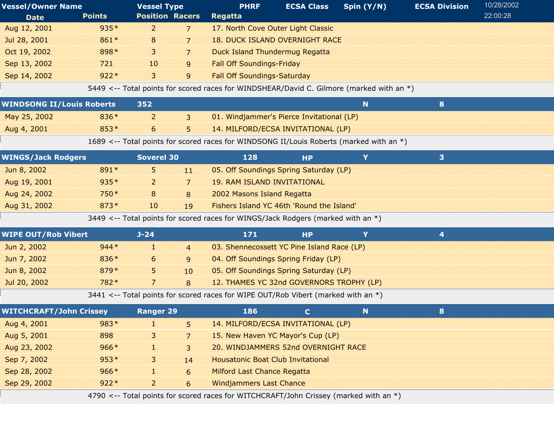| <b>Vessel/Owner Name</b>         |               | <b>Vessel Type</b>     |                | <b>PHRF</b>                                                                              | <b>ECSA Class</b> | Spin $(Y/N)$ | <b>ECSA Division</b> | 10/28/2002 |
|----------------------------------|---------------|------------------------|----------------|------------------------------------------------------------------------------------------|-------------------|--------------|----------------------|------------|
| <b>Date</b>                      | <b>Points</b> | <b>Position Racers</b> |                | <b>Regatta</b>                                                                           |                   |              |                      | 22:00:28   |
| Aug 12, 2001                     | 935*          | $\overline{2}$         | 7              | 17. North Cove Outer Light Classic                                                       |                   |              |                      |            |
| Jul 28, 2001                     | 861*          | 8                      | 7              | <b>18. DUCK ISLAND OVERNIGHT RACE</b>                                                    |                   |              |                      |            |
| Oct 19, 2002                     | 898*          | 3                      | 7              | <b>Duck Island Thundermug Regatta</b>                                                    |                   |              |                      |            |
| Sep 13, 2002                     | 721           | 10                     | 9              | <b>Fall Off Soundings-Friday</b>                                                         |                   |              |                      |            |
| Sep 14, 2002                     | $922*$        | $\mathbf{3}$           | 9              | <b>Fall Off Soundings-Saturday</b>                                                       |                   |              |                      |            |
|                                  |               |                        |                | 5449 <-- Total points for scored races for WINDSHEAR/David C. Gilmore (marked with an *) |                   |              |                      |            |
| <b>WINDSONG II/Louis Roberts</b> |               | 352                    |                |                                                                                          |                   | N.           | 8                    |            |
| May 25, 2002                     | 836*          | $\overline{2}$         | 3              | 01. Windjammer's Pierce Invitational (LP)                                                |                   |              |                      |            |
| Aug 4, 2001                      | 853*          | 6                      | 5              | 14. MILFORD/ECSA INVITATIONAL (LP)                                                       |                   |              |                      |            |
|                                  |               |                        |                | 1689 <-- Total points for scored races for WINDSONG II/Louis Roberts (marked with an *)  |                   |              |                      |            |
| <b>WINGS/Jack Rodgers</b>        |               | Soverel 30             |                | 128                                                                                      | <b>HP</b>         | Y            | 3                    |            |
| Jun 8, 2002                      | 891*          | 5                      | 11             | 05. Off Soundings Spring Saturday (LP)                                                   |                   |              |                      |            |
| Aug 19, 2001                     | $935*$        | $\overline{2}$         | 7              | <b>19. RAM ISLAND INVITATIONAL</b>                                                       |                   |              |                      |            |
| Aug 24, 2002                     | 750*          | 8                      | 8              | 2002 Masons Island Regatta                                                               |                   |              |                      |            |
| Aug 31, 2002                     | $873*$        | 10                     | 19             | Fishers Island YC 46th 'Round the Island'                                                |                   |              |                      |            |
|                                  |               |                        |                | 3449 <-- Total points for scored races for WINGS/Jack Rodgers (marked with an *)         |                   |              |                      |            |
| <b>WIPE OUT/Rob Vibert</b>       |               | $J - 24$               |                | 171                                                                                      | <b>HP</b>         | Y            | 4                    |            |
| Jun 2, 2002                      | $944*$        | J.                     | $\overline{4}$ | 03. Shennecossett YC Pine Island Race (LP)                                               |                   |              |                      |            |
| Jun 7, 2002                      | 836*          | 6                      | 9              | 04. Off Soundings Spring Friday (LP)                                                     |                   |              |                      |            |
| Jun 8, 2002                      | 879*          | 5                      | 10             | 05. Off Soundings Spring Saturday (LP)                                                   |                   |              |                      |            |
| Jul 20, 2002                     | 782*          | 7                      | 8              | 12. THAMES YC 32nd GOVERNORS TROPHY (LP)                                                 |                   |              |                      |            |
|                                  |               |                        |                | 3441 <-- Total points for scored races for WIPE OUT/Rob Vibert (marked with an *)        |                   |              |                      |            |
| <b>WITCHCRAFT/John Crissey</b>   |               | <b>Ranger 29</b>       |                | 186                                                                                      | $\mathbf{C}$      | N.           | 8                    |            |
| Aug 4, 2001                      | 983*          | 1                      | 5              | 14. MILFORD/ECSA INVITATIONAL (LP)                                                       |                   |              |                      |            |
| Aug 5, 2001                      | 898           | 3                      | 7              | 15. New Haven YC Mayor's Cup (LP)                                                        |                   |              |                      |            |
| Aug 23, 2002                     | $966*$        |                        | 3              | 20. WINDJAMMERS 52nd OVERNIGHT RACE                                                      |                   |              |                      |            |
| Sep 7, 2002                      | $953*$        | 3                      | 14             | <b>Housatonic Boat Club Invitational</b>                                                 |                   |              |                      |            |
| Sep 28, 2002                     | $966*$        | H.                     | 6              | <b>Milford Last Chance Regatta</b>                                                       |                   |              |                      |            |
| Sep 29, 2002                     | $922*$        | $\overline{a}$         | 6              | <b>Windjammers Last Chance</b>                                                           |                   |              |                      |            |
|                                  |               |                        |                | 4790 <-- Total points for scored races for WITCHCRAFT/John Crissey (marked with an *)    |                   |              |                      |            |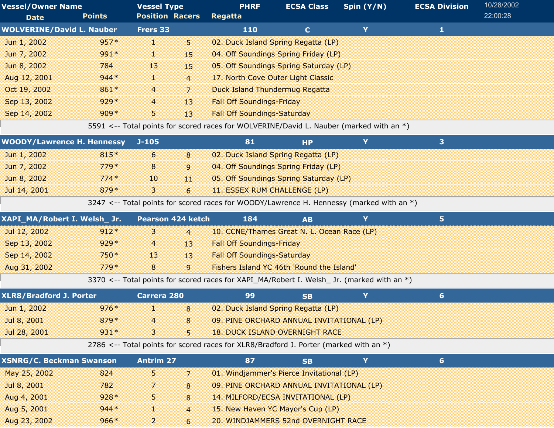| <b>Vessel/Owner Name</b>          |               | <b>Vessel Type</b><br><b>Position Racers</b> |                          | <b>PHRF</b><br><b>ECSA Class</b>                                                           |              | Spin (Y/N) | <b>ECSA Division</b> | 10/28/2002 |  |
|-----------------------------------|---------------|----------------------------------------------|--------------------------|--------------------------------------------------------------------------------------------|--------------|------------|----------------------|------------|--|
| <b>Date</b>                       | <b>Points</b> |                                              |                          | <b>Regatta</b>                                                                             |              |            |                      | 22:00:28   |  |
| <b>WOLVERINE/David L. Nauber</b>  |               | Frers 33                                     |                          | 110                                                                                        | $\mathbf{C}$ | Y          | $\mathbf{1}$         |            |  |
| Jun 1, 2002                       | $957*$        | d.                                           | 5.                       | 02. Duck Island Spring Regatta (LP)                                                        |              |            |                      |            |  |
| Jun 7, 2002                       | 991*          | T.                                           | 15                       | 04. Off Soundings Spring Friday (LP)                                                       |              |            |                      |            |  |
| Jun 8, 2002                       | 784           | 13                                           | 15                       | 05. Off Soundings Spring Saturday (LP)                                                     |              |            |                      |            |  |
| Aug 12, 2001                      | $944*$        | H.                                           | $\overline{4}$           | 17. North Cove Outer Light Classic                                                         |              |            |                      |            |  |
| Oct 19, 2002                      | 861*          | 4                                            | $\overline{7}$           | <b>Duck Island Thundermug Regatta</b>                                                      |              |            |                      |            |  |
| Sep 13, 2002                      | $929*$        | 4                                            | 13                       | <b>Fall Off Soundings-Friday</b>                                                           |              |            |                      |            |  |
| Sep 14, 2002                      | $909*$        | 5                                            | 13                       | <b>Fall Off Soundings-Saturday</b>                                                         |              |            |                      |            |  |
|                                   |               |                                              |                          | 5591 <-- Total points for scored races for WOLVERINE/David L. Nauber (marked with an *)    |              |            |                      |            |  |
| <b>WOODY/Lawrence H. Hennessy</b> |               | $J-105$                                      |                          | 81                                                                                         | <b>HP</b>    | Y          | 3                    |            |  |
| Jun 1, 2002                       | 815*          | 6                                            | 8                        | 02. Duck Island Spring Regatta (LP)                                                        |              |            |                      |            |  |
| Jun 7, 2002                       | $779*$        | 8                                            | 9                        | 04. Off Soundings Spring Friday (LP)                                                       |              |            |                      |            |  |
| Jun 8, 2002                       | $774*$        | 10                                           | 11                       | 05. Off Soundings Spring Saturday (LP)                                                     |              |            |                      |            |  |
| Jul 14, 2001                      | 879*          | 3                                            | 6                        | 11. ESSEX RUM CHALLENGE (LP)                                                               |              |            |                      |            |  |
|                                   |               |                                              |                          | 3247 <-- Total points for scored races for WOODY/Lawrence H. Hennessy (marked with an *)   |              |            |                      |            |  |
| XAPI_MA/Robert I. Welsh_ Jr.      |               | <b>Pearson 424 ketch</b>                     |                          | 184                                                                                        | <b>AB</b>    | Y          | 5                    |            |  |
| Jul 12, 2002                      | $912*$        | 3                                            | $\overline{4}$           | 10. CCNE/Thames Great N. L. Ocean Race (LP)                                                |              |            |                      |            |  |
| Sep 13, 2002                      | $929*$        | 4                                            | 13                       | <b>Fall Off Soundings-Friday</b>                                                           |              |            |                      |            |  |
| Sep 14, 2002                      | 750*          | 13                                           | 13                       | <b>Fall Off Soundings-Saturday</b>                                                         |              |            |                      |            |  |
| Aug 31, 2002                      | $779*$        | 8                                            | 9                        | Fishers Island YC 46th 'Round the Island'                                                  |              |            |                      |            |  |
|                                   |               |                                              |                          | 3370 <-- Total points for scored races for XAPI_MA/Robert I. Welsh_ Jr. (marked with an *) |              |            |                      |            |  |
| <b>XLR8/Bradford J. Porter</b>    |               | <b>Carrera 280</b>                           |                          | 99                                                                                         | <b>SB</b>    | Y          | 6                    |            |  |
| Jun 1, 2002                       | $976*$        | 1                                            | 8                        | 02. Duck Island Spring Regatta (LP)                                                        |              |            |                      |            |  |
| Jul 8, 2001                       | 879*          | 4                                            | 8                        | 09. PINE ORCHARD ANNUAL INVITATIONAL (LP)                                                  |              |            |                      |            |  |
| Jul 28, 2001                      | $931*$        | 3                                            | 5                        | <b>18. DUCK ISLAND OVERNIGHT RACE</b>                                                      |              |            |                      |            |  |
|                                   |               |                                              |                          | 2786 <-- Total points for scored races for $XLR8/Bradford$ J. Porter (marked with an $*)$  |              |            |                      |            |  |
| <b>XSNRG/C. Beckman Swanson</b>   |               | <b>Antrim 27</b>                             |                          | 87                                                                                         | <b>SB</b>    | Y          | $6 \nightharpoonup$  |            |  |
| May 25, 2002                      | 824           | 5                                            | $\overline{\phantom{a}}$ | 01. Windjammer's Pierce Invitational (LP)                                                  |              |            |                      |            |  |
| Jul 8, 2001                       | 782           | 7                                            | 8                        | 09. PINE ORCHARD ANNUAL INVITATIONAL (LP)                                                  |              |            |                      |            |  |
| Aug 4, 2001                       | $928*$        | 5                                            | 8                        | 14. MILFORD/ECSA INVITATIONAL (LP)                                                         |              |            |                      |            |  |
| Aug 5, 2001                       | $944*$        | H.                                           | $\overline{4}$           | 15. New Haven YC Mayor's Cup (LP)                                                          |              |            |                      |            |  |
| Aug 23, 2002                      | $966*$        | $\overline{a}$                               | 6                        | 20. WINDJAMMERS 52nd OVERNIGHT RACE                                                        |              |            |                      |            |  |